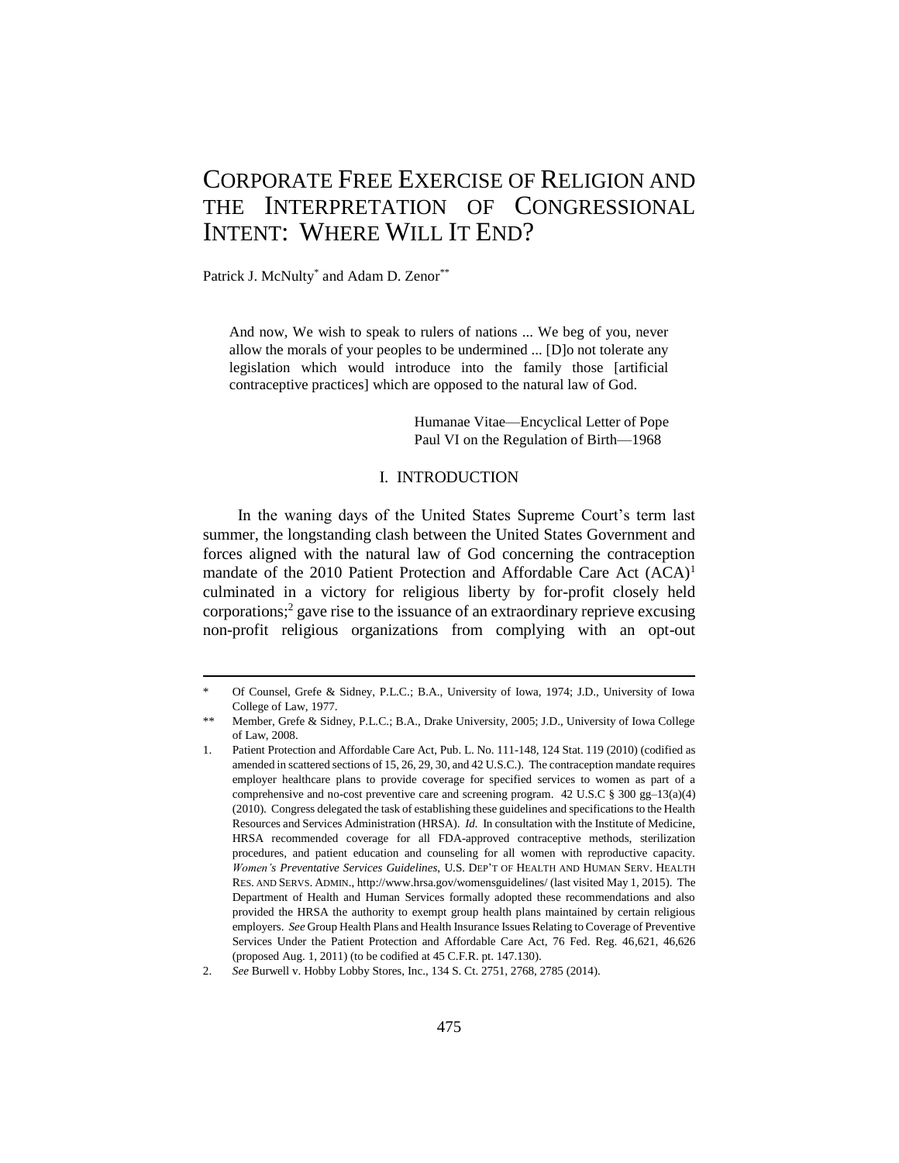# CORPORATE FREE EXERCISE OF RELIGION AND THE INTERPRETATION OF CONGRESSIONAL INTENT: WHERE WILL IT END?

Patrick J. McNulty<sup>\*</sup> and Adam D. Zenor<sup>\*\*</sup>

1

And now, We wish to speak to rulers of nations ... We beg of you, never allow the morals of your peoples to be undermined ... [D]o not tolerate any legislation which would introduce into the family those [artificial contraceptive practices] which are opposed to the natural law of God.

> Humanae Vitae—Encyclical Letter of Pope Paul VI on the Regulation of Birth—1968

#### I. INTRODUCTION

In the waning days of the United States Supreme Court's term last summer, the longstanding clash between the United States Government and forces aligned with the natural law of God concerning the contraception mandate of the 2010 Patient Protection and Affordable Care Act (ACA)<sup>1</sup> culminated in a victory for religious liberty by for-profit closely held corporations;<sup>2</sup> gave rise to the issuance of an extraordinary reprieve excusing non-profit religious organizations from complying with an opt-out

Of Counsel, Grefe & Sidney, P.L.C.; B.A., University of Iowa, 1974; J.D., University of Iowa College of Law, 1977.

Member, Grefe & Sidney, P.L.C.; B.A., Drake University, 2005; J.D., University of Iowa College of Law, 2008.

<sup>1.</sup> Patient Protection and Affordable Care Act, Pub. L. No. 111-148, 124 Stat. 119 (2010) (codified as amended in scattered sections of 15, 26, 29, 30, and 42 U.S.C.). The contraception mandate requires employer healthcare plans to provide coverage for specified services to women as part of a comprehensive and no-cost preventive care and screening program. 42 U.S.C § 300 gg–13(a)(4) (2010). Congress delegated the task of establishing these guidelines and specifications to the Health Resources and Services Administration (HRSA). *Id.* In consultation with the Institute of Medicine, HRSA recommended coverage for all FDA-approved contraceptive methods, sterilization procedures, and patient education and counseling for all women with reproductive capacity. *Women's Preventative Services Guidelines*, U.S. DEP'T OF HEALTH AND HUMAN SERV. HEALTH RES. AND SERVS. ADMIN., http://www.hrsa.gov/womensguidelines/ (last visited May 1, 2015). The Department of Health and Human Services formally adopted these recommendations and also provided the HRSA the authority to exempt group health plans maintained by certain religious employers. *See* Group Health Plans and Health Insurance Issues Relating to Coverage of Preventive Services Under the Patient Protection and Affordable Care Act, 76 Fed. Reg. 46,621, 46,626 (proposed Aug. 1, 2011) (to be codified at 45 C.F.R. pt. 147.130).

<sup>2.</sup> *See* Burwell v. Hobby Lobby Stores, Inc., 134 S. Ct. 2751, 2768, 2785 (2014).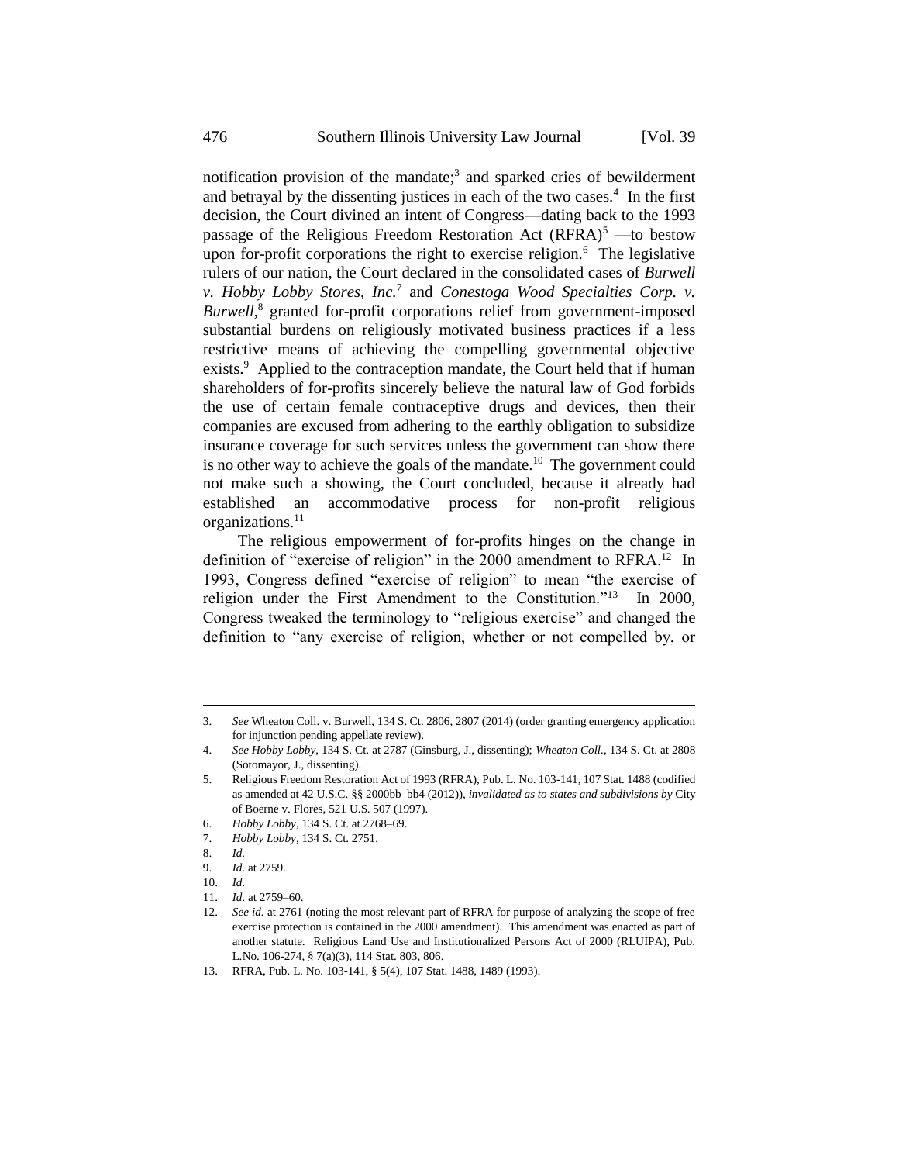notification provision of the mandate;<sup>3</sup> and sparked cries of bewilderment and betrayal by the dissenting justices in each of the two cases.<sup>4</sup> In the first decision, the Court divined an intent of Congress—dating back to the 1993 passage of the Religious Freedom Restoration Act  $(RFRA)^5$  —to bestow upon for-profit corporations the right to exercise religion.<sup>6</sup> The legislative rulers of our nation, the Court declared in the consolidated cases of *Burwell v. Hobby Lobby Stores, Inc.*<sup>7</sup> and *Conestoga Wood Specialties Corp. v. Burwell*, <sup>8</sup> granted for-profit corporations relief from government-imposed substantial burdens on religiously motivated business practices if a less restrictive means of achieving the compelling governmental objective exists.<sup>9</sup> Applied to the contraception mandate, the Court held that if human shareholders of for-profits sincerely believe the natural law of God forbids the use of certain female contraceptive drugs and devices, then their companies are excused from adhering to the earthly obligation to subsidize insurance coverage for such services unless the government can show there is no other way to achieve the goals of the mandate.<sup>10</sup> The government could not make such a showing, the Court concluded, because it already had established an accommodative process for non-profit religious organizations.<sup>11</sup>

The religious empowerment of for-profits hinges on the change in definition of "exercise of religion" in the 2000 amendment to RFRA.<sup>12</sup> In 1993, Congress defined "exercise of religion" to mean "the exercise of religion under the First Amendment to the Constitution."<sup>13</sup> In 2000, Congress tweaked the terminology to "religious exercise" and changed the definition to "any exercise of religion, whether or not compelled by, or

<sup>3.</sup> *See* Wheaton Coll. v. Burwell, 134 S. Ct. 2806, 2807 (2014) (order granting emergency application for injunction pending appellate review).

<sup>4.</sup> *See Hobby Lobby*, 134 S. Ct. at 2787 (Ginsburg, J., dissenting); *Wheaton Coll.*, 134 S. Ct. at 2808 (Sotomayor, J., dissenting).

<sup>5.</sup> Religious Freedom Restoration Act of 1993 (RFRA), Pub. L. No. 103-141, 107 Stat. 1488 (codified as amended at 42 U.S.C. §§ 2000bb–bb4 (2012)), *invalidated as to states and subdivisions by* City of Boerne v. Flores, 521 U.S. 507 (1997).

<sup>6.</sup> *Hobby Lobby*, 134 S. Ct. at 2768–69.

<sup>7.</sup> *Hobby Lobby*, 134 S. Ct. 2751.

<sup>8.</sup> *Id.*

<sup>9.</sup> *Id.* at 2759.

<sup>10.</sup> *Id.*

<sup>11.</sup> *Id.* at 2759–60.

<sup>12.</sup> *See id.* at 2761 (noting the most relevant part of RFRA for purpose of analyzing the scope of free exercise protection is contained in the 2000 amendment). This amendment was enacted as part of another statute. Religious Land Use and Institutionalized Persons Act of 2000 (RLUIPA), Pub. L.No. 106-274, § 7(a)(3), 114 Stat. 803, 806.

<sup>13.</sup> RFRA, Pub. L. No. 103-141, § 5(4), 107 Stat. 1488, 1489 (1993).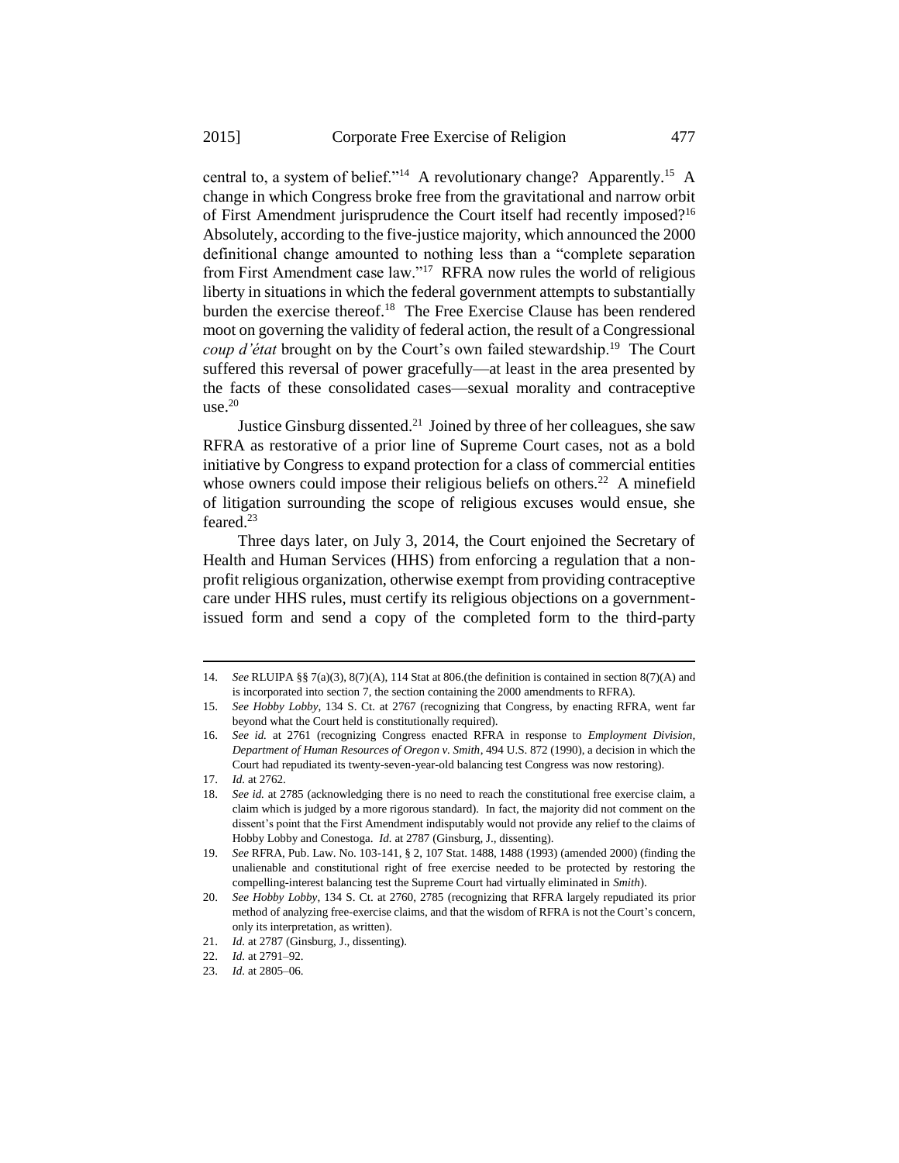central to, a system of belief."<sup>14</sup> A revolutionary change? Apparently.<sup>15</sup> A change in which Congress broke free from the gravitational and narrow orbit of First Amendment jurisprudence the Court itself had recently imposed?<sup>16</sup> Absolutely, according to the five-justice majority, which announced the 2000 definitional change amounted to nothing less than a "complete separation from First Amendment case law."<sup>17</sup> RFRA now rules the world of religious liberty in situations in which the federal government attempts to substantially burden the exercise thereof.<sup>18</sup> The Free Exercise Clause has been rendered moot on governing the validity of federal action, the result of a Congressional *coup d'état* brought on by the Court's own failed stewardship.<sup>19</sup> The Court suffered this reversal of power gracefully—at least in the area presented by the facts of these consolidated cases—sexual morality and contraceptive use. $20$ 

Justice Ginsburg dissented.<sup>21</sup> Joined by three of her colleagues, she saw RFRA as restorative of a prior line of Supreme Court cases, not as a bold initiative by Congress to expand protection for a class of commercial entities whose owners could impose their religious beliefs on others.<sup>22</sup> A minefield of litigation surrounding the scope of religious excuses would ensue, she feared.<sup>23</sup>

Three days later, on July 3, 2014, the Court enjoined the Secretary of Health and Human Services (HHS) from enforcing a regulation that a nonprofit religious organization, otherwise exempt from providing contraceptive care under HHS rules, must certify its religious objections on a governmentissued form and send a copy of the completed form to the third-party

<sup>14.</sup> *See* RLUIPA §§ 7(a)(3), 8(7)(A), 114 Stat at 806.(the definition is contained in section 8(7)(A) and is incorporated into section 7, the section containing the 2000 amendments to RFRA).

<sup>15.</sup> *See Hobby Lobby*, 134 S. Ct. at 2767 (recognizing that Congress, by enacting RFRA, went far beyond what the Court held is constitutionally required).

<sup>16.</sup> *See id.* at 2761 (recognizing Congress enacted RFRA in response to *Employment Division, Department of Human Resources of Oregon v. Smith*, 494 U.S. 872 (1990), a decision in which the Court had repudiated its twenty-seven-year-old balancing test Congress was now restoring).

<sup>17.</sup> *Id.* at 2762.

<sup>18.</sup> *See id.* at 2785 (acknowledging there is no need to reach the constitutional free exercise claim, a claim which is judged by a more rigorous standard). In fact, the majority did not comment on the dissent's point that the First Amendment indisputably would not provide any relief to the claims of Hobby Lobby and Conestoga. *Id.* at 2787 (Ginsburg, J., dissenting).

<sup>19.</sup> *See* RFRA, Pub. Law. No. 103-141, § 2, 107 Stat. 1488, 1488 (1993) (amended 2000) (finding the unalienable and constitutional right of free exercise needed to be protected by restoring the compelling-interest balancing test the Supreme Court had virtually eliminated in *Smith*).

<sup>20.</sup> *See Hobby Lobby*, 134 S. Ct. at 2760, 2785 (recognizing that RFRA largely repudiated its prior method of analyzing free-exercise claims, and that the wisdom of RFRA is not the Court's concern, only its interpretation, as written).

<sup>21.</sup> *Id.* at 2787 (Ginsburg, J., dissenting).

<sup>22.</sup> *Id.* at 2791–92.

<sup>23.</sup> *Id.* at 2805–06.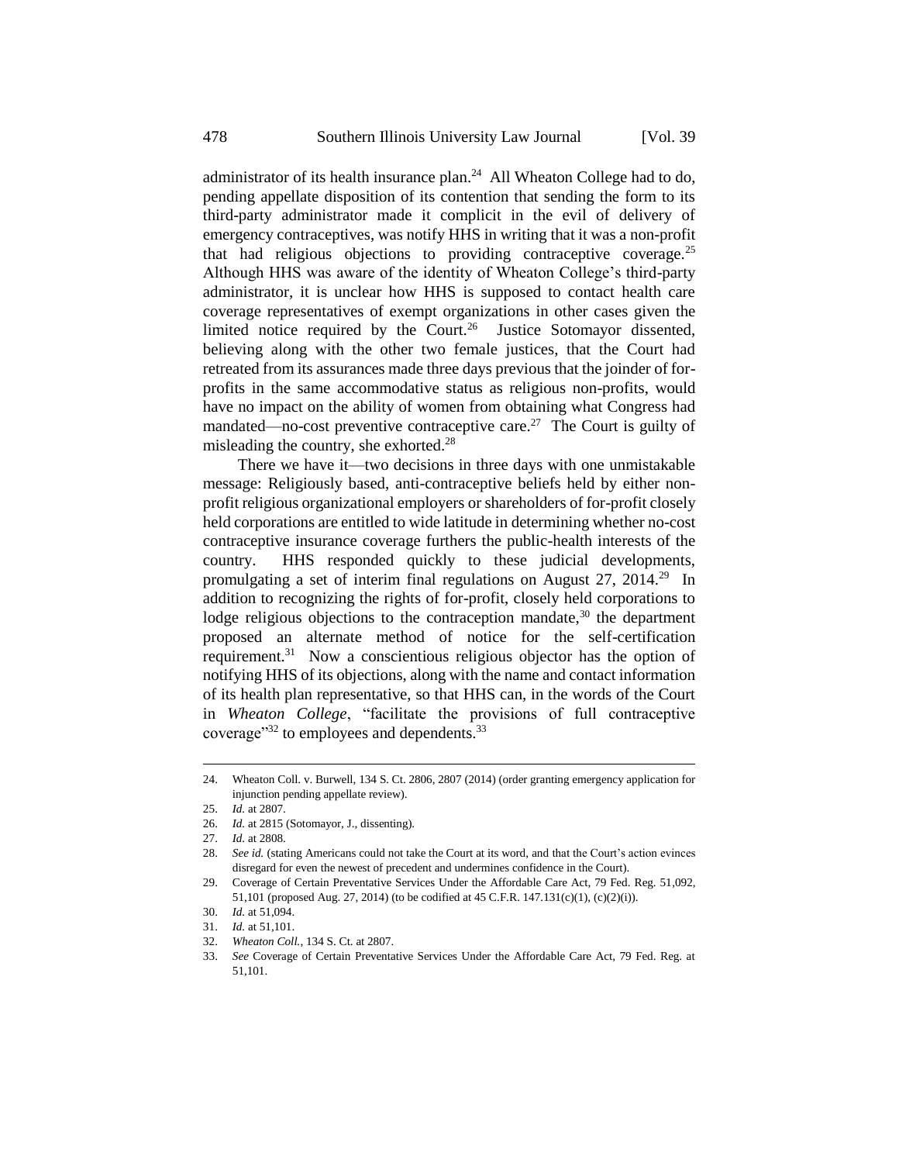administrator of its health insurance plan.<sup>24</sup> All Wheaton College had to do, pending appellate disposition of its contention that sending the form to its third-party administrator made it complicit in the evil of delivery of emergency contraceptives, was notify HHS in writing that it was a non-profit that had religious objections to providing contraceptive coverage.<sup>25</sup> Although HHS was aware of the identity of Wheaton College's third-party administrator, it is unclear how HHS is supposed to contact health care coverage representatives of exempt organizations in other cases given the limited notice required by the Court.<sup>26</sup> Justice Sotomayor dissented, believing along with the other two female justices, that the Court had retreated from its assurances made three days previous that the joinder of forprofits in the same accommodative status as religious non-profits, would have no impact on the ability of women from obtaining what Congress had mandated—no-cost preventive contraceptive care.<sup>27</sup> The Court is guilty of misleading the country, she exhorted.<sup>28</sup>

There we have it—two decisions in three days with one unmistakable message: Religiously based, anti-contraceptive beliefs held by either nonprofit religious organizational employers or shareholders of for-profit closely held corporations are entitled to wide latitude in determining whether no-cost contraceptive insurance coverage furthers the public-health interests of the country. HHS responded quickly to these judicial developments, promulgating a set of interim final regulations on August 27, 2014.<sup>29</sup> In addition to recognizing the rights of for-profit, closely held corporations to lodge religious objections to the contraception mandate, $30$  the department proposed an alternate method of notice for the self-certification requirement.<sup>31</sup> Now a conscientious religious objector has the option of notifying HHS of its objections, along with the name and contact information of its health plan representative, so that HHS can, in the words of the Court in *Wheaton College*, "facilitate the provisions of full contraceptive coverage" $32$  to employees and dependents. $33$ 

<sup>24.</sup> Wheaton Coll. v. Burwell, 134 S. Ct. 2806, 2807 (2014) (order granting emergency application for injunction pending appellate review).

<sup>25.</sup> *Id.* at 2807.

<sup>26.</sup> *Id.* at 2815 (Sotomayor, J., dissenting).

<sup>27.</sup> *Id.* at 2808.

<sup>28.</sup> *See id.* (stating Americans could not take the Court at its word, and that the Court's action evinces disregard for even the newest of precedent and undermines confidence in the Court).

<sup>29.</sup> Coverage of Certain Preventative Services Under the Affordable Care Act, 79 Fed. Reg. 51,092, 51,101 (proposed Aug. 27, 2014) (to be codified at 45 C.F.R. 147.131(c)(1), (c)(2)(i)).

<sup>30.</sup> *Id.* at 51,094.

<sup>31.</sup> *Id.* at 51,101.

<sup>32.</sup> *Wheaton Coll.*, 134 S. Ct. at 2807.

<sup>33.</sup> *See* Coverage of Certain Preventative Services Under the Affordable Care Act, 79 Fed. Reg. at 51,101.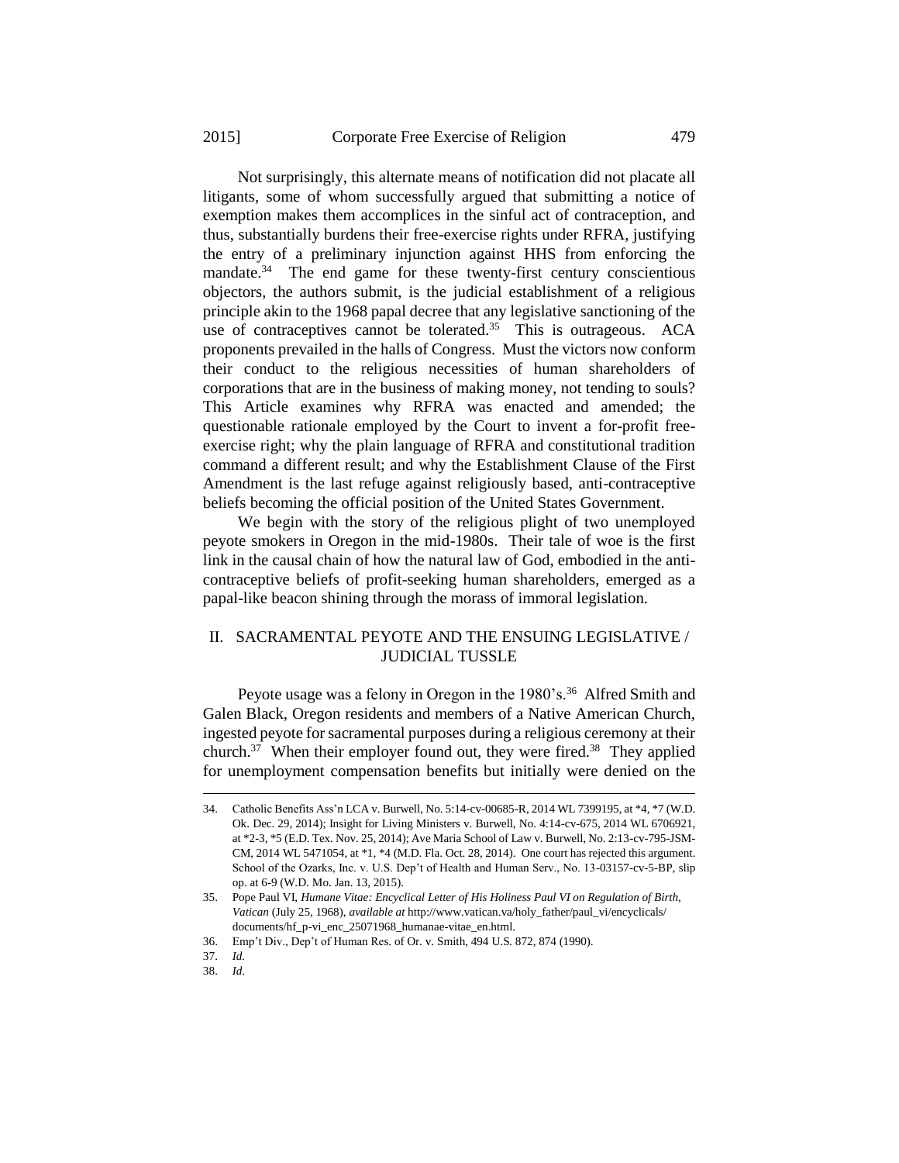Not surprisingly, this alternate means of notification did not placate all litigants, some of whom successfully argued that submitting a notice of exemption makes them accomplices in the sinful act of contraception, and thus, substantially burdens their free-exercise rights under RFRA, justifying the entry of a preliminary injunction against HHS from enforcing the mandate.<sup>34</sup> The end game for these twenty-first century conscientious objectors, the authors submit, is the judicial establishment of a religious principle akin to the 1968 papal decree that any legislative sanctioning of the use of contraceptives cannot be tolerated. $35$  This is outrageous. ACA proponents prevailed in the halls of Congress. Must the victors now conform their conduct to the religious necessities of human shareholders of corporations that are in the business of making money, not tending to souls? This Article examines why RFRA was enacted and amended; the questionable rationale employed by the Court to invent a for-profit freeexercise right; why the plain language of RFRA and constitutional tradition command a different result; and why the Establishment Clause of the First Amendment is the last refuge against religiously based, anti-contraceptive beliefs becoming the official position of the United States Government.

We begin with the story of the religious plight of two unemployed peyote smokers in Oregon in the mid-1980s. Their tale of woe is the first link in the causal chain of how the natural law of God, embodied in the anticontraceptive beliefs of profit-seeking human shareholders, emerged as a papal-like beacon shining through the morass of immoral legislation.

## II. SACRAMENTAL PEYOTE AND THE ENSUING LEGISLATIVE / JUDICIAL TUSSLE

Peyote usage was a felony in Oregon in the 1980's.<sup>36</sup> Alfred Smith and Galen Black, Oregon residents and members of a Native American Church, ingested peyote for sacramental purposes during a religious ceremony at their church.<sup>37</sup> When their employer found out, they were fired.<sup>38</sup> They applied for unemployment compensation benefits but initially were denied on the

<sup>34.</sup> Catholic Benefits Ass'n LCA v. Burwell, No. 5:14-cv-00685-R, 2014 WL 7399195, at \*4, \*7 (W.D. Ok. Dec. 29, 2014); Insight for Living Ministers v. Burwell, No. 4:14-cv-675, 2014 WL 6706921, at \*2-3, \*5 (E.D. Tex. Nov. 25, 2014); Ave Maria School of Law v. Burwell, No. 2:13-cv-795-JSM-CM, 2014 WL 5471054, at \*1, \*4 (M.D. Fla. Oct. 28, 2014). One court has rejected this argument. School of the Ozarks, Inc. v. U.S. Dep't of Health and Human Serv., No. 13-03157-cv-5-BP, slip op. at 6-9 (W.D. Mo. Jan. 13, 2015).

<sup>35.</sup> Pope Paul VI, *Humane Vitae: Encyclical Letter of His Holiness Paul VI on Regulation of Birth, Vatican* (July 25, 1968), *available at* http://www.vatican.va/holy\_father/paul\_vi/encyclicals/ documents/hf\_p-vi\_enc\_25071968\_humanae-vitae\_en.html.

<sup>36.</sup> Emp't Div., Dep't of Human Res. of Or. v. Smith, 494 U.S. 872, 874 (1990).

<sup>37.</sup> *Id.*

<sup>38.</sup> *Id.*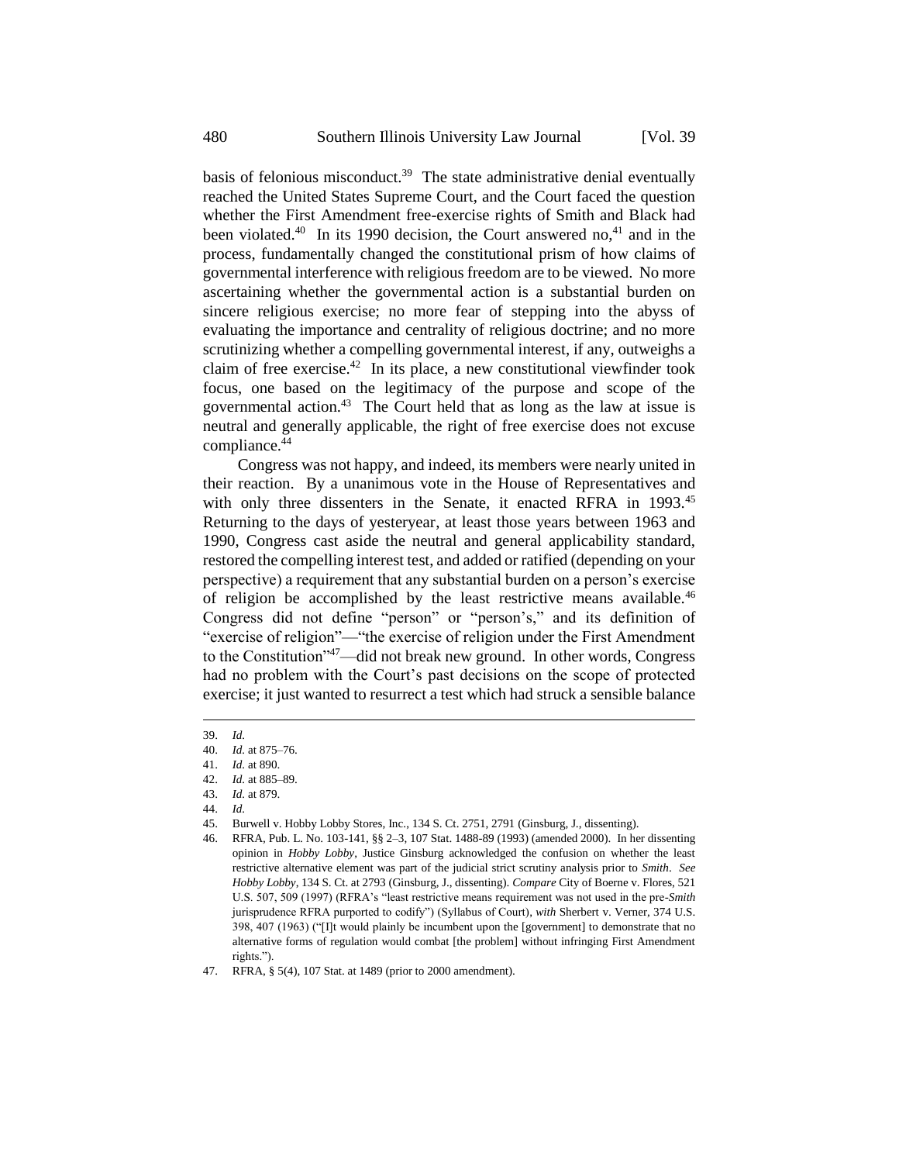basis of felonious misconduct.<sup>39</sup> The state administrative denial eventually reached the United States Supreme Court, and the Court faced the question whether the First Amendment free-exercise rights of Smith and Black had been violated.<sup>40</sup> In its 1990 decision, the Court answered no,<sup>41</sup> and in the process, fundamentally changed the constitutional prism of how claims of governmental interference with religious freedom are to be viewed. No more ascertaining whether the governmental action is a substantial burden on sincere religious exercise; no more fear of stepping into the abyss of evaluating the importance and centrality of religious doctrine; and no more scrutinizing whether a compelling governmental interest, if any, outweighs a claim of free exercise. $42$  In its place, a new constitutional viewfinder took focus, one based on the legitimacy of the purpose and scope of the governmental action.<sup>43</sup> The Court held that as long as the law at issue is neutral and generally applicable, the right of free exercise does not excuse compliance.<sup>44</sup>

Congress was not happy, and indeed, its members were nearly united in their reaction. By a unanimous vote in the House of Representatives and with only three dissenters in the Senate, it enacted RFRA in 1993.<sup>45</sup> Returning to the days of yesteryear, at least those years between 1963 and 1990, Congress cast aside the neutral and general applicability standard, restored the compelling interest test, and added or ratified (depending on your perspective) a requirement that any substantial burden on a person's exercise of religion be accomplished by the least restrictive means available.<sup>46</sup> Congress did not define "person" or "person's," and its definition of "exercise of religion"—"the exercise of religion under the First Amendment to the Constitution"<sup>47</sup>—did not break new ground. In other words, Congress had no problem with the Court's past decisions on the scope of protected exercise; it just wanted to resurrect a test which had struck a sensible balance

1

42. *Id.* at 885–89.

<sup>39.</sup> *Id.*

<sup>40.</sup> *Id.* at 875–76.

<sup>41.</sup> *Id.* at 890.

<sup>43.</sup> *Id.* at 879.

<sup>44.</sup> *Id.*

<sup>45.</sup> Burwell v. Hobby Lobby Stores, Inc., 134 S. Ct. 2751, 2791 (Ginsburg, J., dissenting).

<sup>46.</sup> RFRA*,* Pub. L. No. 103-141, §§ 2–3, 107 Stat. 1488-89 (1993) (amended 2000). In her dissenting opinion in *Hobby Lobby*, Justice Ginsburg acknowledged the confusion on whether the least restrictive alternative element was part of the judicial strict scrutiny analysis prior to *Smith*. *See Hobby Lobby*, 134 S. Ct. at 2793 (Ginsburg, J., dissenting). *Compare* City of Boerne v. Flores, 521 U.S. 507, 509 (1997) (RFRA's "least restrictive means requirement was not used in the pre-*Smith* jurisprudence RFRA purported to codify") (Syllabus of Court), *with* Sherbert v. Verner, 374 U.S. 398, 407 (1963) ("[I]t would plainly be incumbent upon the [government] to demonstrate that no alternative forms of regulation would combat [the problem] without infringing First Amendment rights.").

<sup>47.</sup> RFRA, § 5(4), 107 Stat. at 1489 (prior to 2000 amendment).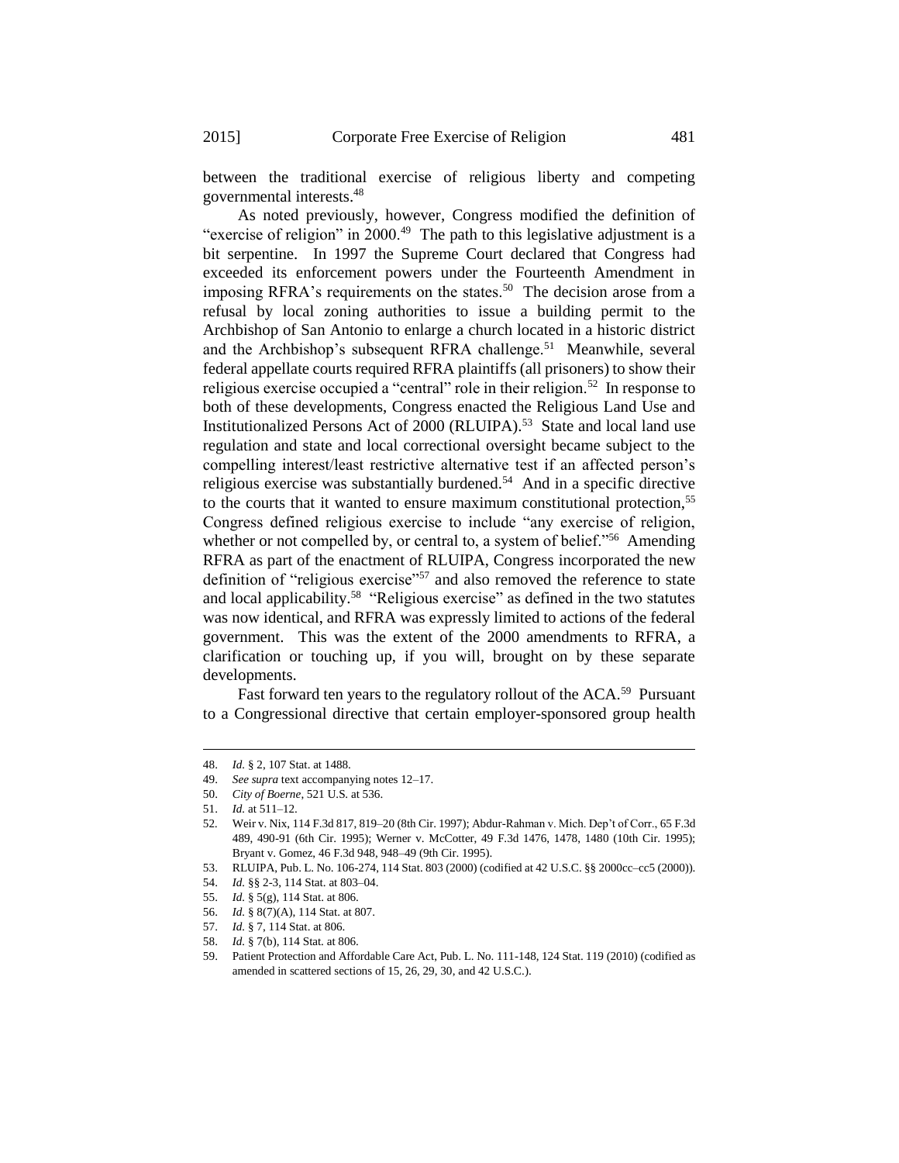between the traditional exercise of religious liberty and competing governmental interests.<sup>48</sup>

As noted previously, however, Congress modified the definition of "exercise of religion" in 2000. $49$  The path to this legislative adjustment is a bit serpentine. In 1997 the Supreme Court declared that Congress had exceeded its enforcement powers under the Fourteenth Amendment in imposing RFRA's requirements on the states.<sup>50</sup> The decision arose from a refusal by local zoning authorities to issue a building permit to the Archbishop of San Antonio to enlarge a church located in a historic district and the Archbishop's subsequent RFRA challenge.<sup>51</sup> Meanwhile, several federal appellate courts required RFRA plaintiffs (all prisoners) to show their religious exercise occupied a "central" role in their religion.<sup>52</sup> In response to both of these developments, Congress enacted the Religious Land Use and Institutionalized Persons Act of 2000 (RLUIPA).<sup>53</sup> State and local land use regulation and state and local correctional oversight became subject to the compelling interest/least restrictive alternative test if an affected person's religious exercise was substantially burdened.<sup>54</sup> And in a specific directive to the courts that it wanted to ensure maximum constitutional protection,<sup>55</sup> Congress defined religious exercise to include "any exercise of religion, whether or not compelled by, or central to, a system of belief."<sup>56</sup> Amending RFRA as part of the enactment of RLUIPA, Congress incorporated the new definition of "religious exercise"<sup>57</sup> and also removed the reference to state and local applicability.<sup>58</sup> "Religious exercise" as defined in the two statutes was now identical, and RFRA was expressly limited to actions of the federal government. This was the extent of the 2000 amendments to RFRA, a clarification or touching up, if you will, brought on by these separate developments.

Fast forward ten years to the regulatory rollout of the ACA.<sup>59</sup> Pursuant to a Congressional directive that certain employer-sponsored group health

<sup>48.</sup> *Id.* § 2, 107 Stat. at 1488.

<sup>49.</sup> *See supra* text accompanying notes 12–17.

<sup>50.</sup> *City of Boerne*, 521 U.S. at 536.

<sup>51.</sup> *Id.* at 511–12.

<sup>52</sup>*.* Weir v. Nix, 114 F.3d 817, 819–20 (8th Cir. 1997); Abdur-Rahman v. Mich. Dep't of Corr., 65 F.3d 489, 490-91 (6th Cir. 1995); Werner v. McCotter, 49 F.3d 1476, 1478, 1480 (10th Cir. 1995); Bryant v. Gomez, 46 F.3d 948, 948–49 (9th Cir. 1995).

<sup>53.</sup> RLUIPA, Pub. L. No. 106-274, 114 Stat. 803 (2000) (codified at 42 U.S.C. §§ 2000cc–cc5 (2000)).

<sup>54.</sup> *Id.* §§ 2-3, 114 Stat. at 803–04.

<sup>55.</sup> *Id.* § 5(g), 114 Stat. at 806.

<sup>56.</sup> *Id.* § 8(7)(A), 114 Stat. at 807.

<sup>57.</sup> *Id.* § 7, 114 Stat. at 806.

<sup>58.</sup> *Id.* § 7(b), 114 Stat. at 806.

<sup>59.</sup> Patient Protection and Affordable Care Act, Pub. L. No. 111-148, 124 Stat. 119 (2010) (codified as amended in scattered sections of 15, 26, 29, 30, and 42 U.S.C.).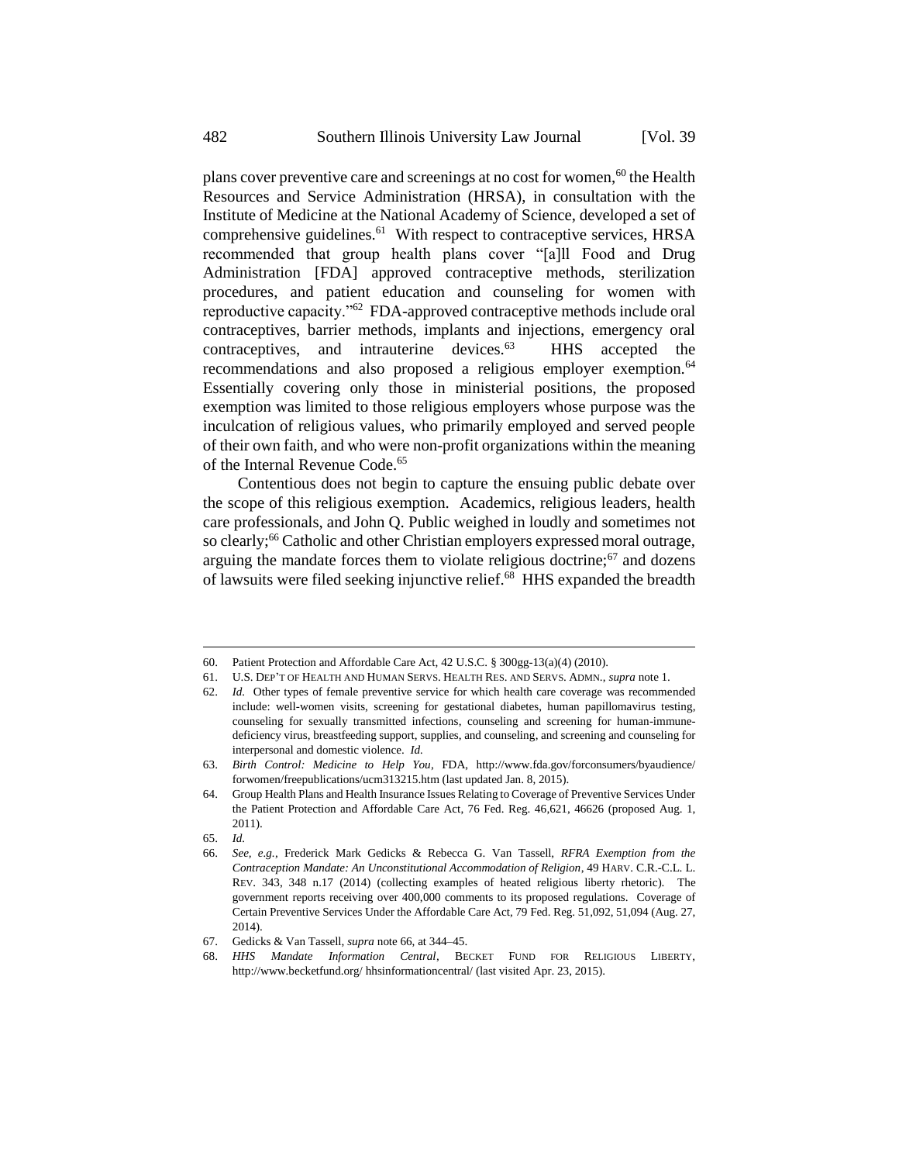plans cover preventive care and screenings at no cost for women,<sup>60</sup> the Health Resources and Service Administration (HRSA), in consultation with the Institute of Medicine at the National Academy of Science, developed a set of comprehensive guidelines.<sup>61</sup> With respect to contraceptive services, HRSA recommended that group health plans cover "[a]ll Food and Drug Administration [FDA] approved contraceptive methods, sterilization procedures, and patient education and counseling for women with reproductive capacity."<sup>62</sup> FDA-approved contraceptive methods include oral contraceptives, barrier methods, implants and injections, emergency oral contraceptives, and intrauterine devices.<sup>63</sup> HHS accepted the recommendations and also proposed a religious employer exemption.<sup>64</sup> Essentially covering only those in ministerial positions, the proposed exemption was limited to those religious employers whose purpose was the inculcation of religious values, who primarily employed and served people of their own faith, and who were non-profit organizations within the meaning of the Internal Revenue Code.<sup>65</sup>

<span id="page-7-0"></span>Contentious does not begin to capture the ensuing public debate over the scope of this religious exemption. Academics, religious leaders, health care professionals, and John Q. Public weighed in loudly and sometimes not so clearly;<sup>66</sup> Catholic and other Christian employers expressed moral outrage, arguing the mandate forces them to violate religious doctrine;<sup>67</sup> and dozens of lawsuits were filed seeking injunctive relief.<sup>68</sup> HHS expanded the breadth

<span id="page-7-1"></span>-

<sup>60.</sup> Patient Protection and Affordable Care Act, 42 U.S.C. § 300gg-13(a)(4) (2010).

<sup>61.</sup> U.S. DEP'T OF HEALTH AND HUMAN SERVS. HEALTH RES. AND SERVS. ADMN., *supra* note 1.

<sup>62.</sup> *Id.* Other types of female preventive service for which health care coverage was recommended include: well-women visits, screening for gestational diabetes, human papillomavirus testing, counseling for sexually transmitted infections, counseling and screening for human-immunedeficiency virus, breastfeeding support, supplies, and counseling, and screening and counseling for interpersonal and domestic violence. *Id.*

<sup>63.</sup> *Birth Control: Medicine to Help You*, FDA, http://www.fda.gov/forconsumers/byaudience/ forwomen/freepublications/ucm313215.htm (last updated Jan. 8, 2015).

<sup>64.</sup> Group Health Plans and Health Insurance Issues Relating to Coverage of Preventive Services Under the Patient Protection and Affordable Care Act, 76 Fed. Reg. 46,621, 46626 (proposed Aug. 1, 2011).

<sup>65.</sup> *Id.*

<sup>66.</sup> *See, e.g.*, Frederick Mark Gedicks & Rebecca G. Van Tassell, *RFRA Exemption from the Contraception Mandate: An Unconstitutional Accommodation of Religion*, 49 HARV. C.R.-C.L. L. REV. 343, 348 n.17 (2014) (collecting examples of heated religious liberty rhetoric). The government reports receiving over 400,000 comments to its proposed regulations. Coverage of Certain Preventive Services Under the Affordable Care Act, 79 Fed. Reg. 51,092, 51,094 (Aug. 27, 2014).

<sup>67.</sup> Gedicks & Van Tassell, *supra* not[e 66,](#page-7-0) at 344–45.

<sup>68.</sup> *HHS Mandate Information Central*, BECKET FUND FOR RELIGIOUS LIBERTY, http://www.becketfund.org/ hhsinformationcentral/ (last visited Apr. 23, 2015).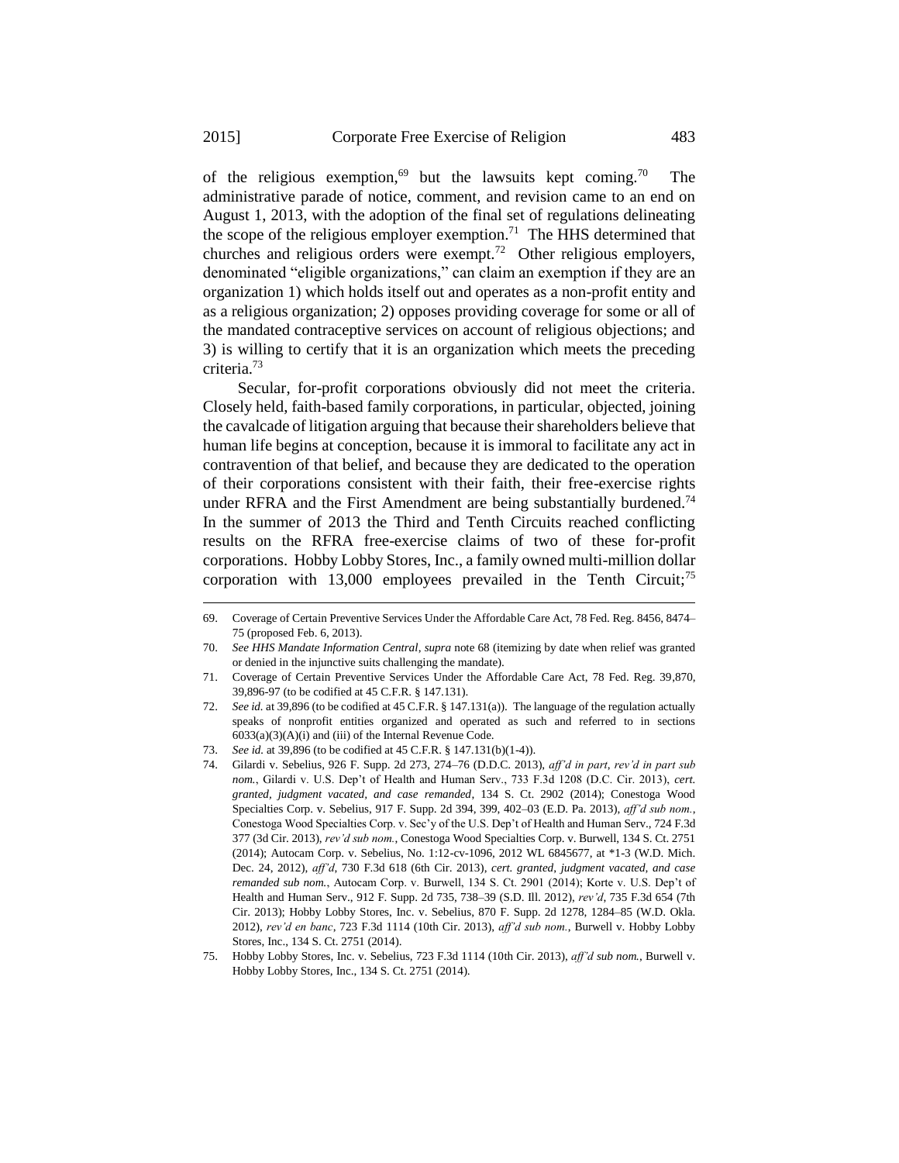of the religious exemption,<sup>69</sup> but the lawsuits kept coming.<sup>70</sup> The administrative parade of notice, comment, and revision came to an end on August 1, 2013, with the adoption of the final set of regulations delineating the scope of the religious employer exemption.<sup>71</sup> The HHS determined that churches and religious orders were exempt.<sup>72</sup> Other religious employers, denominated "eligible organizations," can claim an exemption if they are an organization 1) which holds itself out and operates as a non-profit entity and as a religious organization; 2) opposes providing coverage for some or all of the mandated contraceptive services on account of religious objections; and 3) is willing to certify that it is an organization which meets the preceding criteria.<sup>73</sup>

Secular, for-profit corporations obviously did not meet the criteria. Closely held, faith-based family corporations, in particular, objected, joining the cavalcade of litigation arguing that because their shareholders believe that human life begins at conception, because it is immoral to facilitate any act in contravention of that belief, and because they are dedicated to the operation of their corporations consistent with their faith, their free-exercise rights under RFRA and the First Amendment are being substantially burdened.<sup>74</sup> In the summer of 2013 the Third and Tenth Circuits reached conflicting results on the RFRA free-exercise claims of two of these for-profit corporations. Hobby Lobby Stores, Inc., a family owned multi-million dollar corporation with  $13,000$  employees prevailed in the Tenth Circuit;<sup>75</sup>

72. *See id.* at 39,896 (to be codified at 45 C.F.R. § 147.131(a)). The language of the regulation actually speaks of nonprofit entities organized and operated as such and referred to in sections  $6033(a)(3)(A)(i)$  and (iii) of the Internal Revenue Code.

74. Gilardi v. Sebelius, 926 F. Supp. 2d 273, 274–76 (D.D.C. 2013), *aff'd in part*, *rev'd in part sub nom.*, Gilardi v. U.S. Dep't of Health and Human Serv., 733 F.3d 1208 (D.C. Cir. 2013), *cert. granted, judgment vacated, and case remanded*, 134 S. Ct. 2902 (2014); Conestoga Wood Specialties Corp. v. Sebelius, 917 F. Supp. 2d 394, 399, 402–03 (E.D. Pa. 2013), *aff'd sub nom.*, Conestoga Wood Specialties Corp. v. Sec'y of the U.S. Dep't of Health and Human Serv., 724 F.3d 377 (3d Cir. 2013), *rev'd sub nom.*, Conestoga Wood Specialties Corp. v. Burwell, 134 S. Ct. 2751 (2014); Autocam Corp. v. Sebelius, No. 1:12-cv-1096, 2012 WL 6845677, at \*1-3 (W.D. Mich. Dec. 24, 2012), *aff'd*, 730 F.3d 618 (6th Cir. 2013), *cert. granted*, *judgment vacated, and case remanded sub nom.*, Autocam Corp. v. Burwell, 134 S. Ct. 2901 (2014); Korte v. U.S. Dep't of Health and Human Serv., 912 F. Supp. 2d 735, 738–39 (S.D. Ill. 2012), *rev'd*, 735 F.3d 654 (7th Cir. 2013); Hobby Lobby Stores, Inc. v. Sebelius, 870 F. Supp. 2d 1278, 1284–85 (W.D. Okla. 2012), *rev'd en banc*, 723 F.3d 1114 (10th Cir. 2013), *aff'd sub nom.*, Burwell v. Hobby Lobby Stores, Inc., 134 S. Ct. 2751 (2014).

<sup>69.</sup> Coverage of Certain Preventive Services Under the Affordable Care Act, 78 Fed. Reg. 8456, 8474– 75 (proposed Feb. 6, 2013).

<sup>70.</sup> *See HHS Mandate Information Central*, *supra* not[e 68](#page-7-1) (itemizing by date when relief was granted or denied in the injunctive suits challenging the mandate).

<sup>71.</sup> Coverage of Certain Preventive Services Under the Affordable Care Act, 78 Fed. Reg. 39,870, 39,896-97 (to be codified at 45 C.F.R. § 147.131).

<sup>73.</sup> *See id.* at 39,896 (to be codified at 45 C.F.R. § 147.131(b)(1-4)).

<sup>75.</sup> Hobby Lobby Stores, Inc. v. Sebelius, 723 F.3d 1114 (10th Cir. 2013), *aff'd sub nom.*, Burwell v. Hobby Lobby Stores, Inc., 134 S. Ct. 2751 (2014).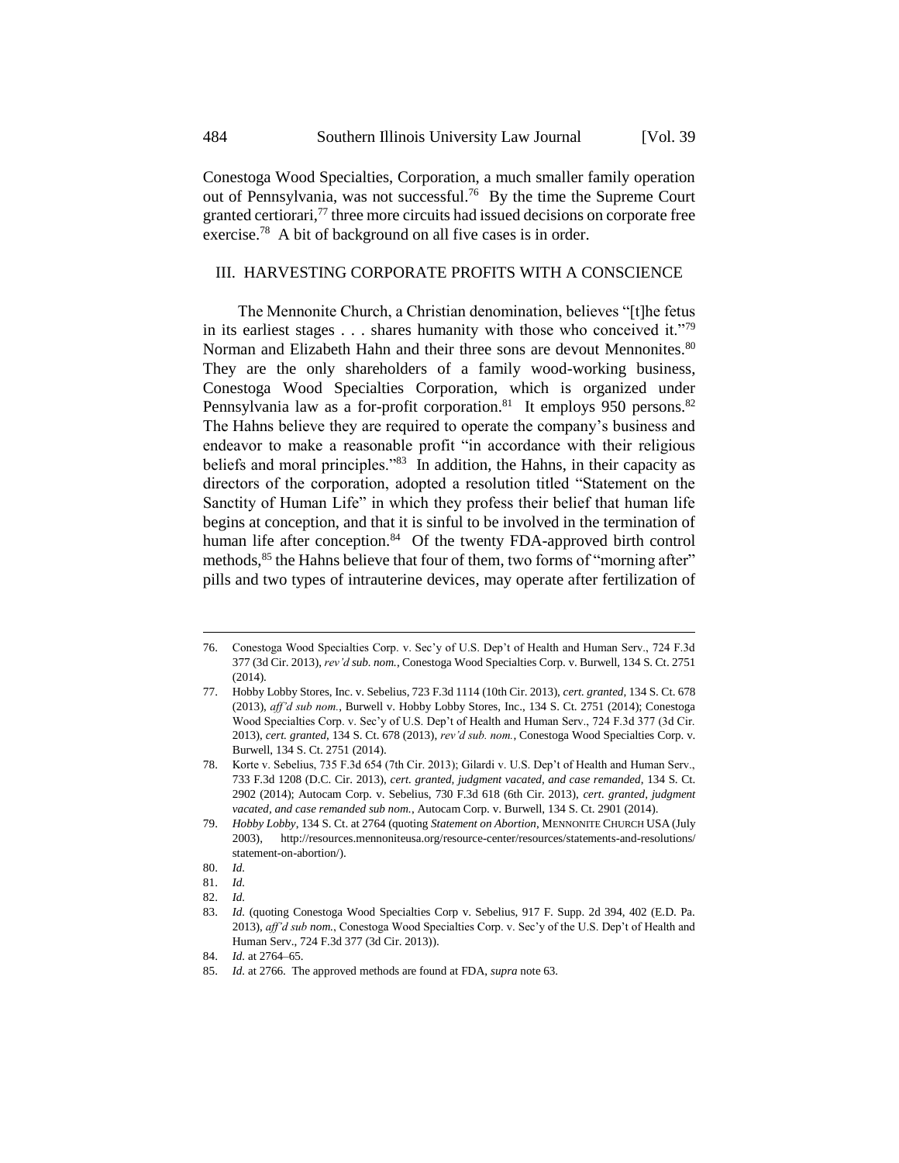Conestoga Wood Specialties, Corporation, a much smaller family operation out of Pennsylvania, was not successful.<sup>76</sup> By the time the Supreme Court granted certiorari, $77$  three more circuits had issued decisions on corporate free exercise.<sup>78</sup> A bit of background on all five cases is in order.

## III. HARVESTING CORPORATE PROFITS WITH A CONSCIENCE

The Mennonite Church, a Christian denomination, believes "[t]he fetus in its earliest stages  $\dots$  shares humanity with those who conceived it."<sup>79</sup> Norman and Elizabeth Hahn and their three sons are devout Mennonites.<sup>80</sup> They are the only shareholders of a family wood-working business, Conestoga Wood Specialties Corporation, which is organized under Pennsylvania law as a for-profit corporation.<sup>81</sup> It employs 950 persons.<sup>82</sup> The Hahns believe they are required to operate the company's business and endeavor to make a reasonable profit "in accordance with their religious beliefs and moral principles."<sup>83</sup> In addition, the Hahns, in their capacity as directors of the corporation, adopted a resolution titled "Statement on the Sanctity of Human Life" in which they profess their belief that human life begins at conception, and that it is sinful to be involved in the termination of human life after conception.<sup>84</sup> Of the twenty FDA-approved birth control methods, <sup>85</sup> the Hahns believe that four of them, two forms of "morning after" pills and two types of intrauterine devices, may operate after fertilization of

<sup>76.</sup> Conestoga Wood Specialties Corp. v. Sec'y of U.S. Dep't of Health and Human Serv., 724 F.3d 377 (3d Cir. 2013), *rev'd sub. nom.*, Conestoga Wood Specialties Corp. v. Burwell, 134 S. Ct. 2751 (2014).

<sup>77.</sup> Hobby Lobby Stores, Inc. v. Sebelius, 723 F.3d 1114 (10th Cir. 2013), *cert. granted*, 134 S. Ct. 678 (2013), *aff'd sub nom.*, Burwell v. Hobby Lobby Stores, Inc., 134 S. Ct. 2751 (2014); Conestoga Wood Specialties Corp. v. Sec'y of U.S. Dep't of Health and Human Serv., 724 F.3d 377 (3d Cir. 2013), *cert. granted*, 134 S. Ct. 678 (2013), *rev'd sub. nom.*, Conestoga Wood Specialties Corp. v. Burwell, 134 S. Ct. 2751 (2014).

<sup>78.</sup> Korte v. Sebelius, 735 F.3d 654 (7th Cir. 2013); Gilardi v. U.S. Dep't of Health and Human Serv., 733 F.3d 1208 (D.C. Cir. 2013), *cert. granted, judgment vacated, and case remanded*, 134 S. Ct. 2902 (2014); Autocam Corp. v. Sebelius, 730 F.3d 618 (6th Cir. 2013), *cert. granted, judgment vacated, and case remanded sub nom.*, Autocam Corp. v. Burwell, 134 S. Ct. 2901 (2014).

<sup>79.</sup> *Hobby Lobby*, 134 S. Ct. at 2764 (quoting *Statement on Abortion*, MENNONITE CHURCH USA (July 2003), http://resources.mennoniteusa.org/resource-center/resources/statements-and-resolutions/ statement-on-abortion/).

<sup>80.</sup> *Id.*

<sup>81.</sup> *Id.*

<sup>82.</sup> *Id.* 

<sup>83.</sup> *Id.* (quoting Conestoga Wood Specialties Corp v. Sebelius, 917 F. Supp. 2d 394, 402 (E.D. Pa. 2013), *aff'd sub nom.*, Conestoga Wood Specialties Corp. v. Sec'y of the U.S. Dep't of Health and Human Serv., 724 F.3d 377 (3d Cir. 2013)).

<sup>84.</sup> *Id.* at 2764–65.

<sup>85.</sup> *Id.* at 2766. The approved methods are found at FDA, *supra* note 63.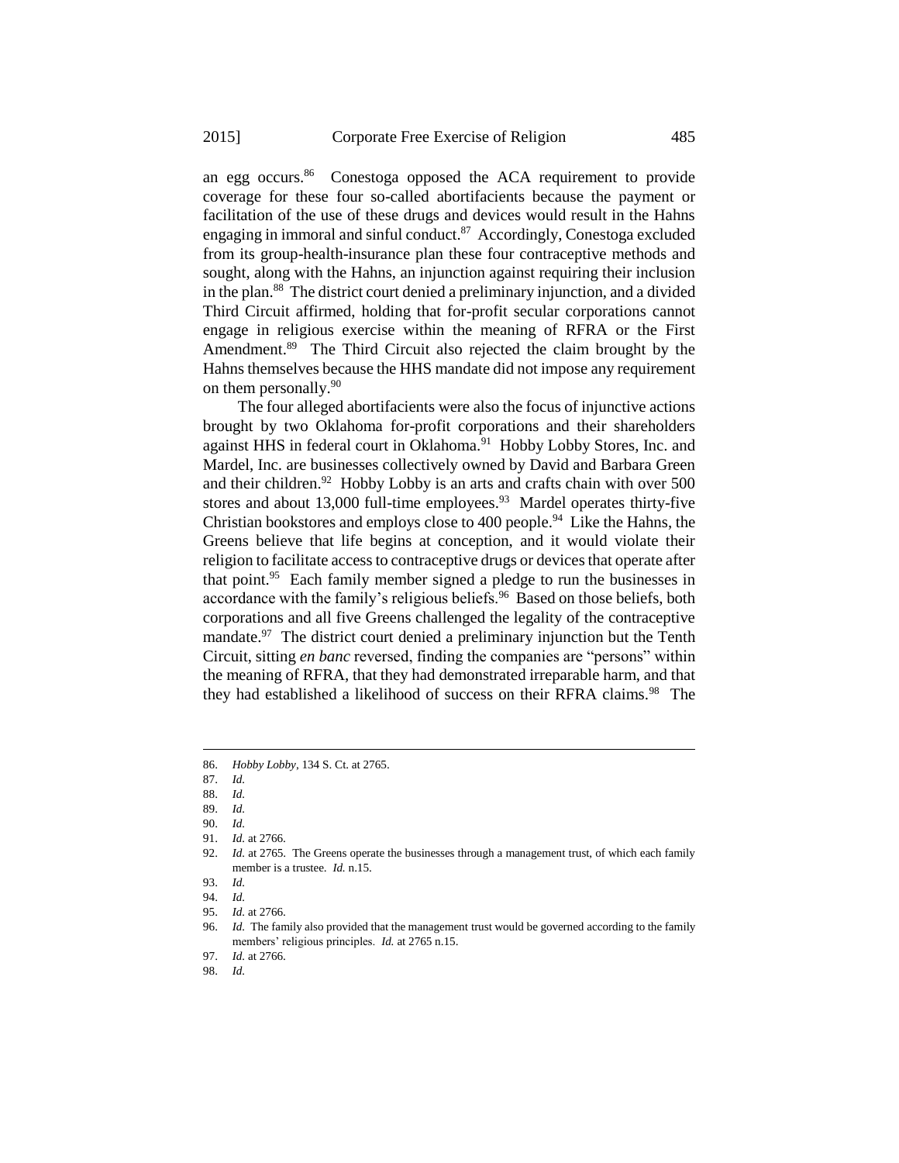an egg occurs.<sup>86</sup> Conestoga opposed the ACA requirement to provide coverage for these four so-called abortifacients because the payment or facilitation of the use of these drugs and devices would result in the Hahns engaging in immoral and sinful conduct.<sup>87</sup> Accordingly, Conestoga excluded from its group-health-insurance plan these four contraceptive methods and sought, along with the Hahns, an injunction against requiring their inclusion in the plan.<sup>88</sup> The district court denied a preliminary injunction, and a divided Third Circuit affirmed, holding that for-profit secular corporations cannot engage in religious exercise within the meaning of RFRA or the First Amendment.<sup>89</sup> The Third Circuit also rejected the claim brought by the Hahns themselves because the HHS mandate did not impose any requirement on them personally.<sup>90</sup>

The four alleged abortifacients were also the focus of injunctive actions brought by two Oklahoma for-profit corporations and their shareholders against HHS in federal court in Oklahoma.<sup>91</sup> Hobby Lobby Stores, Inc. and Mardel, Inc. are businesses collectively owned by David and Barbara Green and their children.<sup>92</sup> Hobby Lobby is an arts and crafts chain with over 500 stores and about 13,000 full-time employees. $93$  Mardel operates thirty-five Christian bookstores and employs close to 400 people.<sup>94</sup> Like the Hahns, the Greens believe that life begins at conception, and it would violate their religion to facilitate access to contraceptive drugs or devices that operate after that point.<sup>95</sup> Each family member signed a pledge to run the businesses in accordance with the family's religious beliefs.<sup>96</sup> Based on those beliefs, both corporations and all five Greens challenged the legality of the contraceptive mandate.<sup>97</sup> The district court denied a preliminary injunction but the Tenth Circuit, sitting *en banc* reversed, finding the companies are "persons" within the meaning of RFRA, that they had demonstrated irreparable harm, and that they had established a likelihood of success on their RFRA claims.<sup>98</sup> The

1

- 89. *Id.*
- 90. *Id.*
- 91. *Id.* at 2766.

97. *Id.* at 2766.

98. *Id.*

<sup>86.</sup> *Hobby Lobby*, 134 S. Ct. at 2765.

<sup>87.</sup> *Id.*

<sup>88.</sup> *Id.*

<sup>92.</sup> *Id.* at 2765. The Greens operate the businesses through a management trust, of which each family member is a trustee. *Id.* n.15.

<sup>93.</sup> *Id.*

<sup>94.</sup> *Id.*

<sup>95.</sup> *Id.* at 2766.

<sup>96.</sup> *Id.* The family also provided that the management trust would be governed according to the family members' religious principles. *Id.* at 2765 n.15.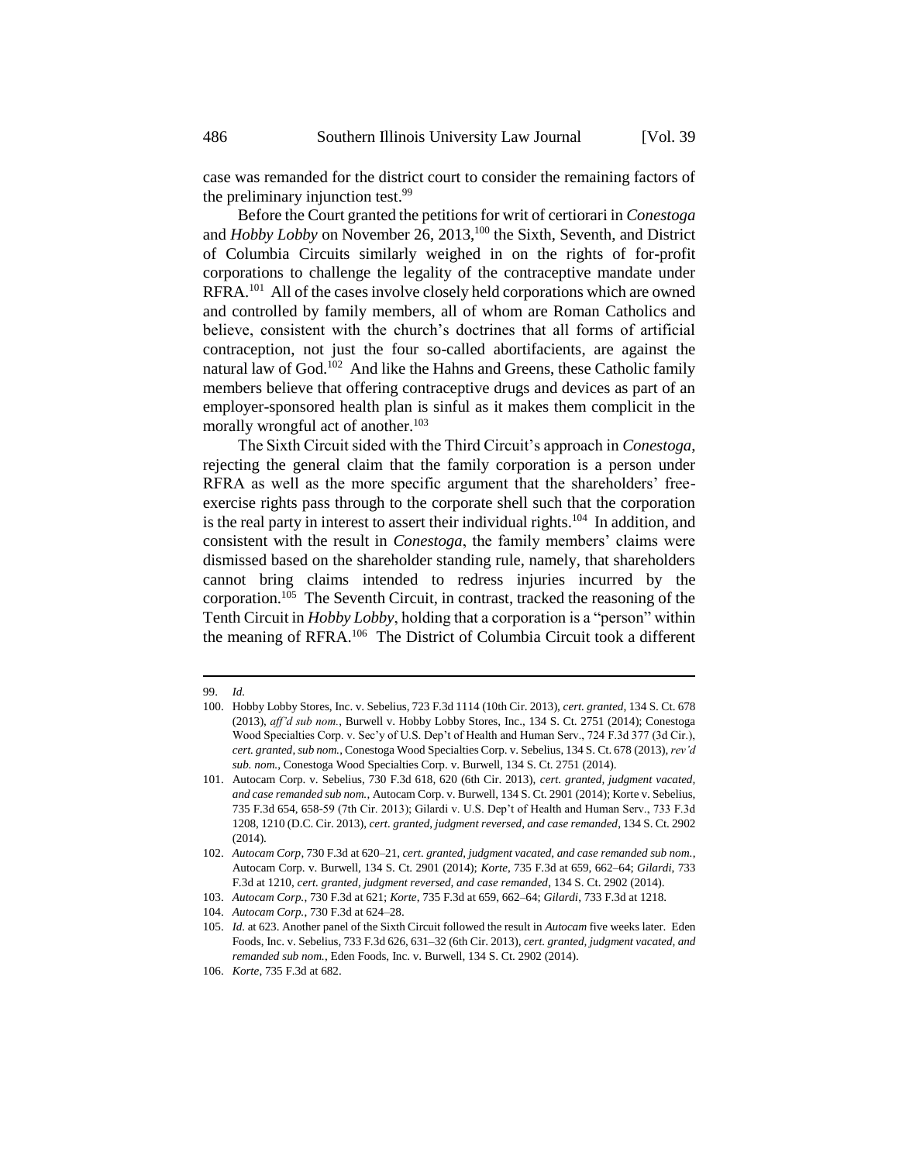case was remanded for the district court to consider the remaining factors of the preliminary injunction test.<sup>99</sup>

Before the Court granted the petitions for writ of certiorari in *Conestoga* and *Hobby Lobby* on November 26, 2013,<sup>100</sup> the Sixth, Seventh, and District of Columbia Circuits similarly weighed in on the rights of for-profit corporations to challenge the legality of the contraceptive mandate under RFRA.<sup>101</sup> All of the cases involve closely held corporations which are owned and controlled by family members, all of whom are Roman Catholics and believe, consistent with the church's doctrines that all forms of artificial contraception, not just the four so-called abortifacients, are against the natural law of God.<sup>102</sup> And like the Hahns and Greens, these Catholic family members believe that offering contraceptive drugs and devices as part of an employer-sponsored health plan is sinful as it makes them complicit in the morally wrongful act of another. $103$ 

The Sixth Circuit sided with the Third Circuit's approach in *Conestoga*, rejecting the general claim that the family corporation is a person under RFRA as well as the more specific argument that the shareholders' freeexercise rights pass through to the corporate shell such that the corporation is the real party in interest to assert their individual rights.<sup>104</sup> In addition, and consistent with the result in *Conestoga*, the family members' claims were dismissed based on the shareholder standing rule, namely, that shareholders cannot bring claims intended to redress injuries incurred by the corporation.<sup>105</sup> The Seventh Circuit, in contrast, tracked the reasoning of the Tenth Circuit in *Hobby Lobby*, holding that a corporation is a "person" within the meaning of RFRA.<sup>106</sup> The District of Columbia Circuit took a different

<sup>99.</sup> *Id.*

<sup>100.</sup> Hobby Lobby Stores, Inc. v. Sebelius, 723 F.3d 1114 (10th Cir. 2013), *cert. granted*, 134 S. Ct. 678 (2013), *aff'd sub nom.*, Burwell v. Hobby Lobby Stores, Inc., 134 S. Ct. 2751 (2014); Conestoga Wood Specialties Corp. v. Sec'y of U.S. Dep't of Health and Human Serv., 724 F.3d 377 (3d Cir.), *cert. granted*, *sub nom.*, Conestoga Wood Specialties Corp. v. Sebelius, 134 S. Ct. 678 (2013), *rev'd sub. nom.*, Conestoga Wood Specialties Corp. v. Burwell, 134 S. Ct. 2751 (2014).

<sup>101.</sup> Autocam Corp. v. Sebelius, 730 F.3d 618, 620 (6th Cir. 2013), *cert. granted, judgment vacated, and case remanded sub nom.*, Autocam Corp. v. Burwell, 134 S. Ct. 2901 (2014); Korte v. Sebelius, 735 F.3d 654, 658-59 (7th Cir. 2013); Gilardi v. U.S. Dep't of Health and Human Serv., 733 F.3d 1208, 1210 (D.C. Cir. 2013), *cert. granted*, *judgment reversed, and case remanded*, 134 S. Ct. 2902 (2014).

<sup>102.</sup> *Autocam Corp*, 730 F.3d at 620–21, *cert. granted, judgment vacated, and case remanded sub nom.*, Autocam Corp. v. Burwell, 134 S. Ct. 2901 (2014); *Korte*, 735 F.3d at 659, 662–64; *Gilardi*, 733 F.3d at 1210, *cert. granted, judgment reversed, and case remanded*, 134 S. Ct. 2902 (2014).

<sup>103.</sup> *Autocam Corp.*, 730 F.3d at 621; *Korte*, 735 F.3d at 659, 662–64; *Gilardi*, 733 F.3d at 1218.

<sup>104.</sup> *Autocam Corp.*, 730 F.3d at 624–28.

<sup>105.</sup> *Id.* at 623. Another panel of the Sixth Circuit followed the result in *Autocam* five weeks later. Eden Foods, Inc. v. Sebelius, 733 F.3d 626, 631–32 (6th Cir. 2013), *cert. granted, judgment vacated, and remanded sub nom.*, Eden Foods, Inc. v. Burwell, 134 S. Ct. 2902 (2014).

<sup>106.</sup> *Korte*, 735 F.3d at 682.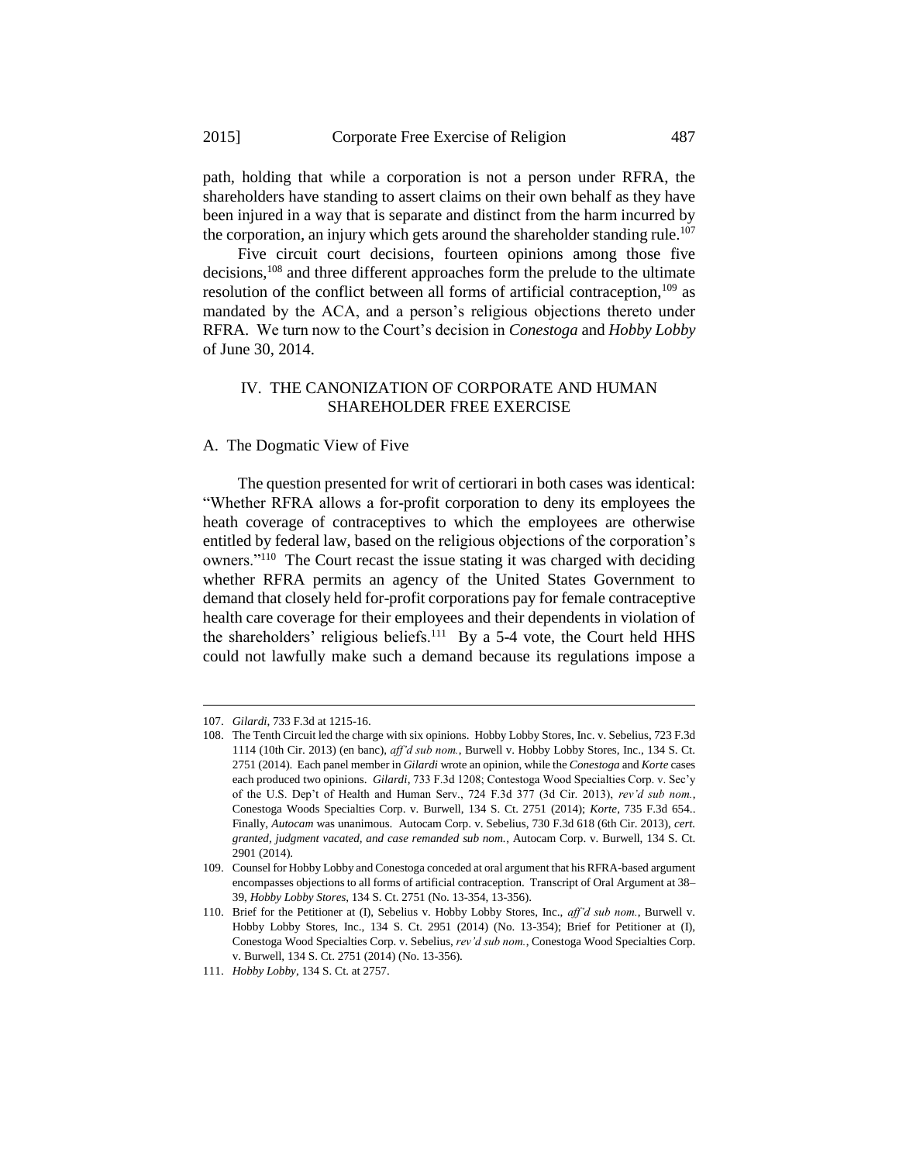path, holding that while a corporation is not a person under RFRA, the shareholders have standing to assert claims on their own behalf as they have been injured in a way that is separate and distinct from the harm incurred by the corporation, an injury which gets around the shareholder standing rule.<sup>107</sup>

Five circuit court decisions, fourteen opinions among those five decisions,<sup>108</sup> and three different approaches form the prelude to the ultimate resolution of the conflict between all forms of artificial contraception, $109$  as mandated by the ACA, and a person's religious objections thereto under RFRA. We turn now to the Court's decision in *Conestoga* and *Hobby Lobby* of June 30, 2014.

#### IV. THE CANONIZATION OF CORPORATE AND HUMAN SHAREHOLDER FREE EXERCISE

A. The Dogmatic View of Five

The question presented for writ of certiorari in both cases was identical: "Whether RFRA allows a for-profit corporation to deny its employees the heath coverage of contraceptives to which the employees are otherwise entitled by federal law, based on the religious objections of the corporation's owners."<sup>110</sup> The Court recast the issue stating it was charged with deciding whether RFRA permits an agency of the United States Government to demand that closely held for-profit corporations pay for female contraceptive health care coverage for their employees and their dependents in violation of the shareholders' religious beliefs.<sup>111</sup> By a 5-4 vote, the Court held HHS could not lawfully make such a demand because its regulations impose a

<sup>107.</sup> *Gilardi*, 733 F.3d at 1215-16.

<sup>108.</sup> The Tenth Circuit led the charge with six opinions. Hobby Lobby Stores, Inc. v. Sebelius, 723 F.3d 1114 (10th Cir. 2013) (en banc), *aff'd sub nom.*, Burwell v. Hobby Lobby Stores, Inc., 134 S. Ct. 2751 (2014). Each panel member in *Gilardi* wrote an opinion, while the *Conestoga* and *Korte* cases each produced two opinions. *Gilardi*, 733 F.3d 1208; Contestoga Wood Specialties Corp. v. Sec'y of the U.S. Dep't of Health and Human Serv., 724 F.3d 377 (3d Cir. 2013), *rev'd sub nom.*, Conestoga Woods Specialties Corp. v. Burwell, 134 S. Ct. 2751 (2014); *Korte*, 735 F.3d 654.. Finally, *Autocam* was unanimous. Autocam Corp. v. Sebelius, 730 F.3d 618 (6th Cir. 2013), *cert. granted, judgment vacated, and case remanded sub nom.*, Autocam Corp. v. Burwell, 134 S. Ct. 2901 (2014).

<sup>109.</sup> Counsel for Hobby Lobby and Conestoga conceded at oral argument that his RFRA-based argument encompasses objections to all forms of artificial contraception. Transcript of Oral Argument at 38– 39, *Hobby Lobby Stores*, 134 S. Ct. 2751 (No. 13-354, 13-356).

<sup>110.</sup> Brief for the Petitioner at (I), Sebelius v. Hobby Lobby Stores, Inc., *aff'd sub nom.*, Burwell v. Hobby Lobby Stores, Inc., 134 S. Ct. 2951 (2014) (No. 13-354); Brief for Petitioner at (I), Conestoga Wood Specialties Corp. v. Sebelius, *rev'd sub nom.*, Conestoga Wood Specialties Corp. v. Burwell, 134 S. Ct. 2751 (2014) (No. 13-356).

<sup>111.</sup> *Hobby Lobby*, 134 S. Ct. at 2757.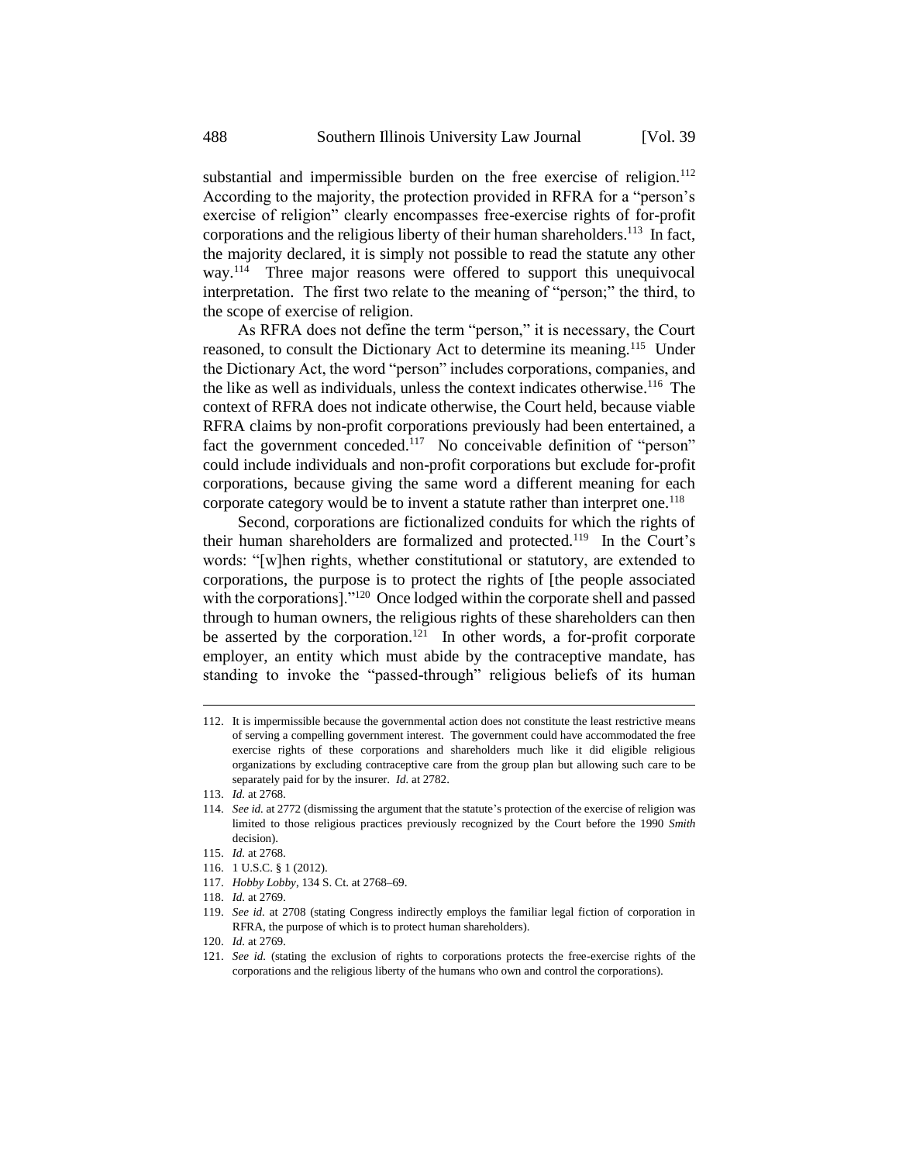substantial and impermissible burden on the free exercise of religion.<sup>112</sup> According to the majority, the protection provided in RFRA for a "person's exercise of religion" clearly encompasses free-exercise rights of for-profit corporations and the religious liberty of their human shareholders.<sup>113</sup> In fact, the majority declared, it is simply not possible to read the statute any other way.<sup>114</sup> Three major reasons were offered to support this unequivocal interpretation. The first two relate to the meaning of "person;" the third, to the scope of exercise of religion.

As RFRA does not define the term "person," it is necessary, the Court reasoned, to consult the Dictionary Act to determine its meaning.<sup>115</sup> Under the Dictionary Act, the word "person" includes corporations, companies, and the like as well as individuals, unless the context indicates otherwise.<sup>116</sup> The context of RFRA does not indicate otherwise, the Court held, because viable RFRA claims by non-profit corporations previously had been entertained, a fact the government conceded.<sup>117</sup> No conceivable definition of "person" could include individuals and non-profit corporations but exclude for-profit corporations, because giving the same word a different meaning for each corporate category would be to invent a statute rather than interpret one.<sup>118</sup>

Second, corporations are fictionalized conduits for which the rights of their human shareholders are formalized and protected.<sup>119</sup> In the Court's words: "[w]hen rights, whether constitutional or statutory, are extended to corporations, the purpose is to protect the rights of [the people associated with the corporations]."<sup>120</sup> Once lodged within the corporate shell and passed through to human owners, the religious rights of these shareholders can then be asserted by the corporation.<sup>121</sup> In other words, a for-profit corporate employer, an entity which must abide by the contraceptive mandate, has standing to invoke the "passed-through" religious beliefs of its human

<sup>112.</sup> It is impermissible because the governmental action does not constitute the least restrictive means of serving a compelling government interest. The government could have accommodated the free exercise rights of these corporations and shareholders much like it did eligible religious organizations by excluding contraceptive care from the group plan but allowing such care to be separately paid for by the insurer. *Id.* at 2782.

<sup>113.</sup> *Id.* at 2768.

<sup>114.</sup> *See id.* at 2772 (dismissing the argument that the statute's protection of the exercise of religion was limited to those religious practices previously recognized by the Court before the 1990 *Smith* decision).

<sup>115.</sup> *Id.* at 2768.

<sup>116.</sup> 1 U.S.C. § 1 (2012).

<sup>117.</sup> *Hobby Lobby*, 134 S. Ct. at 2768–69.

<sup>118.</sup> *Id.* at 2769.

<sup>119.</sup> *See id.* at 2708 (stating Congress indirectly employs the familiar legal fiction of corporation in RFRA, the purpose of which is to protect human shareholders).

<sup>120.</sup> *Id.* at 2769.

<sup>121.</sup> *See id.* (stating the exclusion of rights to corporations protects the free-exercise rights of the corporations and the religious liberty of the humans who own and control the corporations).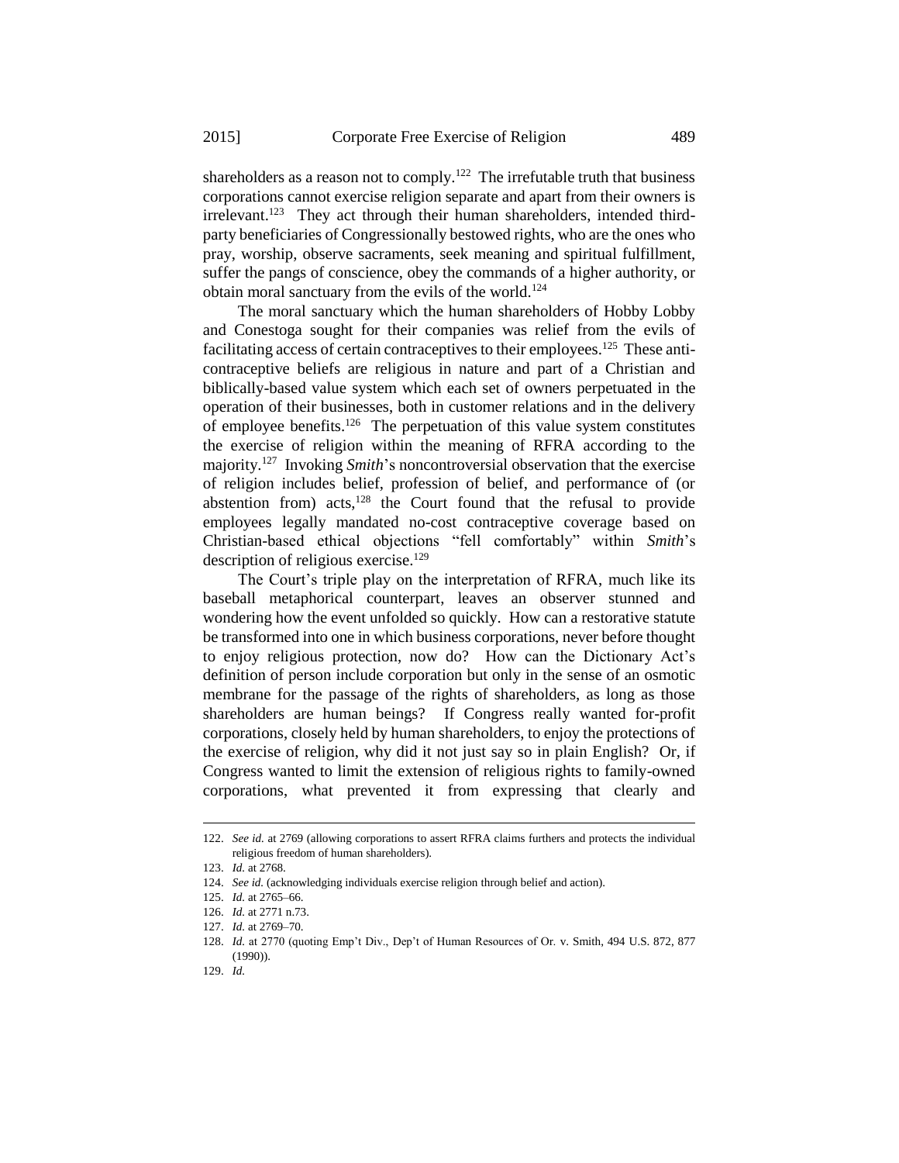shareholders as a reason not to comply.<sup>122</sup> The irrefutable truth that business corporations cannot exercise religion separate and apart from their owners is irrelevant.<sup>123</sup> They act through their human shareholders, intended thirdparty beneficiaries of Congressionally bestowed rights, who are the ones who pray, worship, observe sacraments, seek meaning and spiritual fulfillment, suffer the pangs of conscience, obey the commands of a higher authority, or obtain moral sanctuary from the evils of the world.<sup>124</sup>

The moral sanctuary which the human shareholders of Hobby Lobby and Conestoga sought for their companies was relief from the evils of facilitating access of certain contraceptives to their employees.<sup>125</sup> These anticontraceptive beliefs are religious in nature and part of a Christian and biblically-based value system which each set of owners perpetuated in the operation of their businesses, both in customer relations and in the delivery of employee benefits.<sup>126</sup> The perpetuation of this value system constitutes the exercise of religion within the meaning of RFRA according to the majority.<sup>127</sup> Invoking *Smith*'s noncontroversial observation that the exercise of religion includes belief, profession of belief, and performance of (or abstention from) acts, $128$  the Court found that the refusal to provide employees legally mandated no-cost contraceptive coverage based on Christian-based ethical objections "fell comfortably" within *Smith*'s description of religious exercise.<sup>129</sup>

The Court's triple play on the interpretation of RFRA, much like its baseball metaphorical counterpart, leaves an observer stunned and wondering how the event unfolded so quickly. How can a restorative statute be transformed into one in which business corporations, never before thought to enjoy religious protection, now do? How can the Dictionary Act's definition of person include corporation but only in the sense of an osmotic membrane for the passage of the rights of shareholders, as long as those shareholders are human beings? If Congress really wanted for-profit corporations, closely held by human shareholders, to enjoy the protections of the exercise of religion, why did it not just say so in plain English? Or, if Congress wanted to limit the extension of religious rights to family-owned corporations, what prevented it from expressing that clearly and

-

<sup>122.</sup> *See id.* at 2769 (allowing corporations to assert RFRA claims furthers and protects the individual religious freedom of human shareholders).

<sup>123.</sup> *Id.* at 2768.

<sup>124.</sup> *See id.* (acknowledging individuals exercise religion through belief and action).

<sup>125.</sup> *Id.* at 2765–66.

<sup>126.</sup> *Id.* at 2771 n.73.

<sup>127.</sup> *Id.* at 2769–70.

<sup>128.</sup> *Id.* at 2770 (quoting Emp't Div., Dep't of Human Resources of Or. v. Smith, 494 U.S. 872, 877 (1990)).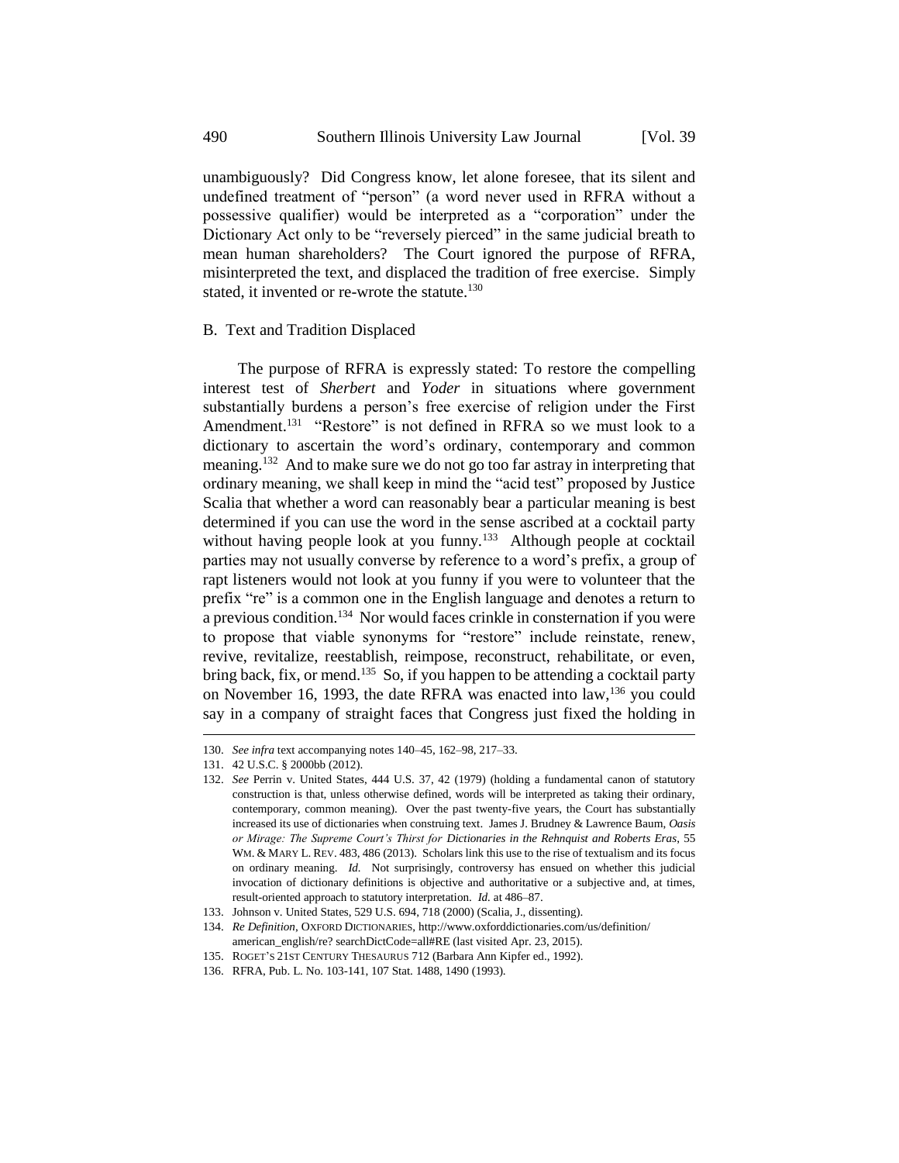unambiguously? Did Congress know, let alone foresee, that its silent and undefined treatment of "person" (a word never used in RFRA without a possessive qualifier) would be interpreted as a "corporation" under the Dictionary Act only to be "reversely pierced" in the same judicial breath to mean human shareholders? The Court ignored the purpose of RFRA, misinterpreted the text, and displaced the tradition of free exercise. Simply stated, it invented or re-wrote the statute.<sup>130</sup>

#### B. Text and Tradition Displaced

The purpose of RFRA is expressly stated: To restore the compelling interest test of *Sherbert* and *Yoder* in situations where government substantially burdens a person's free exercise of religion under the First Amendment.<sup>131</sup> "Restore" is not defined in RFRA so we must look to a dictionary to ascertain the word's ordinary, contemporary and common meaning.<sup>132</sup> And to make sure we do not go too far astray in interpreting that ordinary meaning, we shall keep in mind the "acid test" proposed by Justice Scalia that whether a word can reasonably bear a particular meaning is best determined if you can use the word in the sense ascribed at a cocktail party without having people look at you funny.<sup>133</sup> Although people at cocktail parties may not usually converse by reference to a word's prefix, a group of rapt listeners would not look at you funny if you were to volunteer that the prefix "re" is a common one in the English language and denotes a return to  $a$  previous condition.<sup>134</sup> Nor would faces crinkle in consternation if you were to propose that viable synonyms for "restore" include reinstate, renew, revive, revitalize, reestablish, reimpose, reconstruct, rehabilitate, or even, bring back, fix, or mend.<sup>135</sup> So, if you happen to be attending a cocktail party on November 16, 1993, the date RFRA was enacted into law, <sup>136</sup> you could say in a company of straight faces that Congress just fixed the holding in

-

<sup>130.</sup> *See infra* text accompanying notes 140–45, 162–98, 217–33.

<sup>131.</sup> 42 U.S.C. § 2000bb (2012).

<sup>132.</sup> *See* Perrin v. United States, 444 U.S. 37, 42 (1979) (holding a fundamental canon of statutory construction is that, unless otherwise defined, words will be interpreted as taking their ordinary, contemporary, common meaning). Over the past twenty-five years, the Court has substantially increased its use of dictionaries when construing text. James J. Brudney & Lawrence Baum, *Oasis or Mirage: The Supreme Court's Thirst for Dictionaries in the Rehnquist and Roberts Eras*, 55 WM. & MARY L. REV. 483, 486 (2013). Scholars link this use to the rise of textualism and its focus on ordinary meaning. *Id.* Not surprisingly, controversy has ensued on whether this judicial invocation of dictionary definitions is objective and authoritative or a subjective and, at times, result-oriented approach to statutory interpretation. *Id.* at 486–87.

<sup>133.</sup> Johnson v. United States, 529 U.S. 694, 718 (2000) (Scalia, J., dissenting).

<sup>134.</sup> *Re Definition*, OXFORD DICTIONARIES, http://www.oxforddictionaries.com/us/definition/

american\_english/re? searchDictCode=all#RE (last visited Apr. 23, 2015). 135. ROGET'S 21ST CENTURY THESAURUS 712 (Barbara Ann Kipfer ed., 1992).

<sup>136.</sup> RFRA, Pub. L. No. 103-141, 107 Stat. 1488, 1490 (1993).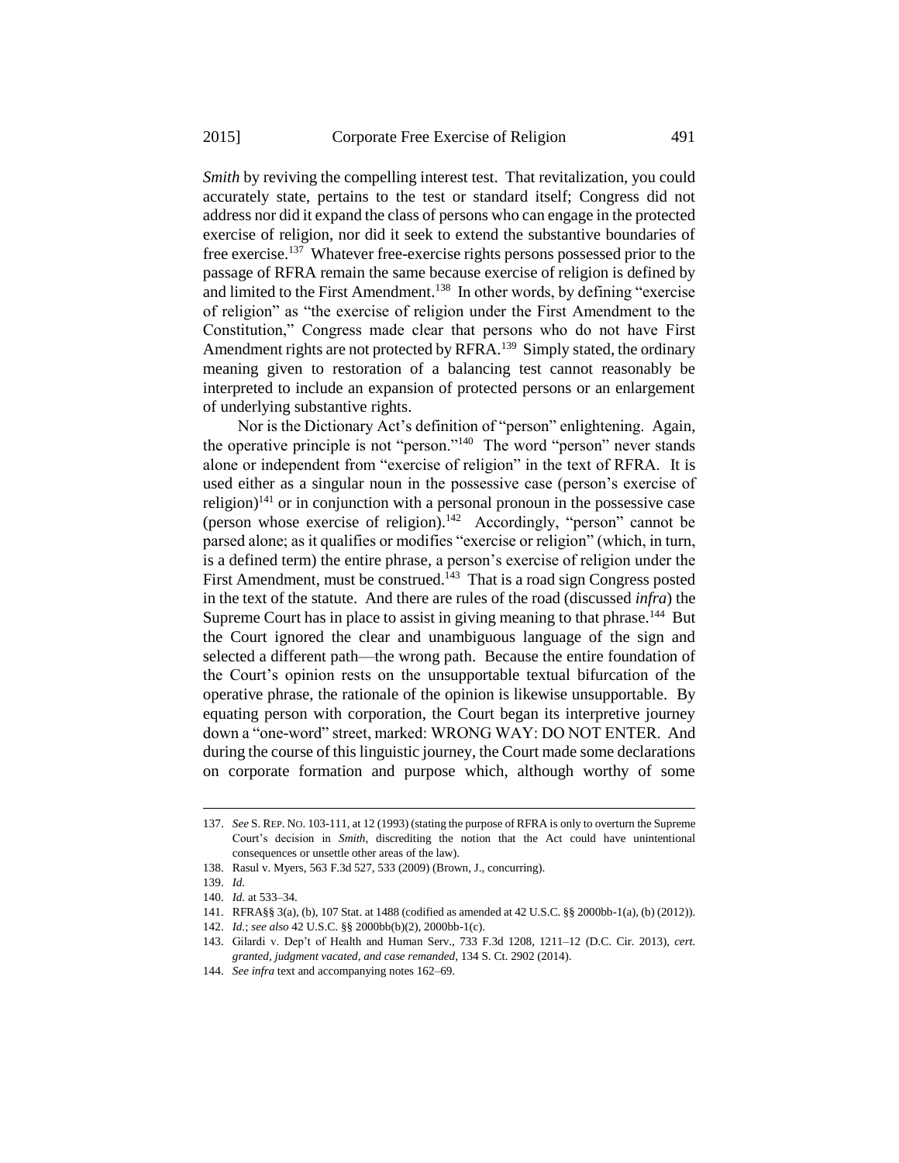*Smith* by reviving the compelling interest test. That revitalization, you could accurately state, pertains to the test or standard itself; Congress did not address nor did it expand the class of persons who can engage in the protected exercise of religion, nor did it seek to extend the substantive boundaries of free exercise.<sup>137</sup> Whatever free-exercise rights persons possessed prior to the passage of RFRA remain the same because exercise of religion is defined by and limited to the First Amendment.<sup>138</sup> In other words, by defining "exercise" of religion" as "the exercise of religion under the First Amendment to the Constitution," Congress made clear that persons who do not have First Amendment rights are not protected by RFRA.<sup>139</sup> Simply stated, the ordinary meaning given to restoration of a balancing test cannot reasonably be interpreted to include an expansion of protected persons or an enlargement of underlying substantive rights.

Nor is the Dictionary Act's definition of "person" enlightening. Again, the operative principle is not "person."<sup>140</sup> The word "person" never stands alone or independent from "exercise of religion" in the text of RFRA. It is used either as a singular noun in the possessive case (person's exercise of religion)<sup>141</sup> or in conjunction with a personal pronoun in the possessive case (person whose exercise of religion).<sup>142</sup> Accordingly, "person" cannot be parsed alone; as it qualifies or modifies "exercise or religion" (which, in turn, is a defined term) the entire phrase, a person's exercise of religion under the First Amendment, must be construed.<sup>143</sup> That is a road sign Congress posted in the text of the statute. And there are rules of the road (discussed *infra*) the Supreme Court has in place to assist in giving meaning to that phrase.<sup>144</sup> But the Court ignored the clear and unambiguous language of the sign and selected a different path—the wrong path. Because the entire foundation of the Court's opinion rests on the unsupportable textual bifurcation of the operative phrase, the rationale of the opinion is likewise unsupportable. By equating person with corporation, the Court began its interpretive journey down a "one-word" street, marked: WRONG WAY: DO NOT ENTER. And during the course of this linguistic journey, the Court made some declarations on corporate formation and purpose which, although worthy of some

<sup>137.</sup> *See* S. REP. NO. 103-111, at 12 (1993) (stating the purpose of RFRA is only to overturn the Supreme Court's decision in *Smith*, discrediting the notion that the Act could have unintentional consequences or unsettle other areas of the law).

<sup>138.</sup> Rasul v. Myers, 563 F.3d 527, 533 (2009) (Brown, J., concurring).

<sup>139.</sup> *Id.*

<sup>140.</sup> *Id.* at 533–34.

<sup>141.</sup> RFRA§§ 3(a), (b), 107 Stat. at 1488 (codified as amended at 42 U.S.C. §§ 2000bb-1(a), (b) (2012)).

<sup>142.</sup> *Id.*; *see also* 42 U.S.C. §§ 2000bb(b)(2), 2000bb-1(c).

<sup>143.</sup> Gilardi v. Dep't of Health and Human Serv., 733 F.3d 1208, 1211–12 (D.C. Cir. 2013), *cert. granted, judgment vacated, and case remanded*, 134 S. Ct. 2902 (2014).

<sup>144.</sup> *See infra* text and accompanying notes 162–69.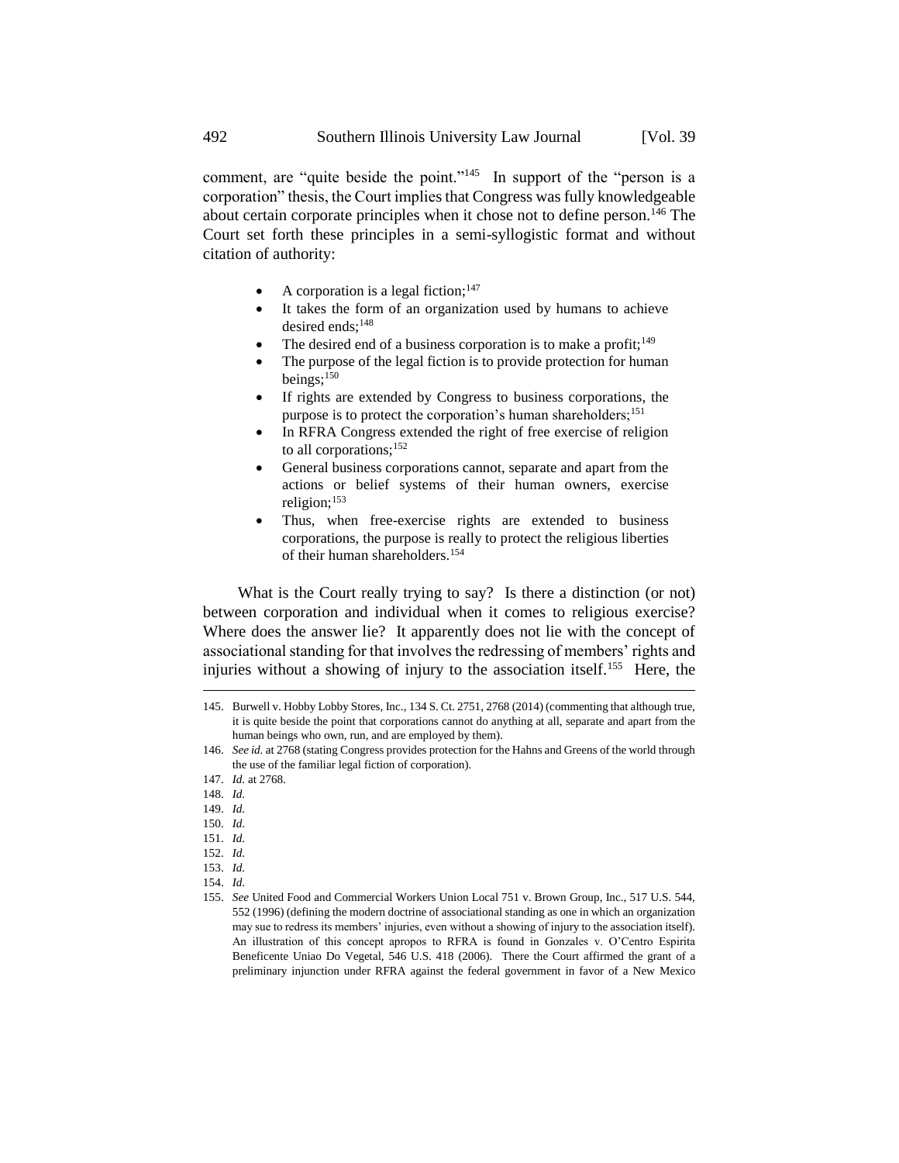comment, are "quite beside the point."<sup>145</sup> In support of the "person is a corporation" thesis, the Court implies that Congress was fully knowledgeable about certain corporate principles when it chose not to define person.<sup>146</sup> The Court set forth these principles in a semi-syllogistic format and without citation of authority:

- A corporation is a legal fiction;  $147$
- It takes the form of an organization used by humans to achieve desired ends:<sup>148</sup>
- The desired end of a business corporation is to make a profit;  $149$
- The purpose of the legal fiction is to provide protection for human beings;<sup>150</sup>
- If rights are extended by Congress to business corporations, the purpose is to protect the corporation's human shareholders;<sup>151</sup>
- In RFRA Congress extended the right of free exercise of religion to all corporations;<sup>152</sup>
- General business corporations cannot, separate and apart from the actions or belief systems of their human owners, exercise religion; $153$
- Thus, when free-exercise rights are extended to business corporations, the purpose is really to protect the religious liberties of their human shareholders.<sup>154</sup>

What is the Court really trying to say? Is there a distinction (or not) between corporation and individual when it comes to religious exercise? Where does the answer lie? It apparently does not lie with the concept of associational standing for that involves the redressing of members' rights and injuries without a showing of injury to the association itself.<sup>155</sup> Here, the

- 148. *Id.*
- 149. *Id.*

-

- 150. *Id.*
- 151. *Id.*
- 152. *Id.*
- 153. *Id.*
- 154. *Id.*
- 155. *See* United Food and Commercial Workers Union Local 751 v. Brown Group, Inc., 517 U.S. 544, 552 (1996) (defining the modern doctrine of associational standing as one in which an organization may sue to redress its members' injuries, even without a showing of injury to the association itself). An illustration of this concept apropos to RFRA is found in Gonzales v. O'Centro Espirita Beneficente Uniao Do Vegetal, 546 U.S. 418 (2006). There the Court affirmed the grant of a preliminary injunction under RFRA against the federal government in favor of a New Mexico

<sup>145.</sup> Burwell v. Hobby Lobby Stores, Inc., 134 S. Ct. 2751, 2768 (2014) (commenting that although true, it is quite beside the point that corporations cannot do anything at all, separate and apart from the human beings who own, run, and are employed by them).

<sup>146.</sup> *See id.* at 2768 (stating Congress provides protection for the Hahns and Greens of the world through the use of the familiar legal fiction of corporation).

<sup>147.</sup> *Id.* at 2768.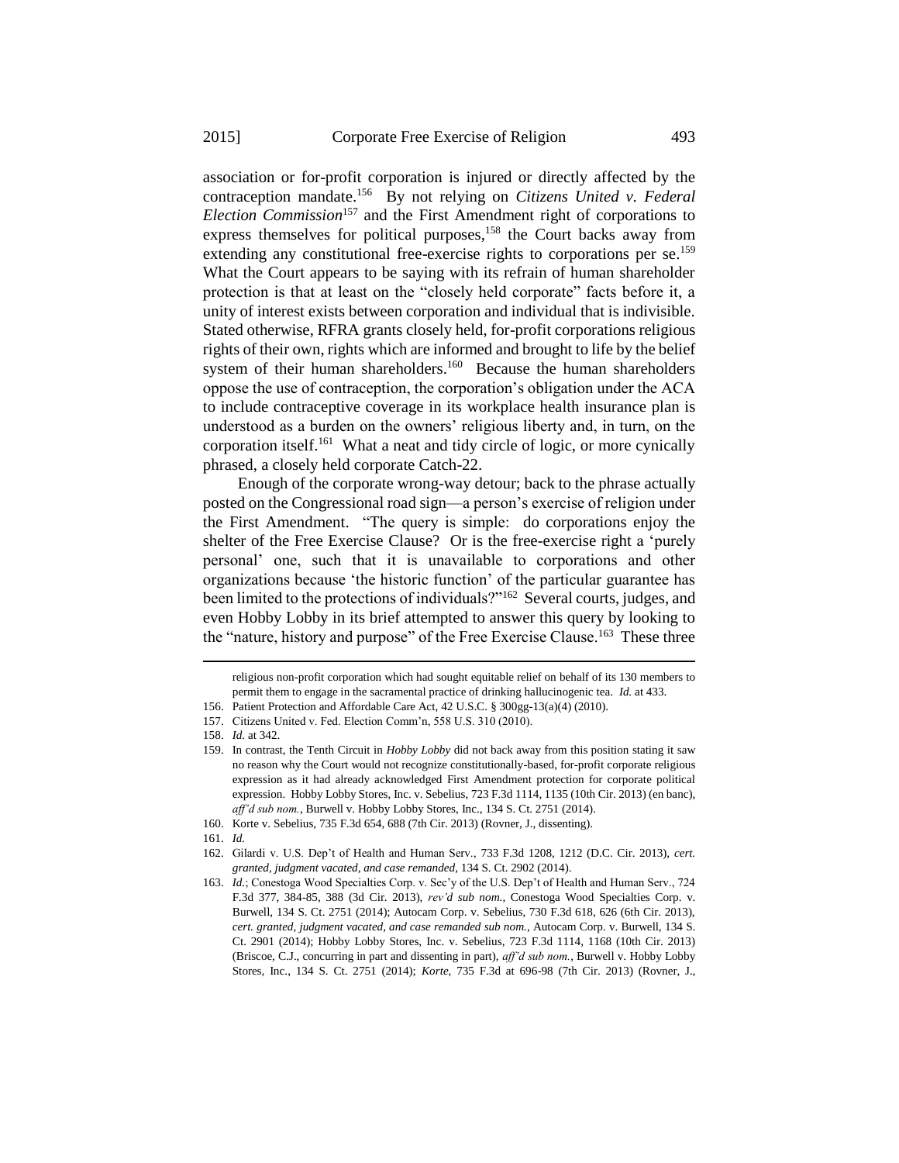association or for-profit corporation is injured or directly affected by the contraception mandate.<sup>156</sup> By not relying on *Citizens United v. Federal Election Commission*<sup>157</sup> and the First Amendment right of corporations to express themselves for political purposes,<sup>158</sup> the Court backs away from extending any constitutional free-exercise rights to corporations per se.<sup>159</sup> What the Court appears to be saying with its refrain of human shareholder protection is that at least on the "closely held corporate" facts before it, a unity of interest exists between corporation and individual that is indivisible. Stated otherwise, RFRA grants closely held, for-profit corporations religious rights of their own, rights which are informed and brought to life by the belief system of their human shareholders.<sup>160</sup> Because the human shareholders oppose the use of contraception, the corporation's obligation under the ACA to include contraceptive coverage in its workplace health insurance plan is understood as a burden on the owners' religious liberty and, in turn, on the corporation itself.<sup>161</sup> What a neat and tidy circle of logic, or more cynically phrased, a closely held corporate Catch-22.

Enough of the corporate wrong-way detour; back to the phrase actually posted on the Congressional road sign—a person's exercise of religion under the First Amendment. "The query is simple: do corporations enjoy the shelter of the Free Exercise Clause? Or is the free-exercise right a 'purely personal' one, such that it is unavailable to corporations and other organizations because 'the historic function' of the particular guarantee has been limited to the protections of individuals?"<sup>162</sup> Several courts, judges, and even Hobby Lobby in its brief attempted to answer this query by looking to the "nature, history and purpose" of the Free Exercise Clause.<sup>163</sup> These three

religious non-profit corporation which had sought equitable relief on behalf of its 130 members to permit them to engage in the sacramental practice of drinking hallucinogenic tea. *Id.* at 433.

<sup>156.</sup> Patient Protection and Affordable Care Act, 42 U.S.C. § 300gg-13(a)(4) (2010).

<sup>157.</sup> Citizens United v. Fed. Election Comm'n, 558 U.S. 310 (2010).

<sup>158.</sup> *Id.* at 342.

<sup>159.</sup> In contrast, the Tenth Circuit in *Hobby Lobby* did not back away from this position stating it saw no reason why the Court would not recognize constitutionally-based, for-profit corporate religious expression as it had already acknowledged First Amendment protection for corporate political expression. Hobby Lobby Stores, Inc. v. Sebelius, 723 F.3d 1114, 1135 (10th Cir. 2013) (en banc), *aff'd sub nom.*, Burwell v. Hobby Lobby Stores, Inc., 134 S. Ct. 2751 (2014).

<sup>160.</sup> Korte v. Sebelius, 735 F.3d 654, 688 (7th Cir. 2013) (Rovner, J., dissenting).

<sup>161.</sup> *Id.*

<sup>162.</sup> Gilardi v. U.S. Dep't of Health and Human Serv., 733 F.3d 1208, 1212 (D.C. Cir. 2013), *cert. granted, judgment vacated, and case remanded*, 134 S. Ct. 2902 (2014).

<sup>163.</sup> *Id.*; Conestoga Wood Specialties Corp. v. Sec'y of the U.S. Dep't of Health and Human Serv., 724 F.3d 377, 384-85, 388 (3d Cir. 2013), *rev'd sub nom.*, Conestoga Wood Specialties Corp. v. Burwell, 134 S. Ct. 2751 (2014); Autocam Corp. v. Sebelius, 730 F.3d 618, 626 (6th Cir. 2013), *cert. granted*, *judgment vacated*, *and case remanded sub nom.*, Autocam Corp. v. Burwell, 134 S. Ct. 2901 (2014); Hobby Lobby Stores, Inc. v. Sebelius, 723 F.3d 1114, 1168 (10th Cir. 2013) (Briscoe, C.J., concurring in part and dissenting in part), *aff'd sub nom.*, Burwell v. Hobby Lobby Stores, Inc., 134 S. Ct. 2751 (2014); *Korte*, 735 F.3d at 696-98 (7th Cir. 2013) (Rovner, J.,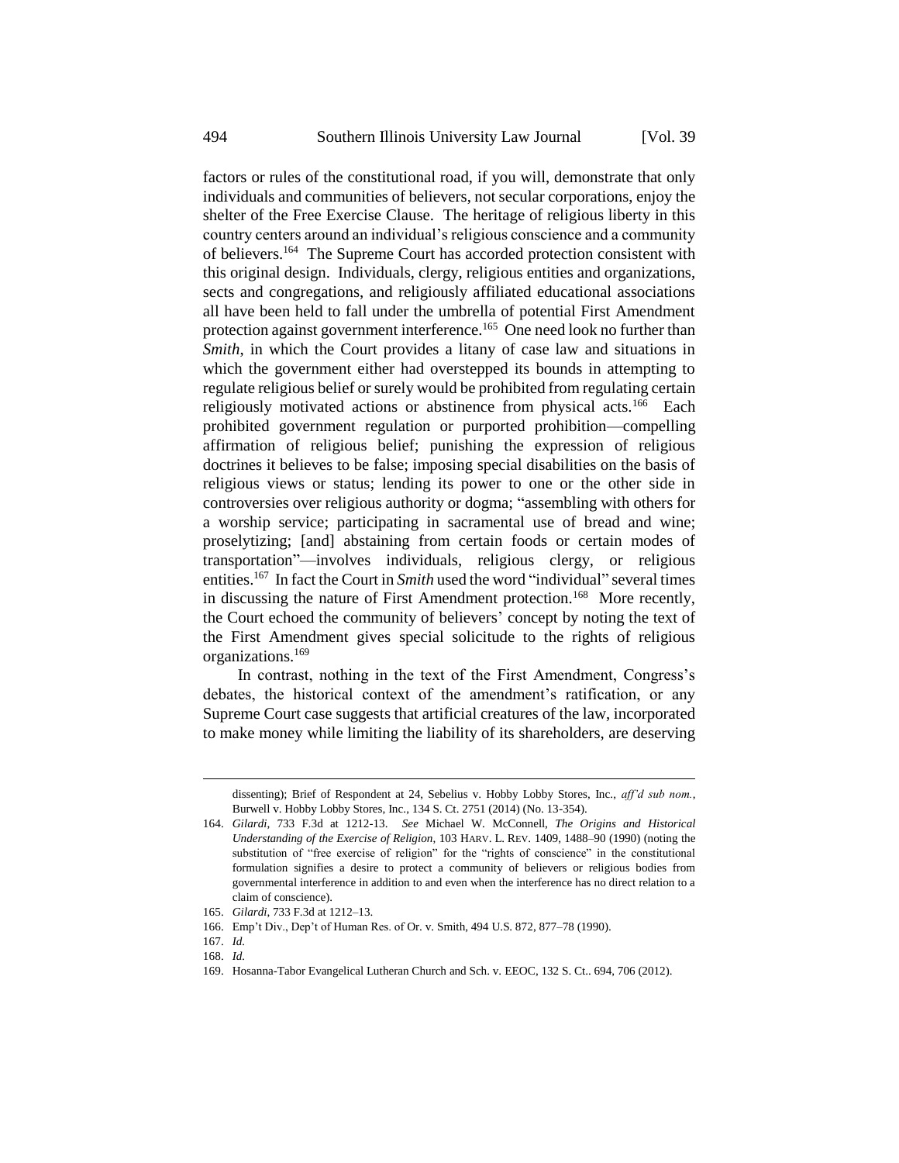factors or rules of the constitutional road, if you will, demonstrate that only individuals and communities of believers, not secular corporations, enjoy the shelter of the Free Exercise Clause. The heritage of religious liberty in this country centers around an individual's religious conscience and a community of believers.<sup>164</sup> The Supreme Court has accorded protection consistent with this original design. Individuals, clergy, religious entities and organizations, sects and congregations, and religiously affiliated educational associations all have been held to fall under the umbrella of potential First Amendment protection against government interference.<sup>165</sup> One need look no further than *Smith*, in which the Court provides a litany of case law and situations in which the government either had overstepped its bounds in attempting to regulate religious belief or surely would be prohibited from regulating certain religiously motivated actions or abstinence from physical acts.<sup>166</sup> Each prohibited government regulation or purported prohibition—compelling affirmation of religious belief; punishing the expression of religious doctrines it believes to be false; imposing special disabilities on the basis of religious views or status; lending its power to one or the other side in controversies over religious authority or dogma; "assembling with others for a worship service; participating in sacramental use of bread and wine; proselytizing; [and] abstaining from certain foods or certain modes of transportation"—involves individuals, religious clergy, or religious entities.<sup>167</sup> In fact the Court in *Smith* used the word "individual" several times in discussing the nature of First Amendment protection.<sup>168</sup> More recently, the Court echoed the community of believers' concept by noting the text of the First Amendment gives special solicitude to the rights of religious organizations.<sup>169</sup>

In contrast, nothing in the text of the First Amendment, Congress's debates, the historical context of the amendment's ratification, or any Supreme Court case suggests that artificial creatures of the law, incorporated to make money while limiting the liability of its shareholders, are deserving

-

dissenting); Brief of Respondent at 24, Sebelius v. Hobby Lobby Stores, Inc., *aff'd sub nom.*, Burwell v. Hobby Lobby Stores, Inc., 134 S. Ct. 2751 (2014) (No. 13-354).

<sup>164.</sup> *Gilardi*, 733 F.3d at 1212-13. *See* Michael W. McConnell, *The Origins and Historical Understanding of the Exercise of Religion*, 103 HARV. L. REV. 1409, 1488–90 (1990) (noting the substitution of "free exercise of religion" for the "rights of conscience" in the constitutional formulation signifies a desire to protect a community of believers or religious bodies from governmental interference in addition to and even when the interference has no direct relation to a claim of conscience).

<sup>165.</sup> *Gilardi*, 733 F.3d at 1212–13.

<sup>166.</sup> Emp't Div., Dep't of Human Res. of Or. v. Smith, 494 U.S. 872, 877–78 (1990).

<sup>167.</sup> *Id.*

<sup>168.</sup> *Id.* 

<sup>169.</sup> Hosanna-Tabor Evangelical Lutheran Church and Sch. v. EEOC, 132 S. Ct.. 694, 706 (2012).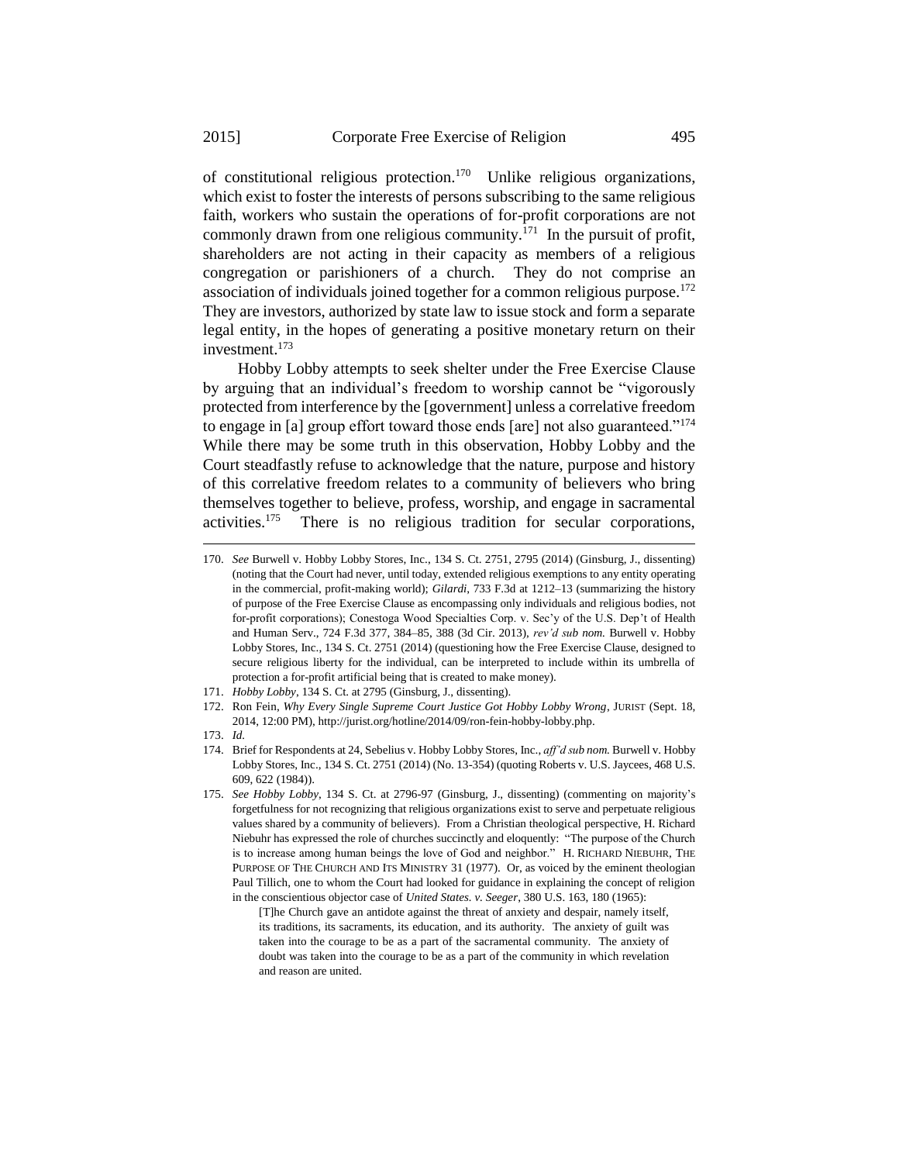of constitutional religious protection.<sup>170</sup> Unlike religious organizations, which exist to foster the interests of persons subscribing to the same religious faith, workers who sustain the operations of for-profit corporations are not commonly drawn from one religious community.<sup>171</sup> In the pursuit of profit, shareholders are not acting in their capacity as members of a religious congregation or parishioners of a church. They do not comprise an association of individuals joined together for a common religious purpose.<sup>172</sup> They are investors, authorized by state law to issue stock and form a separate legal entity, in the hopes of generating a positive monetary return on their investment.<sup>173</sup>

Hobby Lobby attempts to seek shelter under the Free Exercise Clause by arguing that an individual's freedom to worship cannot be "vigorously protected from interference by the [government] unless a correlative freedom to engage in [a] group effort toward those ends [are] not also guaranteed."<sup>174</sup> While there may be some truth in this observation, Hobby Lobby and the Court steadfastly refuse to acknowledge that the nature, purpose and history of this correlative freedom relates to a community of believers who bring themselves together to believe, profess, worship, and engage in sacramental activities.<sup>175</sup> There is no religious tradition for secular corporations,

- 171. *Hobby Lobby*, 134 S. Ct. at 2795 (Ginsburg, J., dissenting).
- 172. Ron Fein, *Why Every Single Supreme Court Justice Got Hobby Lobby Wrong*, JURIST (Sept. 18, 2014, 12:00 PM), http://jurist.org/hotline/2014/09/ron-fein-hobby-lobby.php.
- 173. *Id.*

-

- 174. Brief for Respondents at 24, Sebelius v. Hobby Lobby Stores, Inc., *aff'd sub nom.* Burwell v. Hobby Lobby Stores, Inc., 134 S. Ct. 2751 (2014) (No. 13-354) (quoting Roberts v. U.S. Jaycees, 468 U.S. 609, 622 (1984)).
- 175. *See Hobby Lobby*, 134 S. Ct. at 2796-97 (Ginsburg, J., dissenting) (commenting on majority's forgetfulness for not recognizing that religious organizations exist to serve and perpetuate religious values shared by a community of believers). From a Christian theological perspective, H. Richard Niebuhr has expressed the role of churches succinctly and eloquently: "The purpose of the Church is to increase among human beings the love of God and neighbor." H. RICHARD NIEBUHR, THE PURPOSE OF THE CHURCH AND ITS MINISTRY 31 (1977). Or, as voiced by the eminent theologian Paul Tillich, one to whom the Court had looked for guidance in explaining the concept of religion in the conscientious objector case of *United States. v. Seeger*, 380 U.S. 163, 180 (1965):

[T]he Church gave an antidote against the threat of anxiety and despair, namely itself, its traditions, its sacraments, its education, and its authority. The anxiety of guilt was taken into the courage to be as a part of the sacramental community. The anxiety of doubt was taken into the courage to be as a part of the community in which revelation and reason are united.

<sup>170.</sup> *See* Burwell v. Hobby Lobby Stores, Inc., 134 S. Ct. 2751, 2795 (2014) (Ginsburg, J., dissenting) (noting that the Court had never, until today, extended religious exemptions to any entity operating in the commercial, profit-making world); *Gilardi*, 733 F.3d at 1212–13 (summarizing the history of purpose of the Free Exercise Clause as encompassing only individuals and religious bodies, not for-profit corporations); Conestoga Wood Specialties Corp. v. Sec'y of the U.S. Dep't of Health and Human Serv., 724 F.3d 377, 384–85, 388 (3d Cir. 2013), *rev'd sub nom.* Burwell v. Hobby Lobby Stores, Inc., 134 S. Ct. 2751 (2014) (questioning how the Free Exercise Clause, designed to secure religious liberty for the individual, can be interpreted to include within its umbrella of protection a for-profit artificial being that is created to make money).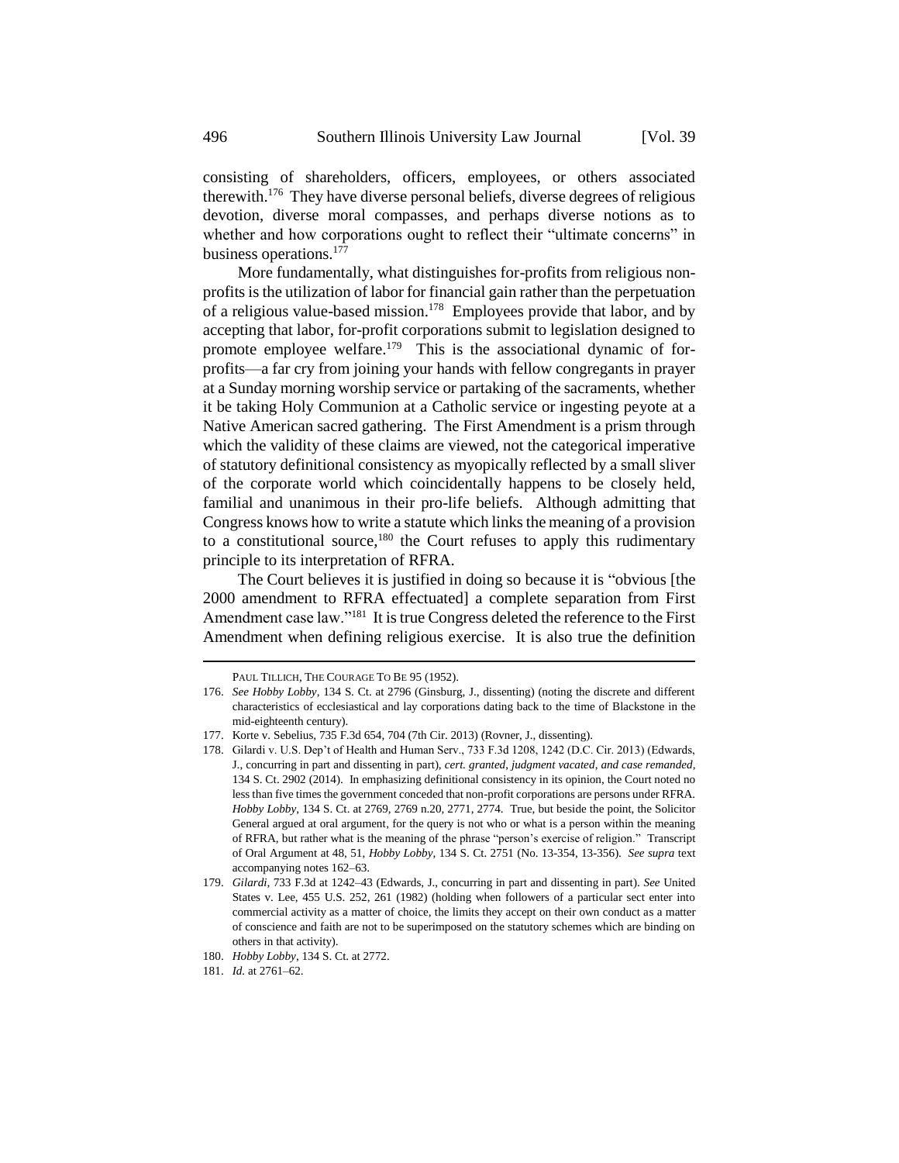consisting of shareholders, officers, employees, or others associated therewith.<sup>176</sup> They have diverse personal beliefs, diverse degrees of religious devotion, diverse moral compasses, and perhaps diverse notions as to whether and how corporations ought to reflect their "ultimate concerns" in business operations.<sup>177</sup>

More fundamentally, what distinguishes for-profits from religious nonprofits is the utilization of labor for financial gain rather than the perpetuation of a religious value-based mission.<sup>178</sup> Employees provide that labor, and by accepting that labor, for-profit corporations submit to legislation designed to promote employee welfare.<sup>179</sup> This is the associational dynamic of forprofits—a far cry from joining your hands with fellow congregants in prayer at a Sunday morning worship service or partaking of the sacraments, whether it be taking Holy Communion at a Catholic service or ingesting peyote at a Native American sacred gathering. The First Amendment is a prism through which the validity of these claims are viewed, not the categorical imperative of statutory definitional consistency as myopically reflected by a small sliver of the corporate world which coincidentally happens to be closely held, familial and unanimous in their pro-life beliefs. Although admitting that Congress knows how to write a statute which links the meaning of a provision to a constitutional source,<sup>180</sup> the Court refuses to apply this rudimentary principle to its interpretation of RFRA.

The Court believes it is justified in doing so because it is "obvious [the 2000 amendment to RFRA effectuated] a complete separation from First Amendment case law."<sup>181</sup> It is true Congress deleted the reference to the First Amendment when defining religious exercise. It is also true the definition

PAUL TILLICH, THE COURAGE TO BE 95 (1952).

<sup>176.</sup> *See Hobby Lobby*, 134 S. Ct. at 2796 (Ginsburg, J., dissenting) (noting the discrete and different characteristics of ecclesiastical and lay corporations dating back to the time of Blackstone in the mid-eighteenth century).

<sup>177.</sup> Korte v. Sebelius, 735 F.3d 654, 704 (7th Cir. 2013) (Rovner, J., dissenting).

<sup>178.</sup> Gilardi v. U.S. Dep't of Health and Human Serv., 733 F.3d 1208, 1242 (D.C. Cir. 2013) (Edwards, J., concurring in part and dissenting in part), *cert. granted*, *judgment vacated*, *and case remanded*, 134 S. Ct. 2902 (2014). In emphasizing definitional consistency in its opinion, the Court noted no less than five times the government conceded that non-profit corporations are persons under RFRA. *Hobby Lobby*, 134 S. Ct. at 2769, 2769 n.20, 2771, 2774. True, but beside the point, the Solicitor General argued at oral argument, for the query is not who or what is a person within the meaning of RFRA, but rather what is the meaning of the phrase "person's exercise of religion." Transcript of Oral Argument at 48, 51, *Hobby Lobby*, 134 S. Ct. 2751 (No. 13-354, 13-356). *See supra* text accompanying notes 162–63.

<sup>179.</sup> *Gilardi*, 733 F.3d at 1242–43 (Edwards, J., concurring in part and dissenting in part). *See* United States v. Lee, 455 U.S. 252, 261 (1982) (holding when followers of a particular sect enter into commercial activity as a matter of choice, the limits they accept on their own conduct as a matter of conscience and faith are not to be superimposed on the statutory schemes which are binding on others in that activity).

<sup>180.</sup> *Hobby Lobby*, 134 S. Ct. at 2772.

<sup>181.</sup> *Id.* at 2761–62.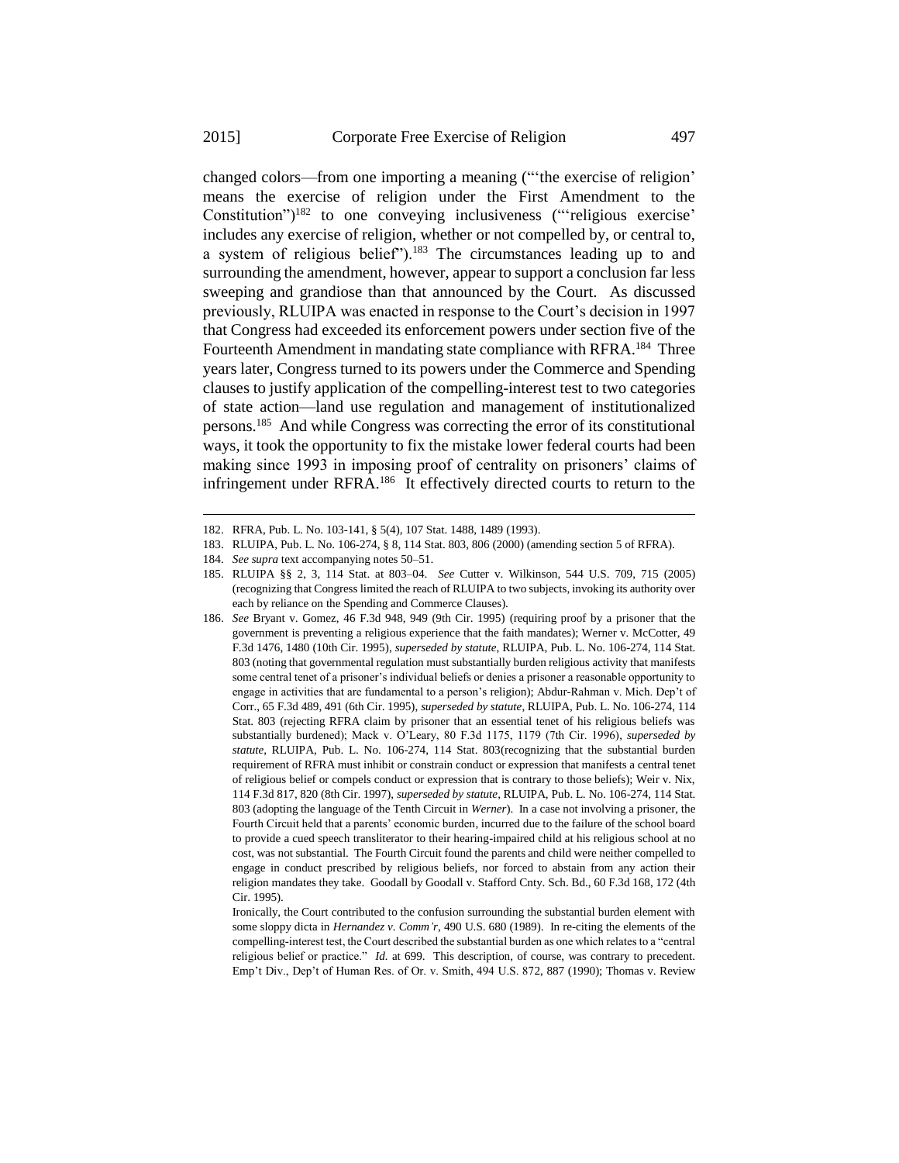changed colors—from one importing a meaning ("'the exercise of religion' means the exercise of religion under the First Amendment to the Constitution")<sup>182</sup> to one conveying inclusiveness ("'religious exercise' includes any exercise of religion, whether or not compelled by, or central to, a system of religious belief").<sup>183</sup> The circumstances leading up to and surrounding the amendment, however, appear to support a conclusion far less sweeping and grandiose than that announced by the Court. As discussed previously, RLUIPA was enacted in response to the Court's decision in 1997 that Congress had exceeded its enforcement powers under section five of the Fourteenth Amendment in mandating state compliance with RFRA.<sup>184</sup> Three years later, Congress turned to its powers under the Commerce and Spending clauses to justify application of the compelling-interest test to two categories of state action—land use regulation and management of institutionalized persons.<sup>185</sup> And while Congress was correcting the error of its constitutional ways, it took the opportunity to fix the mistake lower federal courts had been making since 1993 in imposing proof of centrality on prisoners' claims of infringement under RFRA.<sup>186</sup> It effectively directed courts to return to the

<sup>182.</sup> RFRA, Pub. L. No. 103-141, § 5(4), 107 Stat. 1488, 1489 (1993).

<sup>183.</sup> RLUIPA, Pub. L. No. 106-274, § 8, 114 Stat. 803, 806 (2000) (amending section 5 of RFRA).

<sup>184.</sup> *See supra* text accompanying notes 50–51.

<sup>185.</sup> RLUIPA §§ 2, 3, 114 Stat. at 803–04. *See* Cutter v. Wilkinson, 544 U.S. 709, 715 (2005) (recognizing that Congress limited the reach of RLUIPA to two subjects, invoking its authority over each by reliance on the Spending and Commerce Clauses).

<sup>186.</sup> *See* Bryant v. Gomez, 46 F.3d 948, 949 (9th Cir. 1995) (requiring proof by a prisoner that the government is preventing a religious experience that the faith mandates); Werner v. McCotter, 49 F.3d 1476, 1480 (10th Cir. 1995), *superseded by statute*, RLUIPA, Pub. L. No. 106-274, 114 Stat. 803 (noting that governmental regulation must substantially burden religious activity that manifests some central tenet of a prisoner's individual beliefs or denies a prisoner a reasonable opportunity to engage in activities that are fundamental to a person's religion); Abdur-Rahman v. Mich. Dep't of Corr., 65 F.3d 489, 491 (6th Cir. 1995), *superseded by statute*, RLUIPA, Pub. L. No. 106-274, 114 Stat. 803 (rejecting RFRA claim by prisoner that an essential tenet of his religious beliefs was substantially burdened); Mack v. O'Leary, 80 F.3d 1175, 1179 (7th Cir. 1996), *superseded by statute*, RLUIPA, Pub. L. No. 106-274, 114 Stat. 803(recognizing that the substantial burden requirement of RFRA must inhibit or constrain conduct or expression that manifests a central tenet of religious belief or compels conduct or expression that is contrary to those beliefs); Weir v. Nix, 114 F.3d 817, 820 (8th Cir. 1997), *superseded by statute*, RLUIPA, Pub. L. No. 106-274, 114 Stat. 803 (adopting the language of the Tenth Circuit in *Werner*). In a case not involving a prisoner, the Fourth Circuit held that a parents' economic burden, incurred due to the failure of the school board to provide a cued speech transliterator to their hearing-impaired child at his religious school at no cost, was not substantial. The Fourth Circuit found the parents and child were neither compelled to engage in conduct prescribed by religious beliefs, nor forced to abstain from any action their religion mandates they take. Goodall by Goodall v. Stafford Cnty. Sch. Bd., 60 F.3d 168, 172 (4th Cir. 1995).

Ironically, the Court contributed to the confusion surrounding the substantial burden element with some sloppy dicta in *Hernandez v. Comm'r*, 490 U.S. 680 (1989). In re-citing the elements of the compelling-interest test, the Court described the substantial burden as one which relates to a "central religious belief or practice." *Id.* at 699. This description, of course, was contrary to precedent. Emp't Div., Dep't of Human Res. of Or. v. Smith, 494 U.S. 872, 887 (1990); Thomas v. Review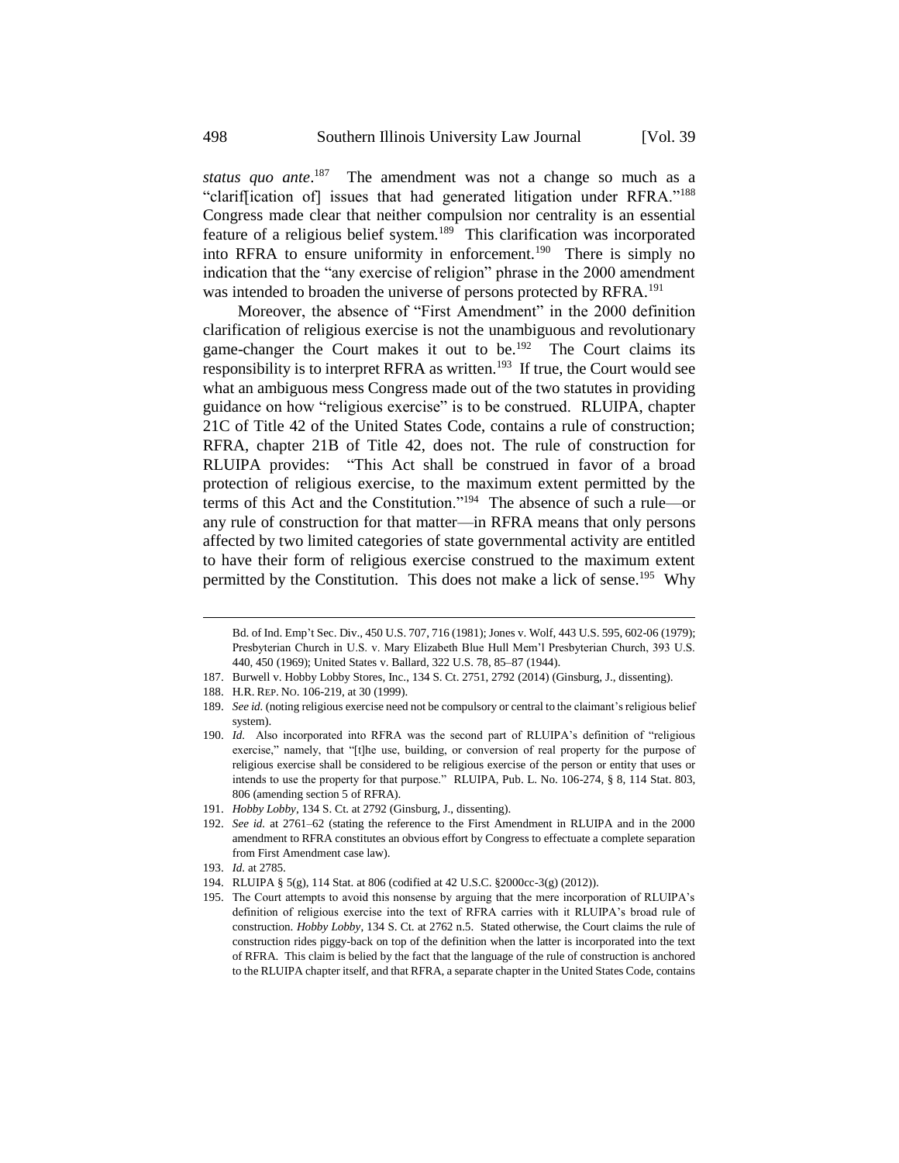*status quo ante*. <sup>187</sup> The amendment was not a change so much as a "clarif[ication of] issues that had generated litigation under RFRA."<sup>188</sup> Congress made clear that neither compulsion nor centrality is an essential feature of a religious belief system.<sup>189</sup> This clarification was incorporated into RFRA to ensure uniformity in enforcement.<sup>190</sup> There is simply no indication that the "any exercise of religion" phrase in the 2000 amendment was intended to broaden the universe of persons protected by RFRA.<sup>191</sup>

Moreover, the absence of "First Amendment" in the 2000 definition clarification of religious exercise is not the unambiguous and revolutionary game-changer the Court makes it out to be.<sup>192</sup> The Court claims its responsibility is to interpret RFRA as written.<sup>193</sup> If true, the Court would see what an ambiguous mess Congress made out of the two statutes in providing guidance on how "religious exercise" is to be construed. RLUIPA, chapter 21C of Title 42 of the United States Code, contains a rule of construction; RFRA, chapter 21B of Title 42, does not. The rule of construction for RLUIPA provides: "This Act shall be construed in favor of a broad protection of religious exercise, to the maximum extent permitted by the terms of this Act and the Constitution."<sup>194</sup> The absence of such a rule—or any rule of construction for that matter—in RFRA means that only persons affected by two limited categories of state governmental activity are entitled to have their form of religious exercise construed to the maximum extent permitted by the Constitution. This does not make a lick of sense.<sup>195</sup> Why

Bd. of Ind. Emp't Sec. Div., 450 U.S. 707, 716 (1981); Jones v. Wolf, 443 U.S. 595, 602-06 (1979); Presbyterian Church in U.S. v. Mary Elizabeth Blue Hull Mem'l Presbyterian Church, 393 U.S. 440, 450 (1969); United States v. Ballard, 322 U.S. 78, 85–87 (1944).

<sup>187.</sup> Burwell v. Hobby Lobby Stores, Inc., 134 S. Ct. 2751, 2792 (2014) (Ginsburg, J., dissenting).

<sup>188.</sup> H.R. REP. NO. 106-219, at 30 (1999).

<sup>189.</sup> *See id.* (noting religious exercise need not be compulsory or central to the claimant's religious belief system).

<sup>190.</sup> *Id.* Also incorporated into RFRA was the second part of RLUIPA's definition of "religious exercise," namely, that "[t]he use, building, or conversion of real property for the purpose of religious exercise shall be considered to be religious exercise of the person or entity that uses or intends to use the property for that purpose." RLUIPA, Pub. L. No. 106-274, § 8, 114 Stat. 803, 806 (amending section 5 of RFRA).

<sup>191.</sup> *Hobby Lobby*, 134 S. Ct. at 2792 (Ginsburg, J., dissenting).

<sup>192.</sup> *See id.* at 2761–62 (stating the reference to the First Amendment in RLUIPA and in the 2000 amendment to RFRA constitutes an obvious effort by Congress to effectuate a complete separation from First Amendment case law).

<sup>193.</sup> *Id.* at 2785.

<sup>194.</sup> RLUIPA § 5(g), 114 Stat. at 806 (codified at 42 U.S.C. §2000cc-3(g) (2012)).

<sup>195.</sup> The Court attempts to avoid this nonsense by arguing that the mere incorporation of RLUIPA's definition of religious exercise into the text of RFRA carries with it RLUIPA's broad rule of construction. *Hobby Lobby*, 134 S. Ct. at 2762 n.5. Stated otherwise, the Court claims the rule of construction rides piggy-back on top of the definition when the latter is incorporated into the text of RFRA. This claim is belied by the fact that the language of the rule of construction is anchored to the RLUIPA chapter itself, and that RFRA, a separate chapter in the United States Code, contains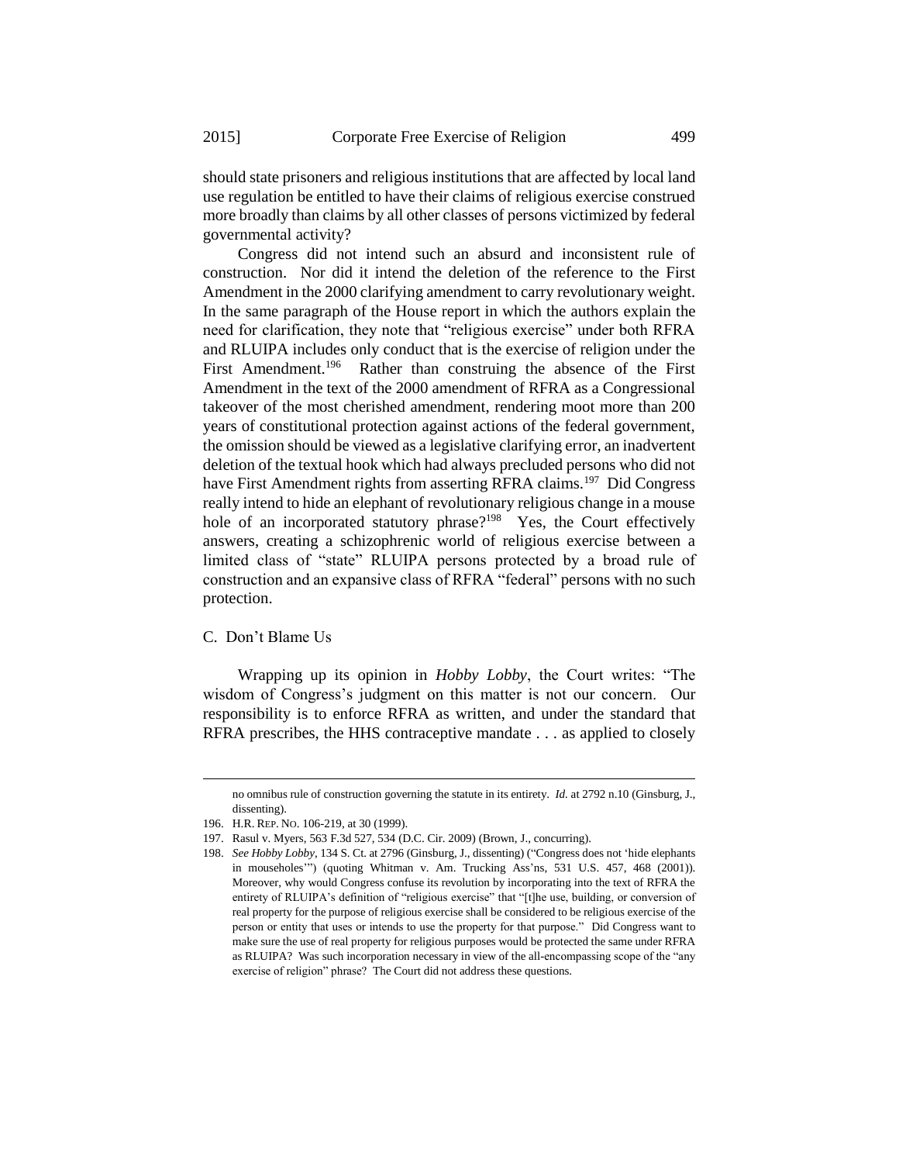should state prisoners and religious institutions that are affected by local land use regulation be entitled to have their claims of religious exercise construed more broadly than claims by all other classes of persons victimized by federal governmental activity?

Congress did not intend such an absurd and inconsistent rule of construction. Nor did it intend the deletion of the reference to the First Amendment in the 2000 clarifying amendment to carry revolutionary weight. In the same paragraph of the House report in which the authors explain the need for clarification, they note that "religious exercise" under both RFRA and RLUIPA includes only conduct that is the exercise of religion under the First Amendment.<sup>196</sup> Rather than construing the absence of the First Amendment in the text of the 2000 amendment of RFRA as a Congressional takeover of the most cherished amendment, rendering moot more than 200 years of constitutional protection against actions of the federal government, the omission should be viewed as a legislative clarifying error, an inadvertent deletion of the textual hook which had always precluded persons who did not have First Amendment rights from asserting RFRA claims.<sup>197</sup> Did Congress really intend to hide an elephant of revolutionary religious change in a mouse hole of an incorporated statutory phrase?<sup>198</sup> Yes, the Court effectively answers, creating a schizophrenic world of religious exercise between a limited class of "state" RLUIPA persons protected by a broad rule of construction and an expansive class of RFRA "federal" persons with no such protection.

#### C. Don't Blame Us

-

Wrapping up its opinion in *Hobby Lobby*, the Court writes: "The wisdom of Congress's judgment on this matter is not our concern. Our responsibility is to enforce RFRA as written, and under the standard that RFRA prescribes, the HHS contraceptive mandate . . . as applied to closely

no omnibus rule of construction governing the statute in its entirety. *Id.* at 2792 n.10 (Ginsburg, J., dissenting).

<sup>196.</sup> H.R. REP. NO. 106-219, at 30 (1999).

<sup>197.</sup> Rasul v. Myers, 563 F.3d 527, 534 (D.C. Cir. 2009) (Brown, J., concurring).

<sup>198.</sup> *See Hobby Lobby*, 134 S. Ct. at 2796 (Ginsburg, J., dissenting) ("Congress does not 'hide elephants in mouseholes'") (quoting Whitman v. Am. Trucking Ass'ns, 531 U.S. 457, 468 (2001)). Moreover, why would Congress confuse its revolution by incorporating into the text of RFRA the entirety of RLUIPA's definition of "religious exercise" that "[t]he use, building, or conversion of real property for the purpose of religious exercise shall be considered to be religious exercise of the person or entity that uses or intends to use the property for that purpose." Did Congress want to make sure the use of real property for religious purposes would be protected the same under RFRA as RLUIPA? Was such incorporation necessary in view of the all-encompassing scope of the "any exercise of religion" phrase? The Court did not address these questions.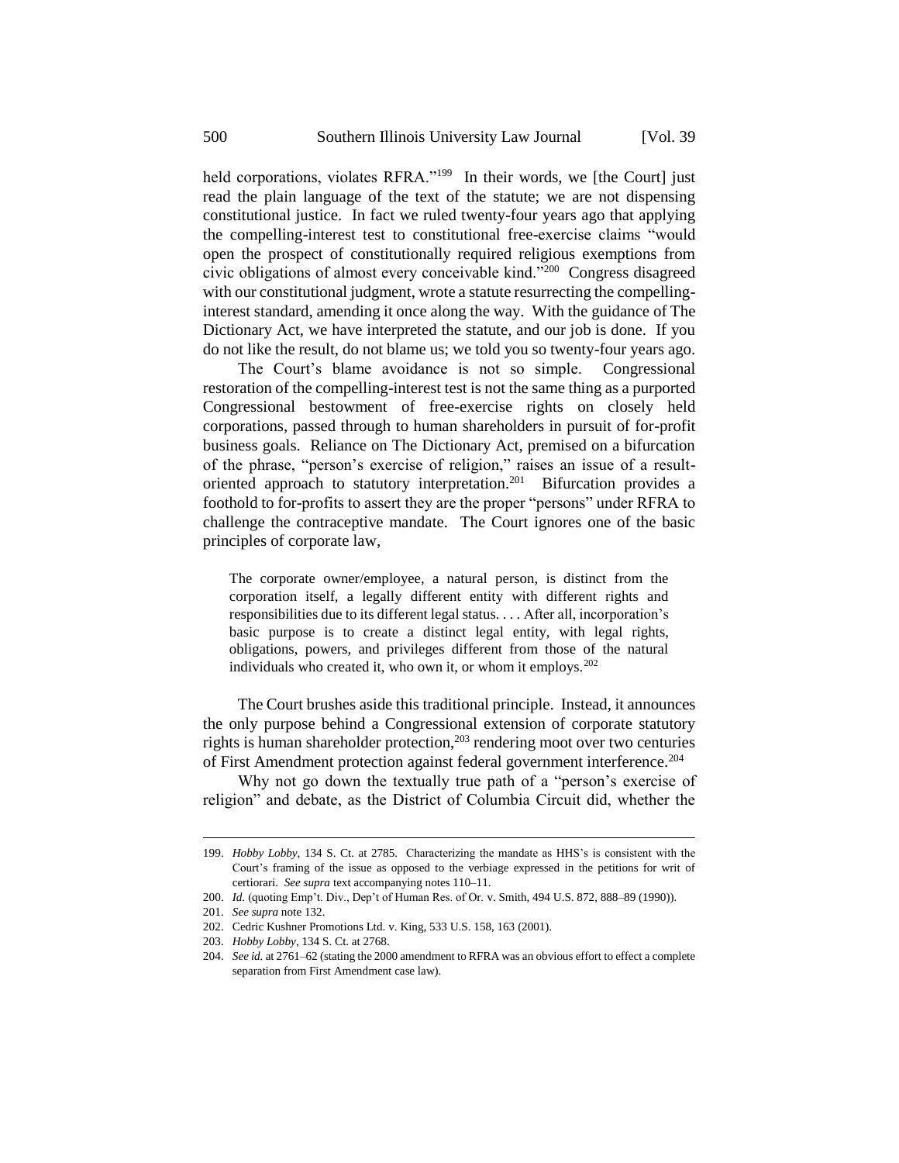held corporations, violates RFRA."<sup>199</sup> In their words, we [the Court] just read the plain language of the text of the statute; we are not dispensing constitutional justice. In fact we ruled twenty-four years ago that applying the compelling-interest test to constitutional free-exercise claims "would open the prospect of constitutionally required religious exemptions from civic obligations of almost every conceivable kind."<sup>200</sup> Congress disagreed with our constitutional judgment, wrote a statute resurrecting the compellinginterest standard, amending it once along the way. With the guidance of The Dictionary Act, we have interpreted the statute, and our job is done. If you do not like the result, do not blame us; we told you so twenty-four years ago.

The Court's blame avoidance is not so simple. Congressional restoration of the compelling-interest test is not the same thing as a purported Congressional bestowment of free-exercise rights on closely held corporations, passed through to human shareholders in pursuit of for-profit business goals. Reliance on The Dictionary Act, premised on a bifurcation of the phrase, "person's exercise of religion," raises an issue of a resultoriented approach to statutory interpretation.<sup>201</sup> Bifurcation provides a foothold to for-profits to assert they are the proper "persons" under RFRA to challenge the contraceptive mandate. The Court ignores one of the basic principles of corporate law,

The corporate owner/employee, a natural person, is distinct from the corporation itself, a legally different entity with different rights and responsibilities due to its different legal status. . . . After all, incorporation's basic purpose is to create a distinct legal entity, with legal rights, obligations, powers, and privileges different from those of the natural individuals who created it, who own it, or whom it employs.<sup>202</sup>

The Court brushes aside this traditional principle. Instead, it announces the only purpose behind a Congressional extension of corporate statutory rights is human shareholder protection,<sup>203</sup> rendering moot over two centuries of First Amendment protection against federal government interference.<sup>204</sup>

Why not go down the textually true path of a "person's exercise of religion" and debate, as the District of Columbia Circuit did, whether the

<sup>199.</sup> *Hobby Lobby*, 134 S. Ct. at 2785. Characterizing the mandate as HHS's is consistent with the Court's framing of the issue as opposed to the verbiage expressed in the petitions for writ of certiorari. *See supra* text accompanying notes 110–11.

<sup>200.</sup> *Id.* (quoting Emp't. Div., Dep't of Human Res. of Or. v. Smith, 494 U.S. 872, 888–89 (1990)).

<sup>201.</sup> *See supra* note 132.

<sup>202.</sup> Cedric Kushner Promotions Ltd. v. King, 533 U.S. 158, 163 (2001).

<sup>203.</sup> *Hobby Lobby*, 134 S. Ct. at 2768.

<sup>204.</sup> *See id.* at 2761–62 (stating the 2000 amendment to RFRA was an obvious effort to effect a complete separation from First Amendment case law).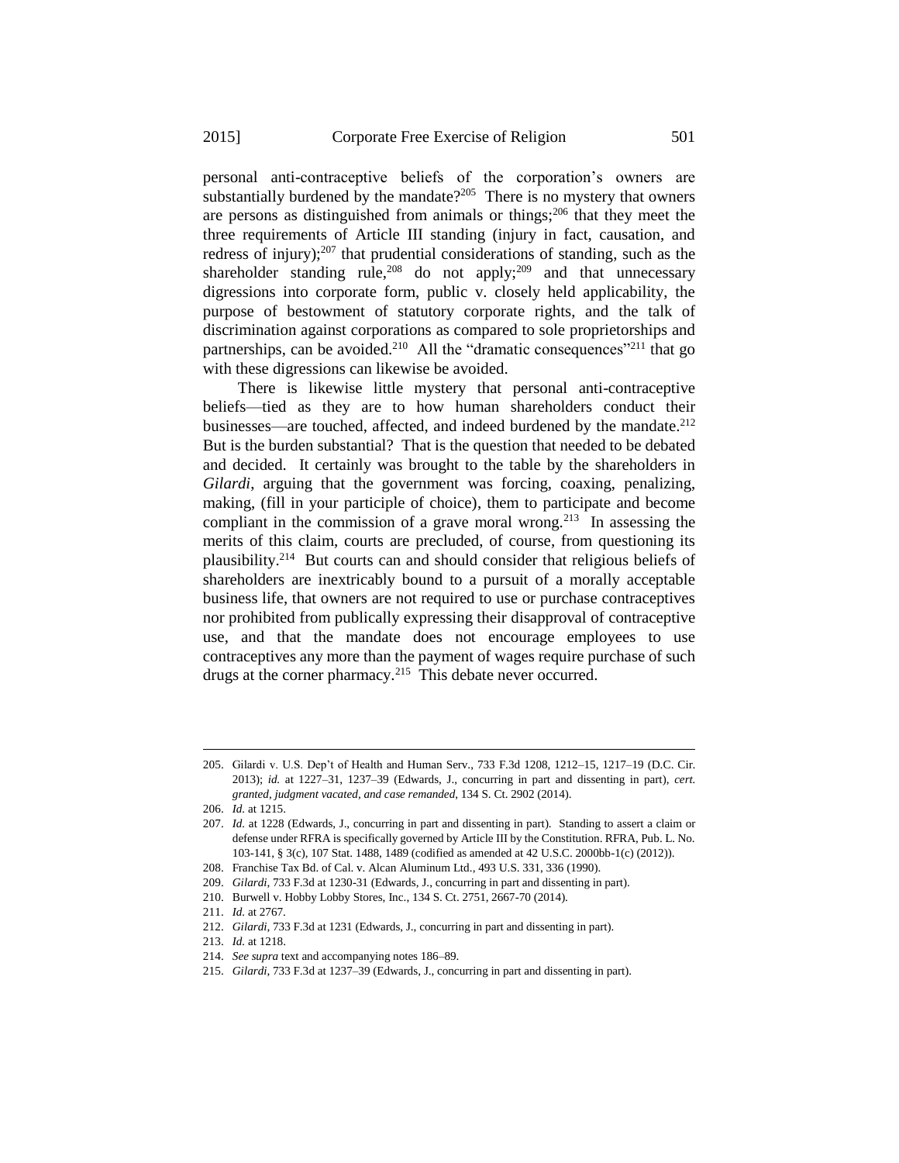personal anti-contraceptive beliefs of the corporation's owners are substantially burdened by the mandate? $2^{0.05}$  There is no mystery that owners are persons as distinguished from animals or things; $^{206}$  that they meet the three requirements of Article III standing (injury in fact, causation, and redress of injury);<sup>207</sup> that prudential considerations of standing, such as the shareholder standing rule,<sup>208</sup> do not apply;<sup>209</sup> and that unnecessary digressions into corporate form, public v. closely held applicability, the purpose of bestowment of statutory corporate rights, and the talk of discrimination against corporations as compared to sole proprietorships and partnerships, can be avoided.<sup>210</sup> All the "dramatic consequences"<sup>211</sup> that go with these digressions can likewise be avoided.

There is likewise little mystery that personal anti-contraceptive beliefs—tied as they are to how human shareholders conduct their businesses—are touched, affected, and indeed burdened by the mandate.<sup>212</sup> But is the burden substantial? That is the question that needed to be debated and decided. It certainly was brought to the table by the shareholders in *Gilardi*, arguing that the government was forcing, coaxing, penalizing, making, (fill in your participle of choice), them to participate and become compliant in the commission of a grave moral wrong.<sup>213</sup> In assessing the merits of this claim, courts are precluded, of course, from questioning its plausibility.<sup>214</sup> But courts can and should consider that religious beliefs of shareholders are inextricably bound to a pursuit of a morally acceptable business life, that owners are not required to use or purchase contraceptives nor prohibited from publically expressing their disapproval of contraceptive use, and that the mandate does not encourage employees to use contraceptives any more than the payment of wages require purchase of such drugs at the corner pharmacy.<sup>215</sup> This debate never occurred.

<sup>205.</sup> Gilardi v. U.S. Dep't of Health and Human Serv., 733 F.3d 1208, 1212–15, 1217–19 (D.C. Cir. 2013); *id.* at 1227–31, 1237–39 (Edwards, J., concurring in part and dissenting in part), *cert. granted*, *judgment vacated*, *and case remanded*, 134 S. Ct. 2902 (2014).

<sup>206.</sup> *Id.* at 1215.

<sup>207.</sup> *Id.* at 1228 (Edwards, J., concurring in part and dissenting in part). Standing to assert a claim or defense under RFRA is specifically governed by Article III by the Constitution. RFRA, Pub. L. No. 103-141, § 3(c), 107 Stat. 1488, 1489 (codified as amended at 42 U.S.C. 2000bb-1(c) (2012)).

<sup>208.</sup> Franchise Tax Bd. of Cal. v. Alcan Aluminum Ltd., 493 U.S. 331, 336 (1990).

<sup>209.</sup> *Gilardi*, 733 F.3d at 1230-31 (Edwards, J., concurring in part and dissenting in part).

<sup>210.</sup> Burwell v. Hobby Lobby Stores, Inc., 134 S. Ct. 2751, 2667-70 (2014).

<sup>211.</sup> *Id.* at 2767.

<sup>212.</sup> *Gilardi*, 733 F.3d at 1231 (Edwards, J., concurring in part and dissenting in part).

<sup>213.</sup> *Id.* at 1218.

<sup>214.</sup> *See supra* text and accompanying notes 186–89.

<sup>215.</sup> *Gilardi*, 733 F.3d at 1237–39 (Edwards, J., concurring in part and dissenting in part).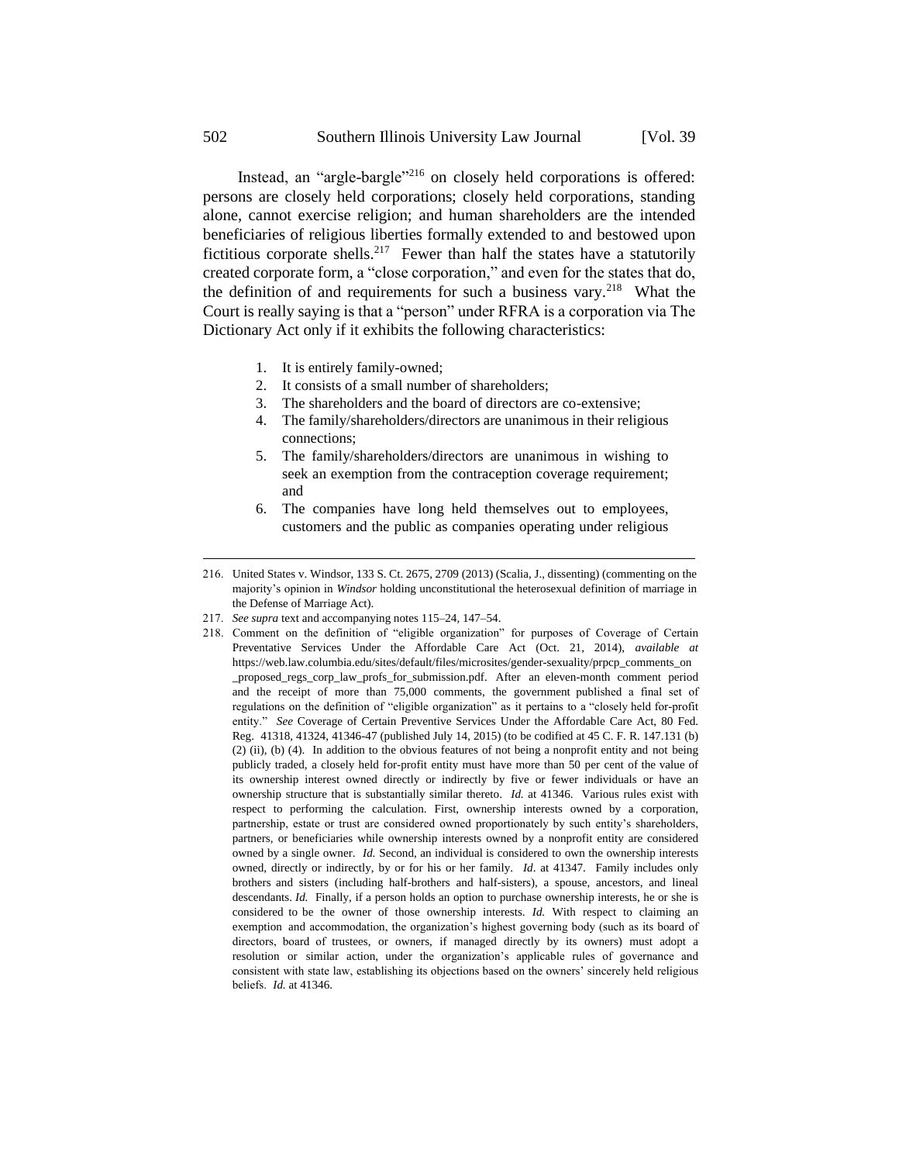Instead, an "argle-bargle"<sup>216</sup> on closely held corporations is offered: persons are closely held corporations; closely held corporations, standing alone, cannot exercise religion; and human shareholders are the intended beneficiaries of religious liberties formally extended to and bestowed upon fictitious corporate shells.<sup>217</sup> Fewer than half the states have a statutorily created corporate form, a "close corporation," and even for the states that do, the definition of and requirements for such a business vary.<sup>218</sup> What the Court is really saying is that a "person" under RFRA is a corporation via The Dictionary Act only if it exhibits the following characteristics:

- 1. It is entirely family-owned;
- 2. It consists of a small number of shareholders;
- 3. The shareholders and the board of directors are co-extensive;
- 4. The family/shareholders/directors are unanimous in their religious connections;
- 5. The family/shareholders/directors are unanimous in wishing to seek an exemption from the contraception coverage requirement; and
- 6. The companies have long held themselves out to employees, customers and the public as companies operating under religious
- 216. United States v. Windsor, 133 S. Ct. 2675, 2709 (2013) (Scalia, J., dissenting) (commenting on the majority's opinion in *Windsor* holding unconstitutional the heterosexual definition of marriage in the Defense of Marriage Act).
- 217. *See supra* text and accompanying notes 115–24, 147–54.
- 218. Comment on the definition of "eligible organization" for purposes of Coverage of Certain Preventative Services Under the Affordable Care Act (Oct. 21, 2014), *available at*  https://web.law.columbia.edu/sites/default/files/microsites/gender-sexuality/prpcp\_comments\_on \_proposed\_regs\_corp\_law\_profs\_for\_submission.pdf. After an eleven-month comment period and the receipt of more than 75,000 comments, the government published a final set of regulations on the definition of "eligible organization" as it pertains to a "closely held for-profit entity." *See* Coverage of Certain Preventive Services Under the Affordable Care Act, 80 Fed. Reg. 41318, 41324, 41346-47 (published July 14, 2015) (to be codified at 45 C. F. R. 147.131 (b) (2) (ii), (b) (4). In addition to the obvious features of not being a nonprofit entity and not being publicly traded, a closely held for-profit entity must have more than 50 per cent of the value of its ownership interest owned directly or indirectly by five or fewer individuals or have an ownership structure that is substantially similar thereto. *Id.* at 41346. Various rules exist with respect to performing the calculation. First, ownership interests owned by a corporation, partnership, estate or trust are considered owned proportionately by such entity's shareholders, partners, or beneficiaries while ownership interests owned by a nonprofit entity are considered owned by a single owner. *Id.* Second, an individual is considered to own the ownership interests owned, directly or indirectly, by or for his or her family. *Id*. at 41347. Family includes only brothers and sisters (including half-brothers and half-sisters), a spouse, ancestors, and lineal descendants. *Id.* Finally, if a person holds an option to purchase ownership interests, he or she is considered to be the owner of those ownership interests. *Id.* With respect to claiming an exemption and accommodation, the organization's highest governing body (such as its board of directors, board of trustees, or owners, if managed directly by its owners) must adopt a resolution or similar action, under the organization's applicable rules of governance and consistent with state law, establishing its objections based on the owners' sincerely held religious beliefs. *Id.* at 41346.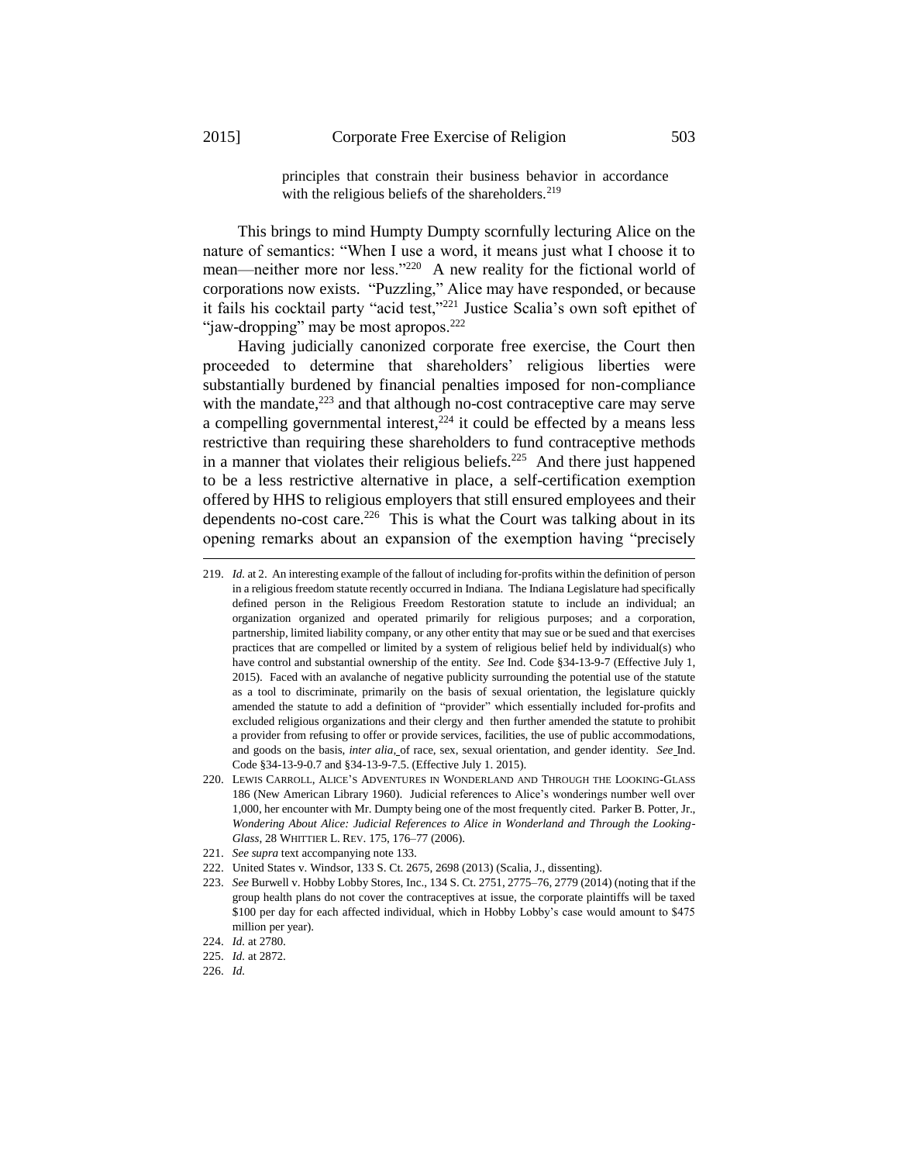1

principles that constrain their business behavior in accordance with the religious beliefs of the shareholders. $2^{19}$ 

This brings to mind Humpty Dumpty scornfully lecturing Alice on the nature of semantics: "When I use a word, it means just what I choose it to mean—neither more nor less."<sup>220</sup> A new reality for the fictional world of corporations now exists. "Puzzling," Alice may have responded, or because it fails his cocktail party "acid test,"<sup>221</sup> Justice Scalia's own soft epithet of "jaw-dropping" may be most apropos.<sup>222</sup>

Having judicially canonized corporate free exercise, the Court then proceeded to determine that shareholders' religious liberties were substantially burdened by financial penalties imposed for non-compliance with the mandate,<sup>223</sup> and that although no-cost contraceptive care may serve a compelling governmental interest, $2^{24}$  it could be effected by a means less restrictive than requiring these shareholders to fund contraceptive methods in a manner that violates their religious beliefs.<sup>225</sup> And there just happened to be a less restrictive alternative in place, a self-certification exemption offered by HHS to religious employers that still ensured employees and their dependents no-cost care.<sup>226</sup> This is what the Court was talking about in its opening remarks about an expansion of the exemption having "precisely

- 220. LEWIS CARROLL, ALICE'S ADVENTURES IN WONDERLAND AND THROUGH THE LOOKING-GLASS 186 (New American Library 1960). Judicial references to Alice's wonderings number well over 1,000, her encounter with Mr. Dumpty being one of the most frequently cited. Parker B. Potter, Jr., *Wondering About Alice: Judicial References to Alice in Wonderland and Through the Looking-Glass*, 28 WHITTIER L. REV. 175, 176–77 (2006).
- 221. *See supra* text accompanying note 133.
- 222. United States v. Windsor, 133 S. Ct. 2675, 2698 (2013) (Scalia, J., dissenting).
- 223. *See* Burwell v. Hobby Lobby Stores, Inc., 134 S. Ct. 2751, 2775–76, 2779 (2014) (noting that if the group health plans do not cover the contraceptives at issue, the corporate plaintiffs will be taxed \$100 per day for each affected individual, which in Hobby Lobby's case would amount to \$475 million per year).

226. *Id.*

<sup>219.</sup> *Id.* at 2. An interesting example of the fallout of including for-profits within the definition of person in a religious freedom statute recently occurred in Indiana. The Indiana Legislature had specifically defined person in the Religious Freedom Restoration statute to include an individual; an organization organized and operated primarily for religious purposes; and a corporation, partnership, limited liability company, or any other entity that may sue or be sued and that exercises practices that are compelled or limited by a system of religious belief held by individual(s) who have control and substantial ownership of the entity. *See* Ind. Code §34-13-9-7 (Effective July 1, 2015). Faced with an avalanche of negative publicity surrounding the potential use of the statute as a tool to discriminate, primarily on the basis of sexual orientation, the legislature quickly amended the statute to add a definition of "provider" which essentially included for-profits and excluded religious organizations and their clergy and then further amended the statute to prohibit a provider from refusing to offer or provide services, facilities, the use of public accommodations, and goods on the basis, *inter alia*, of race, sex, sexual orientation, and gender identity. *See* Ind. Code §34-13-9-0.7 and §34-13-9-7.5. (Effective July 1. 2015).

<sup>224.</sup> *Id.* at 2780.

<sup>225.</sup> *Id.* at 2872.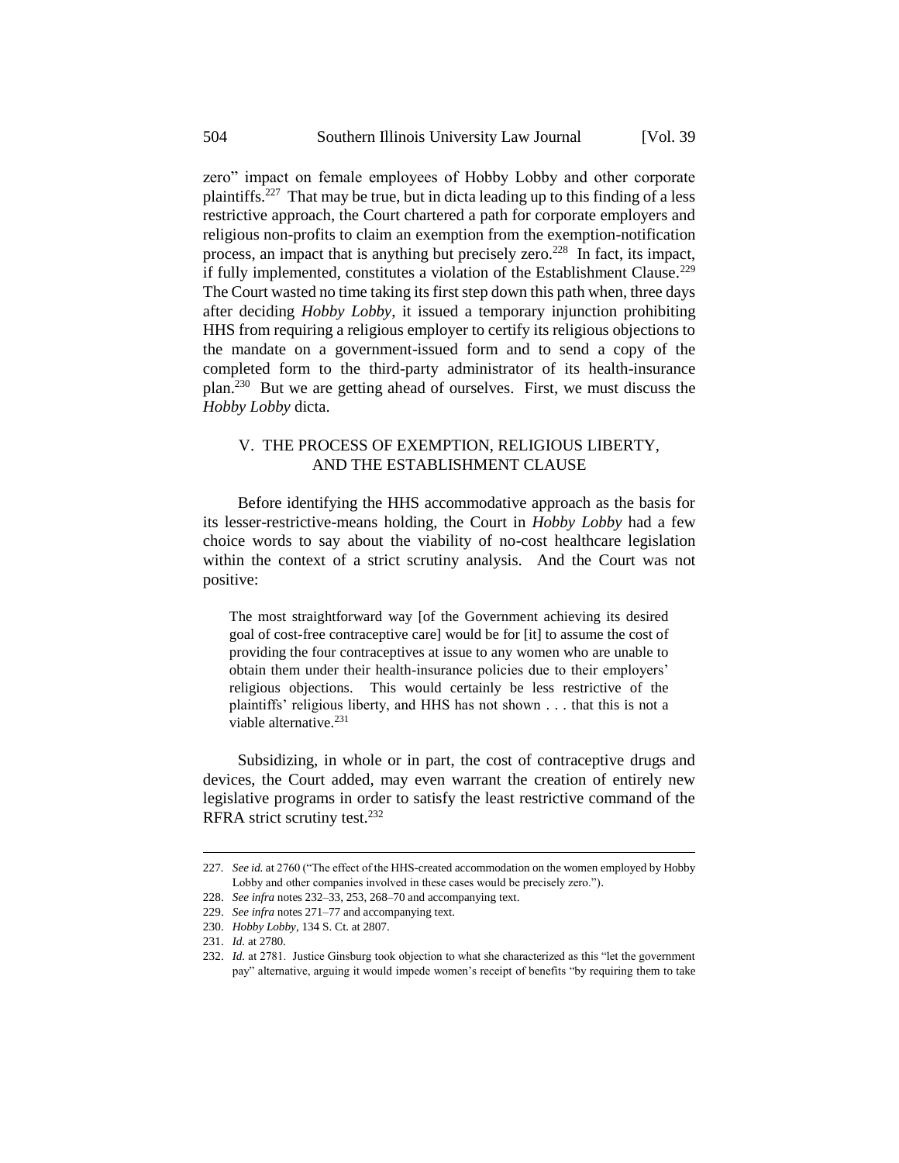zero" impact on female employees of Hobby Lobby and other corporate plaintiffs.<sup>227</sup> That may be true, but in dicta leading up to this finding of a less restrictive approach, the Court chartered a path for corporate employers and religious non-profits to claim an exemption from the exemption-notification process, an impact that is anything but precisely zero.<sup>228</sup> In fact, its impact, if fully implemented, constitutes a violation of the Establishment Clause.<sup>229</sup> The Court wasted no time taking its first step down this path when, three days after deciding *Hobby Lobby*, it issued a temporary injunction prohibiting HHS from requiring a religious employer to certify its religious objections to the mandate on a government-issued form and to send a copy of the completed form to the third-party administrator of its health-insurance plan.<sup>230</sup> But we are getting ahead of ourselves. First, we must discuss the *Hobby Lobby* dicta.

## V. THE PROCESS OF EXEMPTION, RELIGIOUS LIBERTY, AND THE ESTABLISHMENT CLAUSE

Before identifying the HHS accommodative approach as the basis for its lesser-restrictive-means holding, the Court in *Hobby Lobby* had a few choice words to say about the viability of no-cost healthcare legislation within the context of a strict scrutiny analysis. And the Court was not positive:

The most straightforward way [of the Government achieving its desired goal of cost-free contraceptive care] would be for [it] to assume the cost of providing the four contraceptives at issue to any women who are unable to obtain them under their health-insurance policies due to their employers' religious objections. This would certainly be less restrictive of the plaintiffs' religious liberty, and HHS has not shown . . . that this is not a viable alternative.<sup>231</sup>

Subsidizing, in whole or in part, the cost of contraceptive drugs and devices, the Court added, may even warrant the creation of entirely new legislative programs in order to satisfy the least restrictive command of the RFRA strict scrutiny test.<sup>232</sup>

<sup>227</sup>*. See id.* at 2760 ("The effect of the HHS-created accommodation on the women employed by Hobby Lobby and other companies involved in these cases would be precisely zero.").

<sup>228.</sup> *See infra* notes 232–33, 253, 268–70 and accompanying text.

<sup>229.</sup> *See infra* notes 271–77 and accompanying text.

<sup>230.</sup> *Hobby Lobby*, 134 S. Ct. at 2807.

<sup>231.</sup> *Id.* at 2780.

<sup>232.</sup> *Id.* at 2781. Justice Ginsburg took objection to what she characterized as this "let the government pay" alternative, arguing it would impede women's receipt of benefits "by requiring them to take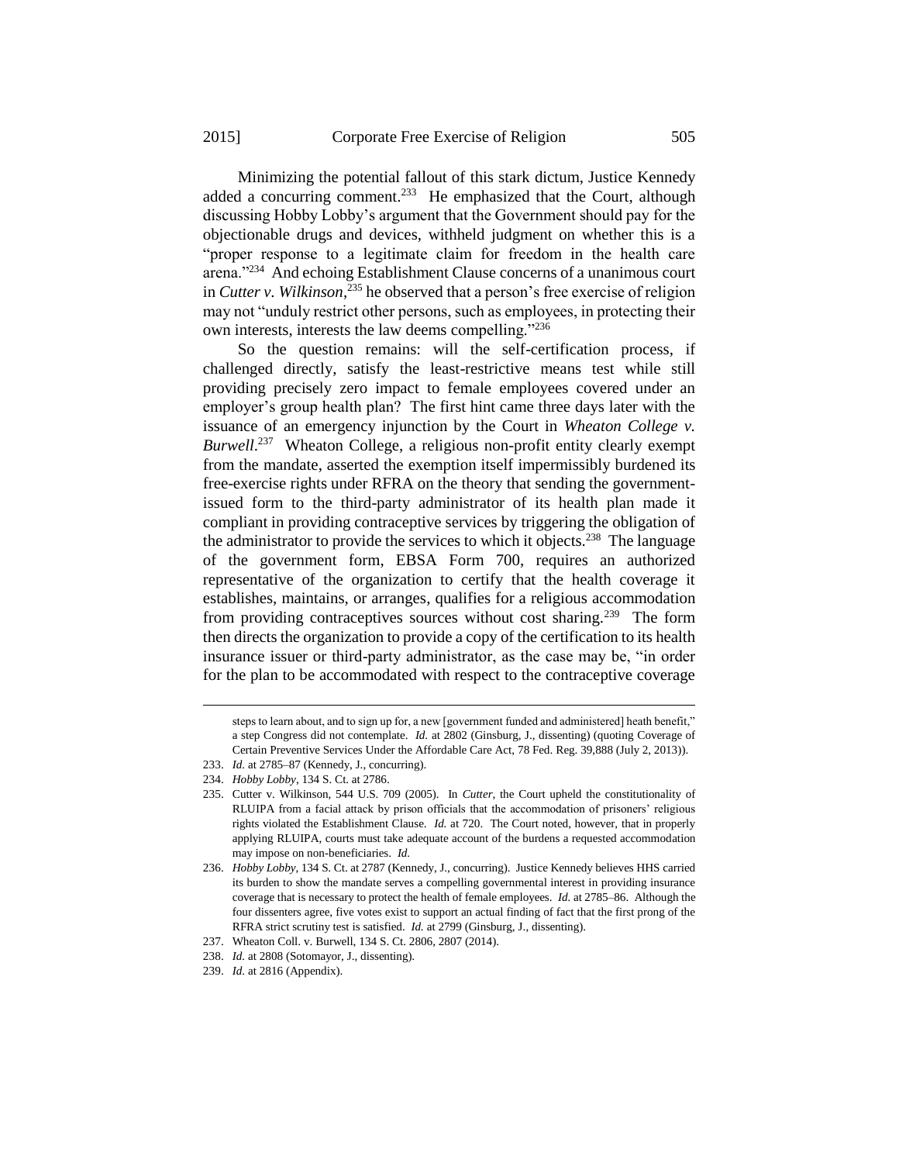Minimizing the potential fallout of this stark dictum, Justice Kennedy added a concurring comment.<sup>233</sup> He emphasized that the Court, although discussing Hobby Lobby's argument that the Government should pay for the objectionable drugs and devices, withheld judgment on whether this is a "proper response to a legitimate claim for freedom in the health care arena."<sup>234</sup> And echoing Establishment Clause concerns of a unanimous court in *Cutter v. Wilkinson*, <sup>235</sup> he observed that a person's free exercise of religion may not "unduly restrict other persons, such as employees, in protecting their own interests, interests the law deems compelling."<sup>236</sup>

So the question remains: will the self-certification process, if challenged directly, satisfy the least-restrictive means test while still providing precisely zero impact to female employees covered under an employer's group health plan? The first hint came three days later with the issuance of an emergency injunction by the Court in *Wheaton College v.*  Burwell.<sup>237</sup> Wheaton College, a religious non-profit entity clearly exempt from the mandate, asserted the exemption itself impermissibly burdened its free-exercise rights under RFRA on the theory that sending the governmentissued form to the third-party administrator of its health plan made it compliant in providing contraceptive services by triggering the obligation of the administrator to provide the services to which it objects.<sup>238</sup> The language of the government form, EBSA Form 700, requires an authorized representative of the organization to certify that the health coverage it establishes, maintains, or arranges, qualifies for a religious accommodation from providing contraceptives sources without cost sharing.<sup>239</sup> The form then directs the organization to provide a copy of the certification to its health insurance issuer or third-party administrator, as the case may be, "in order for the plan to be accommodated with respect to the contraceptive coverage

steps to learn about, and to sign up for, a new [government funded and administered] heath benefit," a step Congress did not contemplate. *Id.* at 2802 (Ginsburg, J., dissenting) (quoting Coverage of Certain Preventive Services Under the Affordable Care Act, 78 Fed. Reg. 39,888 (July 2, 2013)).

<sup>233.</sup> *Id.* at 2785–87 (Kennedy, J., concurring).

<sup>234.</sup> *Hobby Lobby*, 134 S. Ct. at 2786.

<sup>235.</sup> Cutter v. Wilkinson, 544 U.S. 709 (2005). In *Cutter*, the Court upheld the constitutionality of RLUIPA from a facial attack by prison officials that the accommodation of prisoners' religious rights violated the Establishment Clause. *Id.* at 720. The Court noted, however, that in properly applying RLUIPA, courts must take adequate account of the burdens a requested accommodation may impose on non-beneficiaries. *Id.* 

<sup>236.</sup> *Hobby Lobby*, 134 S. Ct. at 2787 (Kennedy, J., concurring). Justice Kennedy believes HHS carried its burden to show the mandate serves a compelling governmental interest in providing insurance coverage that is necessary to protect the health of female employees. *Id.* at 2785–86. Although the four dissenters agree, five votes exist to support an actual finding of fact that the first prong of the RFRA strict scrutiny test is satisfied. *Id.* at 2799 (Ginsburg, J., dissenting).

<sup>237.</sup> Wheaton Coll. v. Burwell, 134 S. Ct. 2806, 2807 (2014).

<sup>238.</sup> *Id.* at 2808 (Sotomayor, J., dissenting).

<sup>239.</sup> *Id.* at 2816 (Appendix).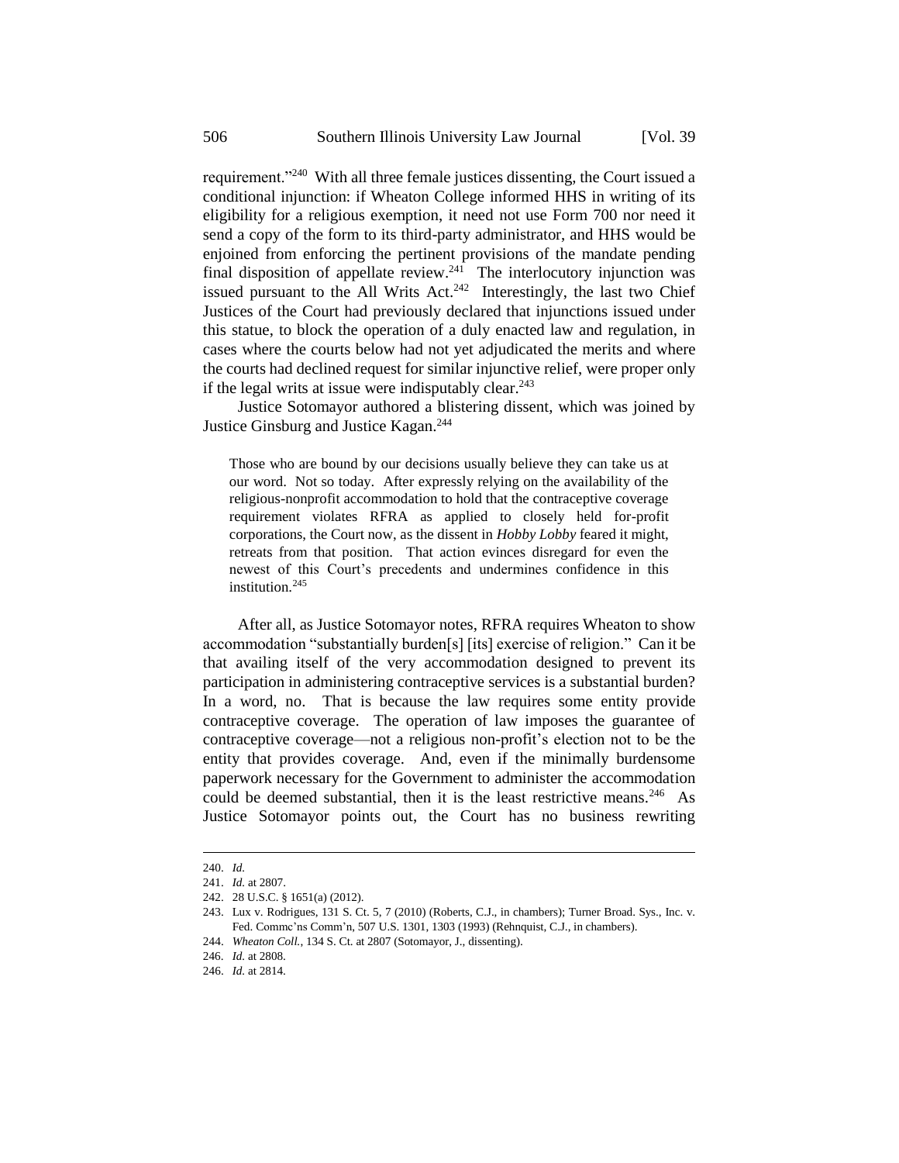requirement."<sup>240</sup> With all three female justices dissenting, the Court issued a conditional injunction: if Wheaton College informed HHS in writing of its eligibility for a religious exemption, it need not use Form 700 nor need it send a copy of the form to its third-party administrator, and HHS would be enjoined from enforcing the pertinent provisions of the mandate pending final disposition of appellate review.<sup>241</sup> The interlocutory injunction was issued pursuant to the All Writs Act.<sup>242</sup> Interestingly, the last two Chief Justices of the Court had previously declared that injunctions issued under this statue, to block the operation of a duly enacted law and regulation, in cases where the courts below had not yet adjudicated the merits and where the courts had declined request for similar injunctive relief, were proper only if the legal writs at issue were indisputably clear. $243$ 

Justice Sotomayor authored a blistering dissent, which was joined by Justice Ginsburg and Justice Kagan.<sup>244</sup>

Those who are bound by our decisions usually believe they can take us at our word. Not so today. After expressly relying on the availability of the religious-nonprofit accommodation to hold that the contraceptive coverage requirement violates RFRA as applied to closely held for-profit corporations, the Court now, as the dissent in *Hobby Lobby* feared it might, retreats from that position. That action evinces disregard for even the newest of this Court's precedents and undermines confidence in this institution $245$ 

After all, as Justice Sotomayor notes, RFRA requires Wheaton to show accommodation "substantially burden[s] [its] exercise of religion." Can it be that availing itself of the very accommodation designed to prevent its participation in administering contraceptive services is a substantial burden? In a word, no. That is because the law requires some entity provide contraceptive coverage. The operation of law imposes the guarantee of contraceptive coverage—not a religious non-profit's election not to be the entity that provides coverage. And, even if the minimally burdensome paperwork necessary for the Government to administer the accommodation could be deemed substantial, then it is the least restrictive means.<sup>246</sup> As Justice Sotomayor points out, the Court has no business rewriting

<sup>240.</sup> *Id.*

<sup>241.</sup> *Id.* at 2807.

<sup>242.</sup> 28 U.S.C. § 1651(a) (2012).

<sup>243.</sup> Lux v. Rodrigues, 131 S. Ct. 5, 7 (2010) (Roberts, C.J., in chambers); Turner Broad. Sys., Inc. v. Fed. Commc'ns Comm'n, 507 U.S. 1301, 1303 (1993) (Rehnquist, C.J., in chambers).

<sup>244.</sup> *Wheaton Coll.*, 134 S. Ct. at 2807 (Sotomayor, J., dissenting).

<sup>246.</sup> *Id.* at 2808.

<sup>246.</sup> *Id.* at 2814.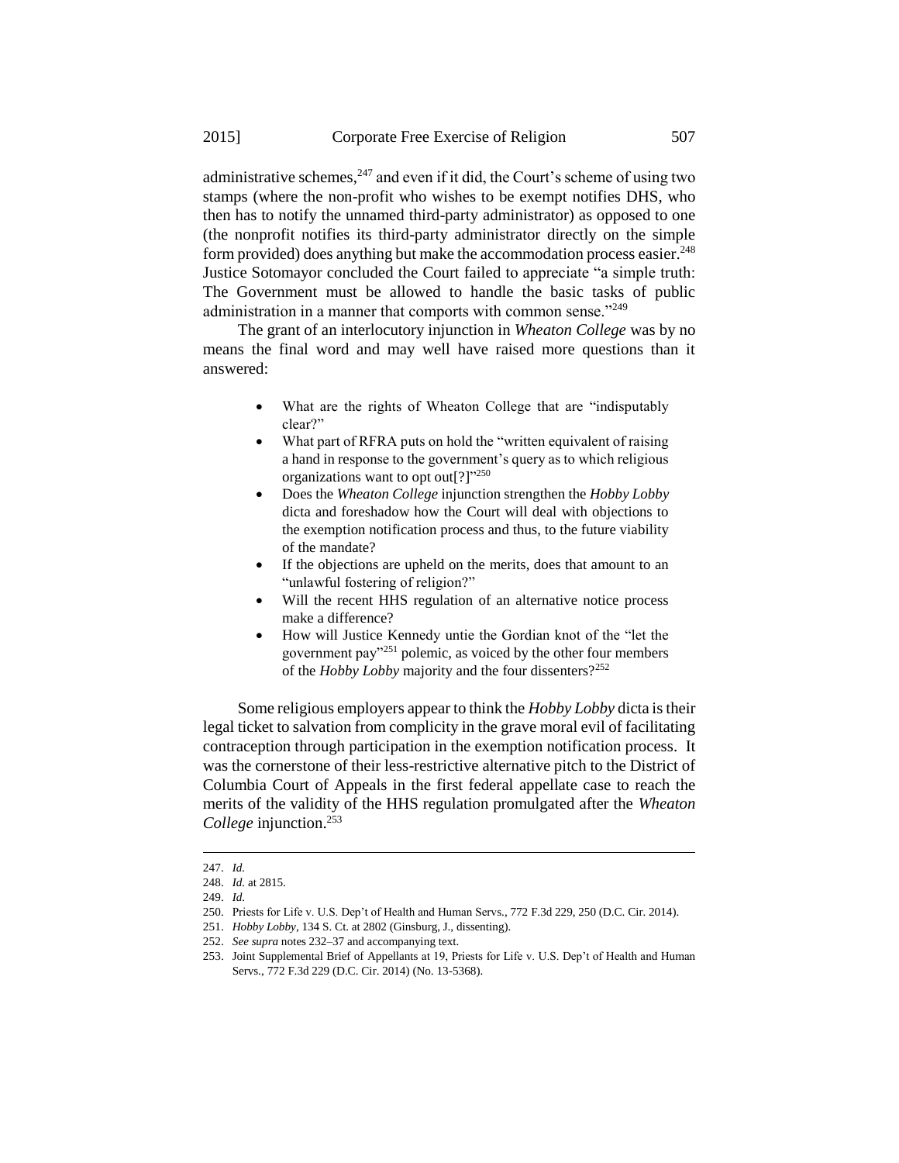administrative schemes,  $247$  and even if it did, the Court's scheme of using two stamps (where the non-profit who wishes to be exempt notifies DHS, who then has to notify the unnamed third-party administrator) as opposed to one (the nonprofit notifies its third-party administrator directly on the simple form provided) does anything but make the accommodation process easier.<sup>248</sup> Justice Sotomayor concluded the Court failed to appreciate "a simple truth: The Government must be allowed to handle the basic tasks of public administration in a manner that comports with common sense."<sup>249</sup>

The grant of an interlocutory injunction in *Wheaton College* was by no means the final word and may well have raised more questions than it answered:

- What are the rights of Wheaton College that are "indisputably clear?"
- What part of RFRA puts on hold the "written equivalent of raising" a hand in response to the government's query as to which religious organizations want to opt out[?] $1250$
- Does the *Wheaton College* injunction strengthen the *Hobby Lobby* dicta and foreshadow how the Court will deal with objections to the exemption notification process and thus, to the future viability of the mandate?
- If the objections are upheld on the merits, does that amount to an "unlawful fostering of religion?"
- Will the recent HHS regulation of an alternative notice process make a difference?
- How will Justice Kennedy untie the Gordian knot of the "let the government pay"<sup>251</sup> polemic, as voiced by the other four members of the *Hobby Lobby* majority and the four dissenters?<sup>252</sup>

Some religious employers appear to think the *Hobby Lobby* dicta is their legal ticket to salvation from complicity in the grave moral evil of facilitating contraception through participation in the exemption notification process. It was the cornerstone of their less-restrictive alternative pitch to the District of Columbia Court of Appeals in the first federal appellate case to reach the merits of the validity of the HHS regulation promulgated after the *Wheaton College* injunction.<sup>253</sup>

<sup>247.</sup> *Id.*

<sup>248.</sup> *Id.* at 2815.

<sup>249.</sup> *Id.*

<sup>250.</sup> Priests for Life v. U.S. Dep't of Health and Human Servs., 772 F.3d 229, 250 (D.C. Cir. 2014).

<sup>251.</sup> *Hobby Lobby*, 134 S. Ct. at 2802 (Ginsburg, J., dissenting).

<sup>252.</sup> *See supra* notes 232–37 and accompanying text.

<sup>253.</sup> Joint Supplemental Brief of Appellants at 19, Priests for Life v. U.S. Dep't of Health and Human Servs., 772 F.3d 229 (D.C. Cir. 2014) (No. 13-5368).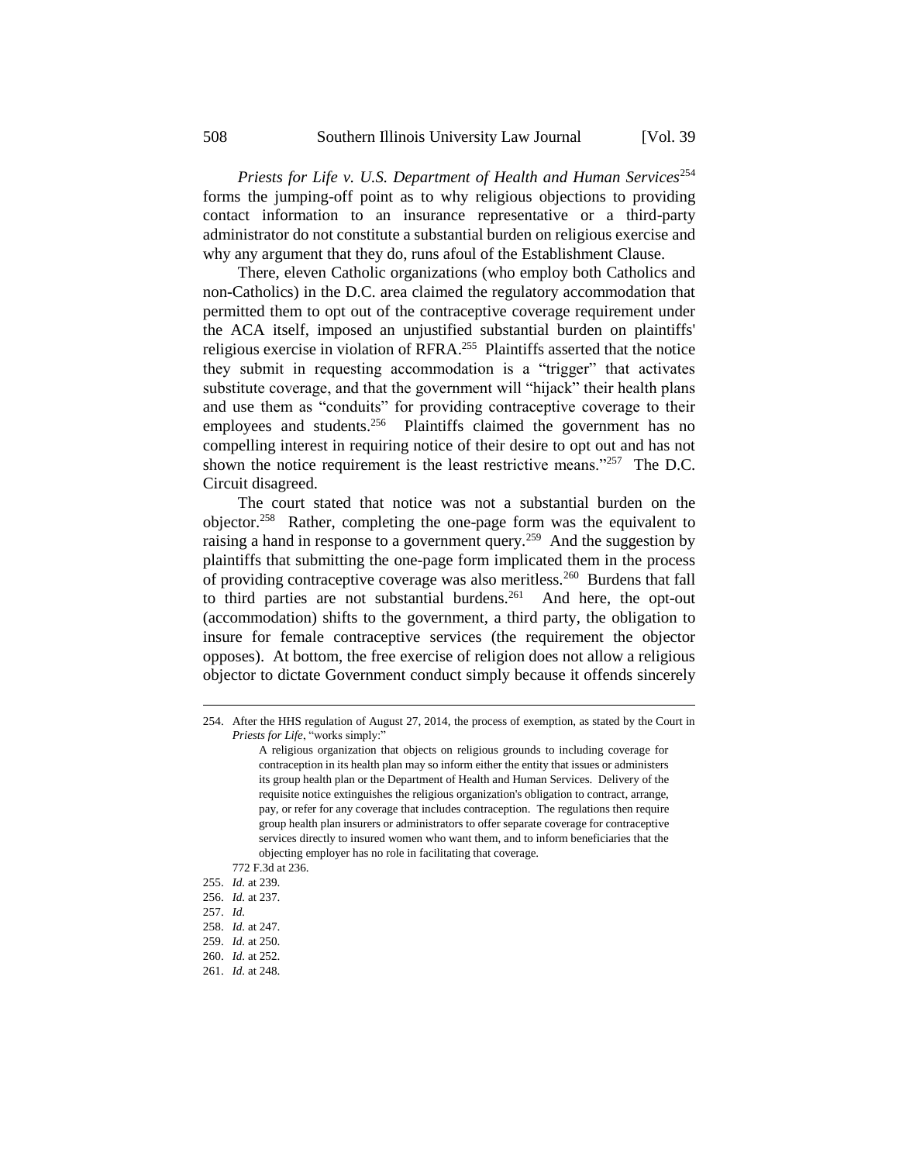Priests for Life v. U.S. Department of Health and Human Services<sup>254</sup> forms the jumping-off point as to why religious objections to providing contact information to an insurance representative or a third-party administrator do not constitute a substantial burden on religious exercise and why any argument that they do, runs afoul of the Establishment Clause.

There, eleven Catholic organizations (who employ both Catholics and non-Catholics) in the D.C. area claimed the regulatory accommodation that permitted them to opt out of the contraceptive coverage requirement under the ACA itself, imposed an unjustified substantial burden on plaintiffs' religious exercise in violation of RFRA.<sup>255</sup> Plaintiffs asserted that the notice they submit in requesting accommodation is a "trigger" that activates substitute coverage, and that the government will "hijack" their health plans and use them as "conduits" for providing contraceptive coverage to their employees and students. $256$  Plaintiffs claimed the government has no compelling interest in requiring notice of their desire to opt out and has not shown the notice requirement is the least restrictive means."<sup>257</sup> The D.C. Circuit disagreed.

The court stated that notice was not a substantial burden on the objector.<sup>258</sup> Rather, completing the one-page form was the equivalent to raising a hand in response to a government query.<sup>259</sup> And the suggestion by plaintiffs that submitting the one-page form implicated them in the process of providing contraceptive coverage was also meritless.<sup>260</sup> Burdens that fall to third parties are not substantial burdens.<sup>261</sup> And here, the opt-out (accommodation) shifts to the government, a third party, the obligation to insure for female contraceptive services (the requirement the objector opposes). At bottom, the free exercise of religion does not allow a religious objector to dictate Government conduct simply because it offends sincerely

<sup>254.</sup> After the HHS regulation of August 27, 2014, the process of exemption, as stated by the Court in *Priests for Life*, "works simply:"

A religious organization that objects on religious grounds to including coverage for contraception in its health plan may so inform either the entity that issues or administers its group health plan or the Department of Health and Human Services. Delivery of the requisite notice extinguishes the religious organization's obligation to contract, arrange, pay, or refer for any coverage that includes contraception. The regulations then require group health plan insurers or administrators to offer separate coverage for contraceptive services directly to insured women who want them, and to inform beneficiaries that the objecting employer has no role in facilitating that coverage.

<sup>772</sup> F.3d at 236.

<sup>255.</sup> *Id.* at 239.

<sup>256.</sup> *Id.* at 237.

<sup>257.</sup> *Id.*

<sup>258.</sup> *Id.* at 247.

<sup>259.</sup> *Id.* at 250.

<sup>260.</sup> *Id.* at 252.

<sup>261.</sup> *Id.* at 248.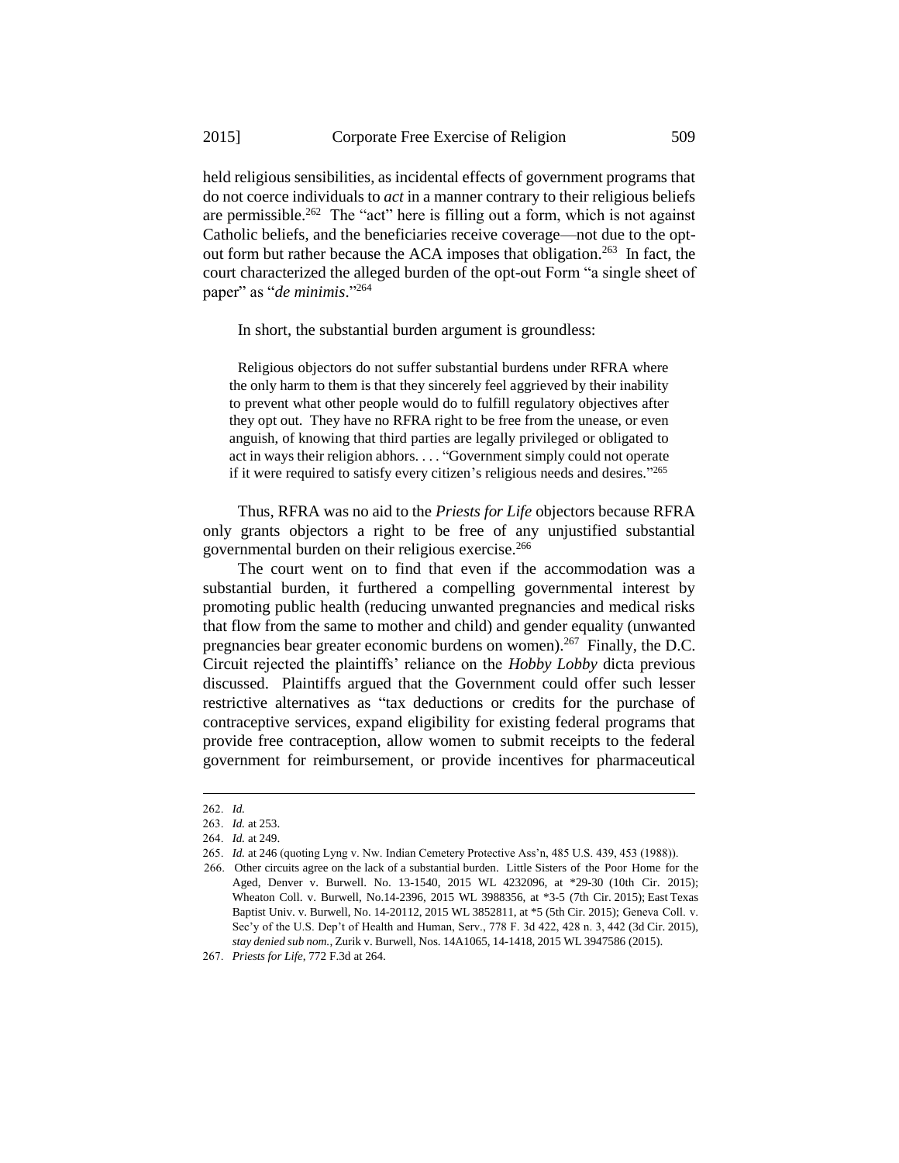held religious sensibilities, as incidental effects of government programs that do not coerce individuals to *act* in a manner contrary to their religious beliefs are permissible.<sup>262</sup> The "act" here is filling out a form, which is not against Catholic beliefs, and the beneficiaries receive coverage—not due to the optout form but rather because the ACA imposes that obligation.<sup>263</sup> In fact, the court characterized the alleged burden of the opt-out Form "a single sheet of paper" as "*de minimis*." 264

In short, the substantial burden argument is groundless:

Religious objectors do not suffer substantial burdens under RFRA where the only harm to them is that they sincerely feel aggrieved by their inability to prevent what other people would do to fulfill regulatory objectives after they opt out. They have no RFRA right to be free from the unease, or even anguish, of knowing that third parties are legally privileged or obligated to act in ways their religion abhors. . . . "Government simply could not operate if it were required to satisfy every citizen's religious needs and desires."265

Thus, RFRA was no aid to the *Priests for Life* objectors because RFRA only grants objectors a right to be free of any unjustified substantial governmental burden on their religious exercise.<sup>266</sup>

The court went on to find that even if the accommodation was a substantial burden, it furthered a compelling governmental interest by promoting public health (reducing unwanted pregnancies and medical risks that flow from the same to mother and child) and gender equality (unwanted pregnancies bear greater economic burdens on women).<sup>267</sup> Finally, the D.C. Circuit rejected the plaintiffs' reliance on the *Hobby Lobby* dicta previous discussed. Plaintiffs argued that the Government could offer such lesser restrictive alternatives as "tax deductions or credits for the purchase of contraceptive services, expand eligibility for existing federal programs that provide free contraception, allow women to submit receipts to the federal government for reimbursement, or provide incentives for pharmaceutical

<sup>262.</sup> *Id.*

<sup>263.</sup> *Id.* at 253.

<sup>264.</sup> *Id.* at 249.

<sup>265.</sup> *Id.* at 246 (quoting Lyng v. Nw. Indian Cemetery Protective Ass'n, 485 U.S. 439, 453 (1988)).

<sup>266.</sup> Other circuits agree on the lack of a substantial burden. Little Sisters of the Poor Home for the Aged, Denver v. Burwell. No. 13-1540, 2015 WL 4232096, at \*29-30 (10th Cir. 2015); Wheaton Coll. v. Burwell, No.14-2396, 2015 WL 3988356, at \*3-5 (7th Cir. 2015); East Texas Baptist Univ. v. Burwell, No. 14-20112, 2015 WL 3852811, at \*5 (5th Cir. 2015); Geneva Coll. v. Sec'y of the U.S. Dep't of Health and Human, Serv., 778 F. 3d 422, 428 n. 3, 442 (3d Cir. 2015), *stay denied sub nom.*, Zurik v. Burwell, Nos. 14A1065, 14-1418, 2015 WL 3947586 (2015).

<sup>267.</sup> *Priests for Life*, 772 F.3d at 264.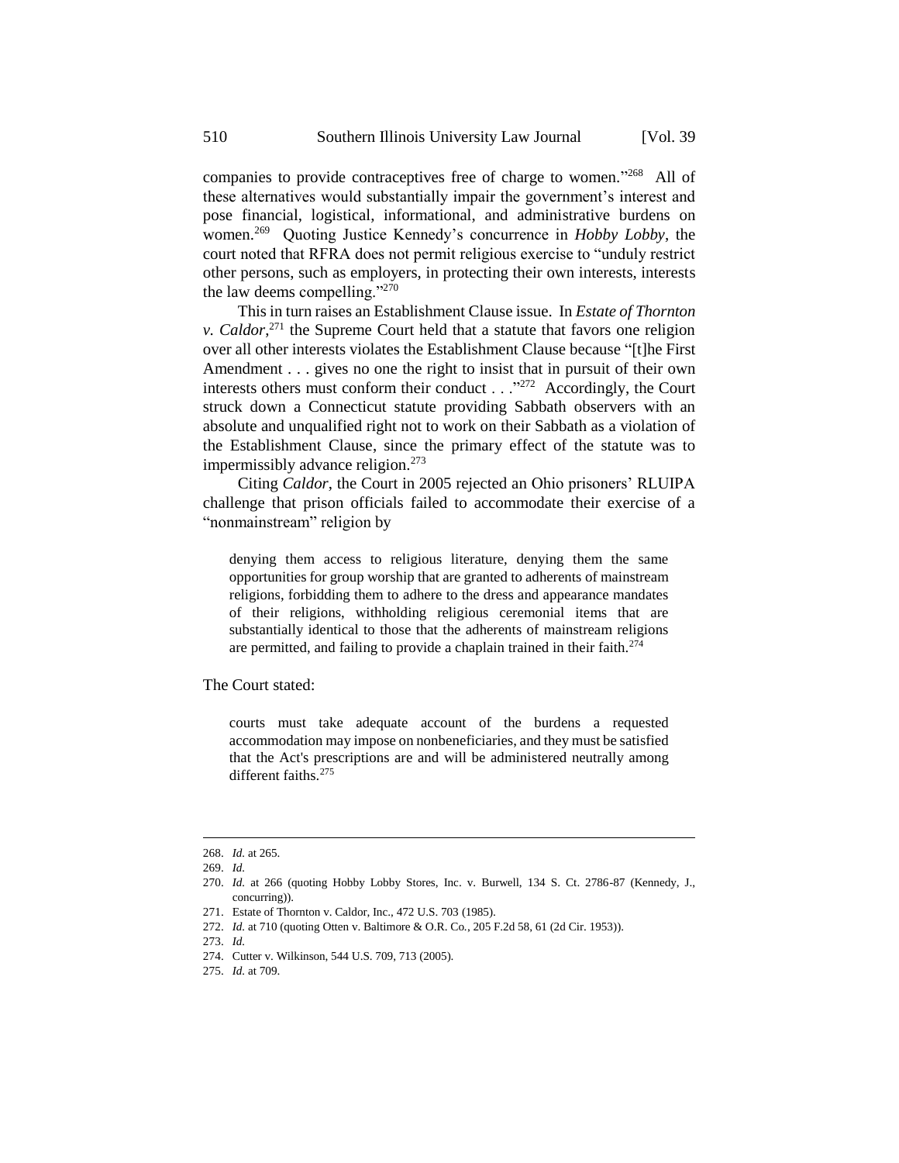companies to provide contraceptives free of charge to women." <sup>268</sup> All of these alternatives would substantially impair the government's interest and pose financial, logistical, informational, and administrative burdens on women.<sup>269</sup> Quoting Justice Kennedy's concurrence in *Hobby Lobby*, the court noted that RFRA does not permit religious exercise to "unduly restrict other persons, such as employers, in protecting their own interests, interests the law deems compelling."<sup>270</sup>

This in turn raises an Establishment Clause issue. In *Estate of Thornton v. Caldor*, <sup>271</sup> the Supreme Court held that a statute that favors one religion over all other interests violates the Establishment Clause because "[t]he First Amendment . . . gives no one the right to insist that in pursuit of their own interests others must conform their conduct . . ."<sup>272</sup> Accordingly, the Court struck down a Connecticut statute providing Sabbath observers with an absolute and unqualified right not to work on their Sabbath as a violation of the Establishment Clause, since the primary effect of the statute was to impermissibly advance religion.<sup>273</sup>

Citing *Caldor*, the Court in 2005 rejected an Ohio prisoners' RLUIPA challenge that prison officials failed to accommodate their exercise of a "nonmainstream" religion by

denying them access to religious literature, denying them the same opportunities for group worship that are granted to adherents of mainstream religions, forbidding them to adhere to the dress and appearance mandates of their religions, withholding religious ceremonial items that are substantially identical to those that the adherents of mainstream religions are permitted, and failing to provide a chaplain trained in their faith.<sup>274</sup>

The Court stated:

courts must take adequate account of the burdens a requested accommodation may impose on nonbeneficiaries, and they must be satisfied that the Act's prescriptions are and will be administered neutrally among different faiths.<sup>275</sup>

<sup>268.</sup> *Id.* at 265.

<sup>269.</sup> *Id.*

<sup>270.</sup> *Id.* at 266 (quoting Hobby Lobby Stores, Inc. v. Burwell, 134 S. Ct. 2786-87 (Kennedy, J., concurring)).

<sup>271.</sup> Estate of Thornton v. Caldor, Inc., 472 U.S. 703 (1985).

<sup>272.</sup> *Id.* at 710 (quoting Otten v. Baltimore & O.R. Co*.*, 205 F.2d 58, 61 (2d Cir. 1953)).

<sup>273.</sup> *Id.*

<sup>274.</sup> Cutter v. Wilkinson, 544 U.S. 709, 713 (2005).

<sup>275.</sup> *Id.* at 709.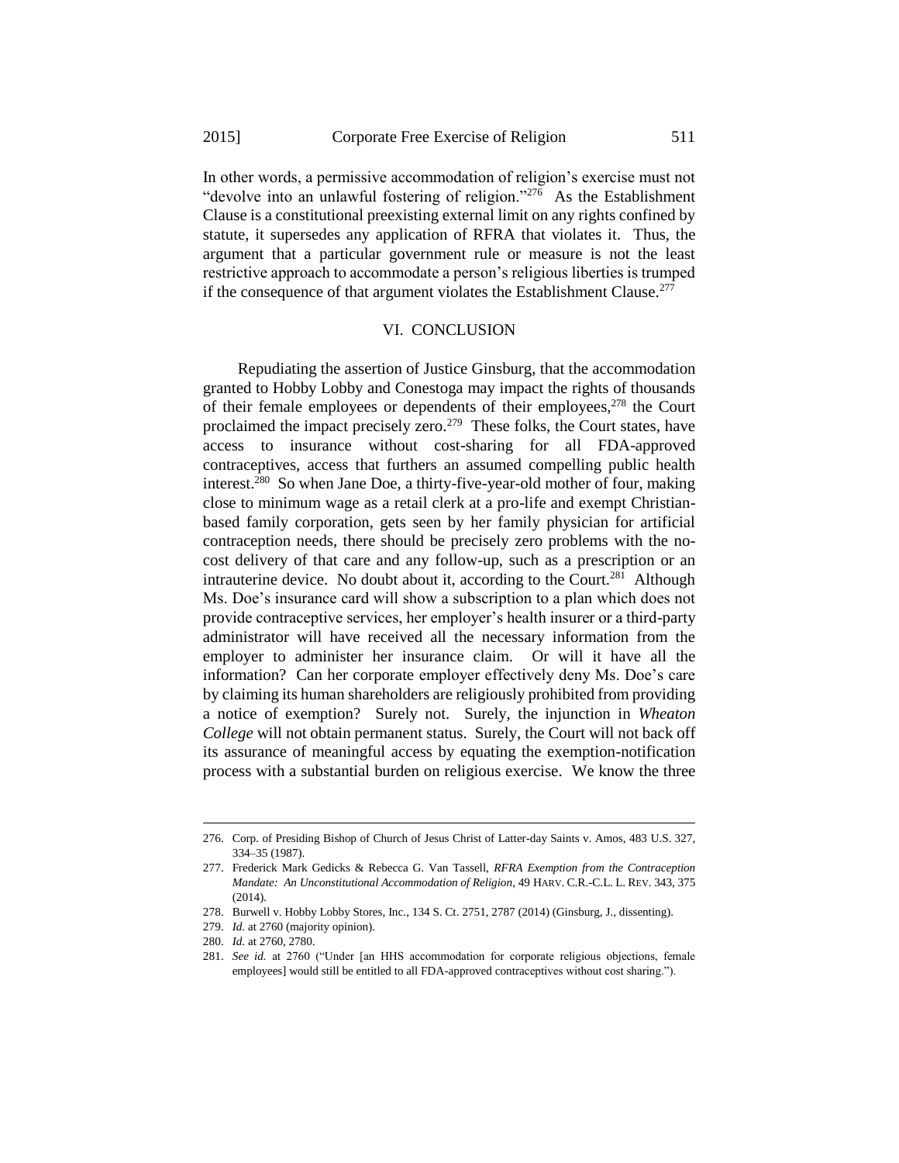In other words, a permissive accommodation of religion's exercise must not "devolve into an unlawful fostering of religion."<sup>276</sup> As the Establishment Clause is a constitutional preexisting external limit on any rights confined by statute, it supersedes any application of RFRA that violates it. Thus, the argument that a particular government rule or measure is not the least restrictive approach to accommodate a person's religious liberties is trumped if the consequence of that argument violates the Establishment Clause.<sup>277</sup>

## VI. CONCLUSION

Repudiating the assertion of Justice Ginsburg, that the accommodation granted to Hobby Lobby and Conestoga may impact the rights of thousands of their female employees or dependents of their employees, $278$  the Court proclaimed the impact precisely zero.<sup>279</sup> These folks, the Court states, have access to insurance without cost-sharing for all FDA-approved contraceptives, access that furthers an assumed compelling public health interest.<sup>280</sup> So when Jane Doe, a thirty-five-year-old mother of four, making close to minimum wage as a retail clerk at a pro-life and exempt Christianbased family corporation, gets seen by her family physician for artificial contraception needs, there should be precisely zero problems with the nocost delivery of that care and any follow-up, such as a prescription or an intrauterine device. No doubt about it, according to the Court.<sup>281</sup> Although Ms. Doe's insurance card will show a subscription to a plan which does not provide contraceptive services, her employer's health insurer or a third-party administrator will have received all the necessary information from the employer to administer her insurance claim. Or will it have all the information? Can her corporate employer effectively deny Ms. Doe's care by claiming its human shareholders are religiously prohibited from providing a notice of exemption? Surely not. Surely, the injunction in *Wheaton College* will not obtain permanent status. Surely, the Court will not back off its assurance of meaningful access by equating the exemption-notification process with a substantial burden on religious exercise. We know the three

-

<sup>276.</sup> Corp. of Presiding Bishop of Church of Jesus Christ of Latter-day Saints v. Amos, 483 U.S. 327, 334–35 (1987).

<sup>277.</sup> Frederick Mark Gedicks & Rebecca G. Van Tassell, *RFRA Exemption from the Contraception Mandate: An Unconstitutional Accommodation of Religion*, 49 HARV. C.R.-C.L. L. REV. 343, 375 (2014).

<sup>278.</sup> Burwell v. Hobby Lobby Stores, Inc., 134 S. Ct. 2751, 2787 (2014) (Ginsburg, J., dissenting).

<sup>279.</sup> *Id.* at 2760 (majority opinion).

<sup>280.</sup> *Id.* at 2760, 2780.

<sup>281.</sup> *See id.* at 2760 ("Under [an HHS accommodation for corporate religious objections, female employees] would still be entitled to all FDA-approved contraceptives without cost sharing.").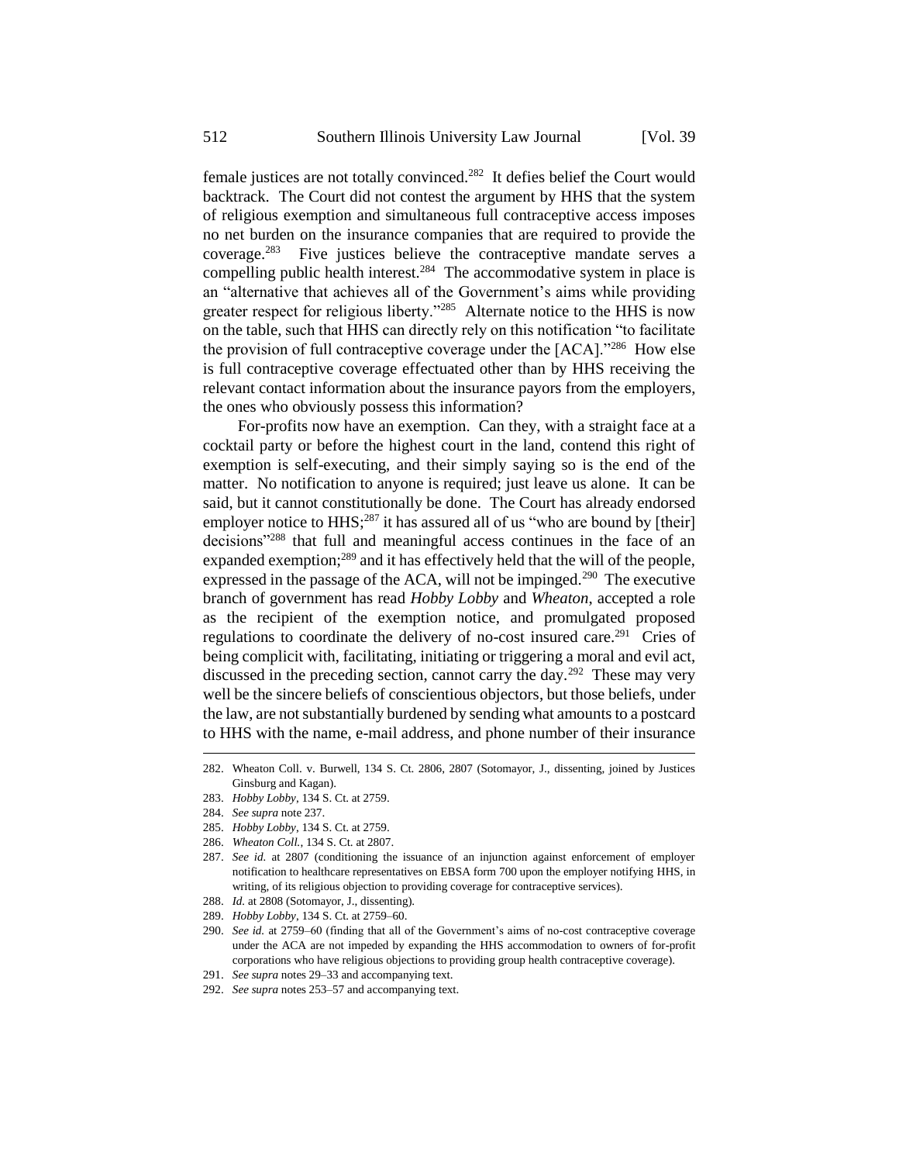female justices are not totally convinced.<sup>282</sup> It defies belief the Court would backtrack. The Court did not contest the argument by HHS that the system of religious exemption and simultaneous full contraceptive access imposes no net burden on the insurance companies that are required to provide the coverage.<sup>283</sup> Five justices believe the contraceptive mandate serves a compelling public health interest.<sup>284</sup> The accommodative system in place is an "alternative that achieves all of the Government's aims while providing greater respect for religious liberty."<sup>285</sup> Alternate notice to the HHS is now on the table, such that HHS can directly rely on this notification "to facilitate the provision of full contraceptive coverage under the [ACA]."<sup>286</sup> How else is full contraceptive coverage effectuated other than by HHS receiving the relevant contact information about the insurance payors from the employers, the ones who obviously possess this information?

For-profits now have an exemption. Can they, with a straight face at a cocktail party or before the highest court in the land, contend this right of exemption is self-executing, and their simply saying so is the end of the matter. No notification to anyone is required; just leave us alone. It can be said, but it cannot constitutionally be done. The Court has already endorsed employer notice to  $HHS$ <sup>287</sup> it has assured all of us "who are bound by [their] decisions"<sup>288</sup> that full and meaningful access continues in the face of an expanded exemption;<sup>289</sup> and it has effectively held that the will of the people, expressed in the passage of the ACA, will not be impinged.<sup>290</sup> The executive branch of government has read *Hobby Lobby* and *Wheaton*, accepted a role as the recipient of the exemption notice, and promulgated proposed regulations to coordinate the delivery of no-cost insured care.<sup>291</sup> Cries of being complicit with, facilitating, initiating or triggering a moral and evil act, discussed in the preceding section, cannot carry the day.<sup>292</sup> These may very well be the sincere beliefs of conscientious objectors, but those beliefs, under the law, are not substantially burdened by sending what amounts to a postcard to HHS with the name, e-mail address, and phone number of their insurance

1

285. *Hobby Lobby*, 134 S. Ct. at 2759.

<sup>282.</sup> Wheaton Coll. v. Burwell, 134 S. Ct. 2806, 2807 (Sotomayor, J., dissenting, joined by Justices Ginsburg and Kagan).

<sup>283.</sup> *Hobby Lobby*, 134 S. Ct. at 2759.

<sup>284.</sup> *See supra* note 237.

<sup>286.</sup> *Wheaton Coll.*, 134 S. Ct. at 2807.

<sup>287.</sup> *See id.* at 2807 (conditioning the issuance of an injunction against enforcement of employer notification to healthcare representatives on EBSA form 700 upon the employer notifying HHS, in writing, of its religious objection to providing coverage for contraceptive services).

<sup>288.</sup> *Id.* at 2808 (Sotomayor, J., dissenting).

<sup>289.</sup> *Hobby Lobby*, 134 S. Ct. at 2759–60.

<sup>290.</sup> *See id.* at 2759–60 (finding that all of the Government's aims of no-cost contraceptive coverage under the ACA are not impeded by expanding the HHS accommodation to owners of for-profit corporations who have religious objections to providing group health contraceptive coverage).

<sup>291.</sup> *See supra* notes 29–33 and accompanying text.

<sup>292.</sup> *See supra* notes 253–57 and accompanying text.